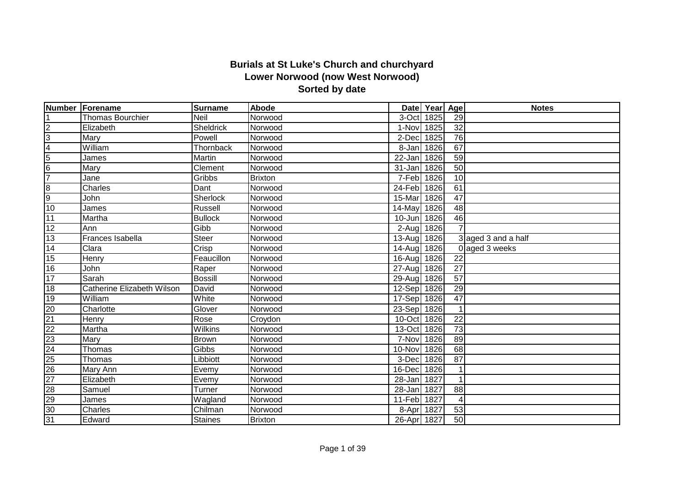## **Burials at St Luke's Church and churchyard Lower Norwood (now West Norwood) Sorted by date**

|                         | Number Forename            | <b>Surname</b>   | <b>Abode</b>   |             | Date Year Age |                       | <b>Notes</b>        |
|-------------------------|----------------------------|------------------|----------------|-------------|---------------|-----------------------|---------------------|
|                         | <b>Thomas Bourchier</b>    | Neil             | Norwood        | 3-Oct       | 1825          | 29                    |                     |
| $\overline{2}$          | Elizabeth                  | <b>Sheldrick</b> | Norwood        | 1-Nov       | 1825          | 32                    |                     |
| ပြ                      | Mary                       | Powell           | Norwood        | 2-Dec       | 1825          | 76                    |                     |
| $\overline{\mathbf{4}}$ | William                    | Thornback        | Norwood        | 8-Jan       | 1826          | 67                    |                     |
| $\overline{5}$          | James                      | Martin           | Norwood        | 22-Jan      | 1826          | 59                    |                     |
| $6\phantom{.}6$         | Mary                       | Clement          | Norwood        | 31-Jan      | 1826          | 50                    |                     |
| $\overline{7}$          | Jane                       | Gribbs           | <b>Brixton</b> | 7-Feb 1826  |               | 10                    |                     |
| 8                       | Charles                    | Dant             | Norwood        | 24-Feb 1826 |               | 61                    |                     |
| 9                       | John                       | Sherlock         | Norwood        | 15-Mar      | 1826          | 47                    |                     |
| 10                      | James                      | Russell          | Norwood        | 14-May      | 1826          | 48                    |                     |
| 11                      | Martha                     | <b>Bullock</b>   | Norwood        | 10-Jun 1826 |               | 46                    |                     |
| 12                      | Ann                        | Gibb             | Norwood        | 2-Aug       | 1826          | $\overline{7}$        |                     |
| 13                      | Frances Isabella           | <b>Steer</b>     | Norwood        | 13-Aug      | 1826          |                       | 3 aged 3 and a half |
| 14                      | Clara                      | Crisp            | Norwood        | 14-Aug      | 1826          |                       | 0 aged 3 weeks      |
| 15                      | Henry                      | Feaucillon       | Norwood        | 16-Aug 1826 |               | 22                    |                     |
| 16                      | John                       | Raper            | Norwood        | 27-Aug 1826 |               | 27                    |                     |
| 17                      | Sarah                      | <b>Bossill</b>   | Norwood        | 29-Aug      | 1826          | 57                    |                     |
| 18                      | Catherine Elizabeth Wilson | David            | Norwood        | 12-Sep 1826 |               | 29                    |                     |
| 19                      | William                    | White            | Norwood        | 17-Sep 1826 |               | 47                    |                     |
| 20                      | Charlotte                  | Glover           | Norwood        | 23-Sep 1826 |               |                       |                     |
| 21                      | Henry                      | Rose             | Croydon        | 10-Oct 1826 |               | 22                    |                     |
| 22                      | Martha                     | Wilkins          | Norwood        | 13-Oct      | 1826          | $\overline{73}$       |                     |
| $\overline{23}$         | Mary                       | Brown            | Norwood        | 7-Nov       | 1826          | 89                    |                     |
| $\overline{24}$         | Thomas                     | Gibbs            | Norwood        | 10-Nov      | 1826          | 68                    |                     |
| 25                      | Thomas                     | Libbiott         | Norwood        | 3-Dec       | 1826          | 87                    |                     |
| 26                      | Mary Ann                   | Evemy            | Norwood        | 16-Dec      | 1826          |                       |                     |
| $\overline{27}$         | Elizabeth                  | Evemy            | Norwood        | 28-Jan 1827 |               |                       |                     |
| 28                      | Samuel                     | Turner           | Norwood        | 28-Jan      | 1827          | 88                    |                     |
| 29                      | James                      | Wagland          | Norwood        | 11-Feb 1827 |               | $\boldsymbol{\Delta}$ |                     |
| $\overline{30}$         | Charles                    | Chilman          | Norwood        | 8-Apr       | 1827          | 53                    |                     |
| 31                      | Edward                     | <b>Staines</b>   | <b>Brixton</b> | 26-Apr 1827 |               | 50                    |                     |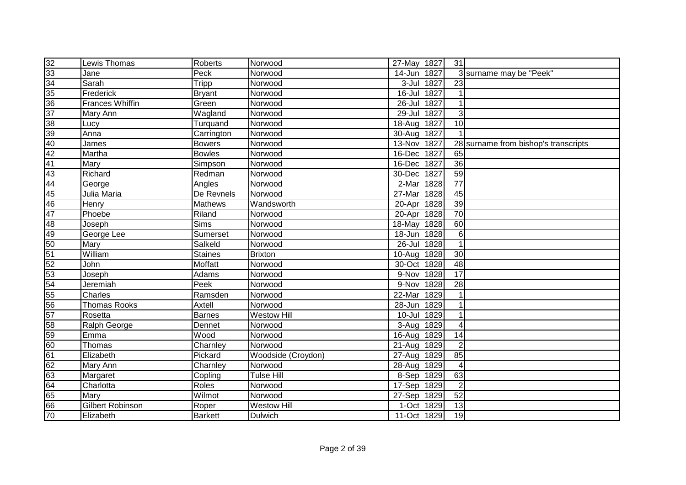| 32              | Lewis Thomas        | Roberts                        | Norwood            | 27-May 1827 |      | 31              |                                      |
|-----------------|---------------------|--------------------------------|--------------------|-------------|------|-----------------|--------------------------------------|
| 33              | Jane                | Peck                           | Norwood            | 14-Jun 1827 |      |                 | 3 surname may be "Peek"              |
| 34              | Sarah               | Tripp                          | Norwood            | $3 -$ Jul   | 1827 | $\overline{23}$ |                                      |
| 35              | Frederick           | <b>Bryant</b>                  | Norwood            | $16$ -Jul   | 1827 | 1               |                                      |
| $\overline{36}$ | Frances Whiffin     | Green                          | Norwood            | $26 -$ Jul  | 1827 | $\mathbf{1}$    |                                      |
| $\overline{37}$ | Mary Ann            | Wagland                        | Norwood            | 29-Jul      | 1827 | 3               |                                      |
| 38              | Lucy                | Turquand                       | Norwood            | $18-Aug$    | 1827 | 10              |                                      |
| 39              | Anna                | Carrington                     | Norwood            | $30 - Aug$  | 1827 |                 |                                      |
| 40              | James               | <b>Bowers</b>                  | Norwood            | $13-Nov$    | 1827 |                 | 28 surname from bishop's transcripts |
| $\overline{42}$ | Martha              | <b>Bowles</b>                  | Norwood            | 16-Dec      | 1827 | 65              |                                      |
| 41              | Mary                | Simpson                        | Norwood            | 16-Dec      | 1827 | 36              |                                      |
| 43              | Richard             | Redman                         | Norwood            | 30-Dec      | 1827 | 59              |                                      |
| 44              | George              | Angles                         | Norwood            | 2-Mar       | 1828 | $\overline{77}$ |                                      |
| 45              | Julia Maria         | De Revnels                     | Norwood            | 27-Mar      | 1828 | 45              |                                      |
| 46              | Henry               | Mathews                        | Wandsworth         | 20-Apr      | 1828 | 39              |                                      |
| 47              | Phoebe              | Riland                         | Norwood            | 20-Apr 1828 |      | $\overline{70}$ |                                      |
| 48              | Joseph              | <b>Sims</b>                    | Norwood            | 18-May      | 1828 | 60              |                                      |
| 49              | George Lee          | Sumerset                       | Norwood            | 18-Jun      | 1828 | 6               |                                      |
| 50              | Mary                | Salkeld                        | Norwood            | $26$ -Jul   | 1828 | $\overline{1}$  |                                      |
| 51              | William             | Staines                        | <b>Brixton</b>     | $10-Auq$    | 1828 | 30              |                                      |
| $\overline{52}$ | John                | Moffatt                        | Norwood            | 30-Oct      | 1828 | 48              |                                      |
| 53              | Joseph              | Adams                          | Norwood            | 9-Nov 1828  |      | 17              |                                      |
| 54              | Jeremiah            | Peek                           | Norwood            | 9-Nov       | 1828 | 28              |                                      |
| 55              | Charles             | Ramsden                        | Norwood            | 22-Mar      | 1829 | $\mathbf{1}$    |                                      |
| 56              | <b>Thomas Rooks</b> | Axtell                         | Norwood            | 28-Jun      | 1829 | $\mathbf{1}$    |                                      |
| 57              | Rosetta             | <b>Barnes</b>                  | <b>Westow Hill</b> | 10-Jul      | 1829 | $\mathbf{1}$    |                                      |
| 58              | Ralph George        | Dennet                         | Norwood            | 3-Aug       | 1829 | 4               |                                      |
| 59              | Emma                | Wood                           | Norwood            | 16-Aug      | 1829 | 14              |                                      |
| 60              | Thomas              | Charnley                       | Norwood            | 21-Aug      | 1829 | $\overline{2}$  |                                      |
| 61              | Elizabeth           | Pickard                        | Woodside (Croydon) | 27-Aug      | 1829 | 85              |                                      |
| 62              | Mary Ann            | Charnley                       | Norwood            | 28-Aug      | 1829 | 4               |                                      |
| 63              | Margaret            | $\overline{\mathrm{C}}$ opling | <b>Tulse Hill</b>  | 8-Sep       | 1829 | 63              |                                      |
| 64              | Charlotta           | Roles                          | Norwood            | 17-Sep      | 1829 | $\overline{2}$  |                                      |
| 65              | Mary                | Wilmot                         | Norwood            | 27-Sep      | 1829 | 52              |                                      |
| 66              | Gilbert Robinson    | Roper                          | Westow Hill        | 1-Oct       | 1829 | 13              |                                      |
| 70              | Elizabeth           | <b>Barkett</b>                 | <b>Dulwich</b>     | 11-Oct 1829 |      | 19              |                                      |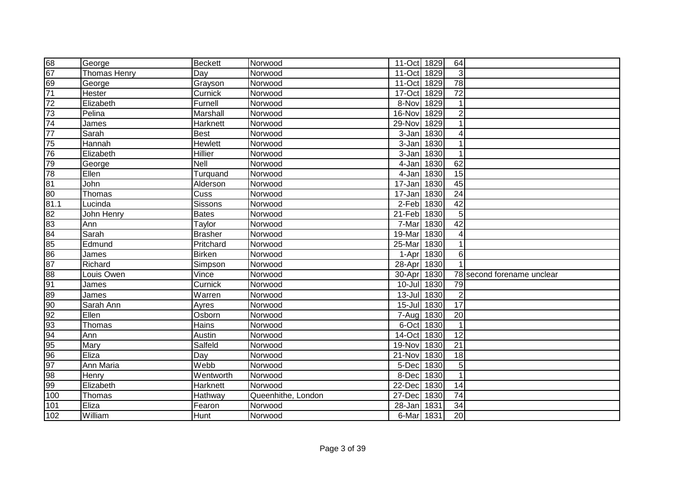| 68              | George              | <b>Beckett</b> | Norwood            | 11-Oct 1829 |      | 64              |                            |
|-----------------|---------------------|----------------|--------------------|-------------|------|-----------------|----------------------------|
| 67              | <b>Thomas Henry</b> | Day            | Norwood            | 11-Oct      | 1829 | 3               |                            |
| 69              | George              | Grayson        | Norwood            | 11-Oct      | 1829 | $\overline{78}$ |                            |
| $\overline{71}$ | <b>Hester</b>       | Curnick        | Norwood            | 17-Oct      | 1829 | $\overline{72}$ |                            |
| $\overline{72}$ | Elizabeth           | Furnell        | Norwood            | 8-Nov       | 1829 |                 |                            |
| 73              | Pelina              | Marshall       | Norwood            | 16-Nov      | 1829 | $\overline{2}$  |                            |
| $\overline{74}$ | James               | Harknett       | Norwood            | 29-Nov      | 1829 | 1               |                            |
| $\overline{77}$ | Sarah               | Best           | Norwood            | 3-Jan       | 1830 | 4               |                            |
| 75              | Hannah              | Hewlett        | Norwood            | 3-Jan 1830  |      | 1               |                            |
| 76              | Elizabeth           | <b>Hillier</b> | Norwood            | 3-Jan 1830  |      |                 |                            |
| 79              | George              | Nell           | Norwood            | 4-Jan 1830  |      | 62              |                            |
| 78              | Ellen               | Turquand       | Norwood            | 4-Jan 1830  |      | 15              |                            |
| 81              | John                | Alderson       | Norwood            | 17-Jan      | 1830 | $\overline{45}$ |                            |
| 80              | Thomas              | Cuss           | Norwood            | 17-Jan      | 1830 | $\overline{24}$ |                            |
| 81.1            | Lucinda             | Sissons        | Norwood            | 2-Feb       | 1830 | 42              |                            |
| 82              | John Henry          | <b>Bates</b>   | Norwood            | 21-Feb      | 1830 | 5               |                            |
| 83              | Ann                 | Taylor         | Norwood            | 7-Mar       | 1830 | 42              |                            |
| 84              | Sarah               | Brasher        | Norwood            | 19-Mar      | 1830 | 4               |                            |
| 85              | Edmund              | Pritchard      | Norwood            | 25-Mar      | 1830 | 1               |                            |
| 86              | James               | Birken         | Norwood            | 1-Apr 1830  |      | 6               |                            |
| 87              | Richard             | Simpson        | Norwood            | 28-Apr 1830 |      | $\overline{1}$  |                            |
| 88              | Louis Owen          | Vince          | Norwood            | 30-Apr 1830 |      |                 | 78 second forename unclear |
| 91              | James               | Curnick        | Norwood            | 10-Jul 1830 |      | 79              |                            |
| 89              | James               | Warren         | Norwood            | 13-Jul 1830 |      | $\overline{2}$  |                            |
| 90              | Sarah Ann           | Ayres          | Norwood            | 15-Jul 1830 |      | 17              |                            |
| 92              | Ellen               | Osborn         | Norwood            | 7-Aug 1830  |      | $\overline{20}$ |                            |
| 93              | Thomas              | Hains          | Norwood            | 6-Oct 1830  |      | $\mathbf{1}$    |                            |
| 94              | Ann                 | Austin         | Norwood            | 14-Oct      | 1830 | 12              |                            |
| 95              | Mary                | Salfeld        | Norwood            | 19-Nov      | 1830 | 21              |                            |
| 96              | Eliza               | Day            | Norwood            | 21-Nov      | 1830 | 18              |                            |
| 97              | Ann Maria           | Webb           | Norwood            | 5-Dec 1830  |      | 5               |                            |
| 98              | Henry               | Wentworth      | Norwood            | 8-Dec 1830  |      | $\mathbf{1}$    |                            |
| 99              | Elizabeth           | Harknett       | Norwood            | 22-Dec      | 1830 | 14              |                            |
| 100             | Thomas              | Hathway        | Queenhithe, London | 27-Dec      | 1830 | 74              |                            |
| 101             | Eliza               | Fearon         | Norwood            | 28-Jan      | 1831 | 34              |                            |
| 102             | William             | Hunt           | Norwood            | 6-Mar 1831  |      | 20              |                            |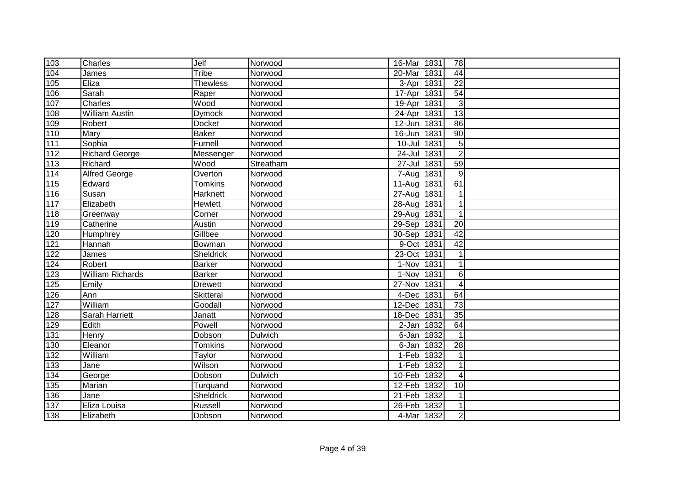| 103               | Charles                 | Jelf            | Norwood   | 16-Mar 1831        | 78                      |  |
|-------------------|-------------------------|-----------------|-----------|--------------------|-------------------------|--|
| 104               | James                   | Tribe           | Norwood   | 20-Mar<br>1831     | 44                      |  |
| $\frac{105}{105}$ | Eliza                   | <b>Thewless</b> | Norwood   | 3-Apr<br>1831      | $\overline{22}$         |  |
| 106               | Sarah                   | Raper           | Norwood   | 1831<br>17-Apr     | 54                      |  |
| $\overline{107}$  | Charles                 | Wood            | Norwood   | 1831<br>19-Apr     | 3                       |  |
| 108               | <b>William Austin</b>   | <b>Dymock</b>   | Norwood   | 1831<br>24-Apr     | $\overline{13}$         |  |
| 109               | Robert                  | <b>Docket</b>   | Norwood   | 12-Jun 1831        | 86                      |  |
| 110               | Mary                    | <b>Baker</b>    | Norwood   | 16-Jun 1831        | 90                      |  |
| $\overline{111}$  | Sophia                  | Furnell         | Norwood   | 10-Jul 1831        | 5                       |  |
| 112               | <b>Richard George</b>   | Messenger       | Norwood   | 24-Jul 1831        | $\overline{2}$          |  |
| 113               | Richard                 | Wood            | Streatham | 1831<br>$27 -$ Jul | 59                      |  |
| 114               | <b>Alfred George</b>    | Overton         | Norwood   | 1831<br>7-Aug      | $\overline{9}$          |  |
| $\frac{115}{115}$ | Edward                  | <b>Tomkins</b>  | Norwood   | 1831<br>$11-Auq$   | 61                      |  |
| 116               | Susan                   | Harknett        | Norwood   | 1831<br>27-Aug     | 1                       |  |
| $\frac{117}{117}$ | Elizabeth               | Hewlett         | Norwood   | 28-Aug 1831        | $\mathbf 1$             |  |
| 118               | Greenway                | Corner          | Norwood   | 29-Aug<br>1831     | $\mathbf{1}$            |  |
| 119               | Catherine               | Austin          | Norwood   | 29-Sep<br>1831     | 20                      |  |
| 120               | Humphrey                | Gillbee         | Norwood   | 30-Sep 1831        | 42                      |  |
| $121$             | Hannah                  | Bowman          | Norwood   | 9-Oct<br>1831      | 42                      |  |
| 122               | James                   | Sheldrick       | Norwood   | 23-Oct<br>1831     | $\mathbf{1}$            |  |
| 124               | Robert                  | Barker          | Norwood   | 1-Nov<br>1831      | 1                       |  |
| $\overline{123}$  | <b>William Richards</b> | <b>Barker</b>   | Norwood   | 1-Nov<br>1831      | 6                       |  |
| 125               | Emily                   | <b>Drewett</b>  | Norwood   | 27-Nov<br>1831     | $\overline{4}$          |  |
| 126               | Ann                     | Skitteral       | Norwood   | 1831<br>4-Dec      | 64                      |  |
| 127               | William                 | Goodall         | Norwood   | 1831<br>12-Dec     | $\overline{73}$         |  |
| 128               | Sarah Harriett          | Janatt          | Norwood   | 1831<br>18-Dec     | 35                      |  |
| 129               | Edith                   | Powell          | Norwood   | 1832<br>$2-Jan$    | 64                      |  |
| 131               | Henry                   | Dobson          | Dulwich   | 1832<br>6-Jan      | $\mathbf{1}$            |  |
| $\sqrt{130}$      | Eleanor                 | <b>Tomkins</b>  | Norwood   | 6-Jan<br>1832      | 28                      |  |
| $132$             | William                 | Taylor          | Norwood   | 1-Feb<br>1832      | $\mathbf{1}$            |  |
| $\overline{133}$  | Jane                    | Wilson          | Norwood   | 1-Feb<br>1832      | $\mathbf 1$             |  |
| 134               | George                  | Dobson          | Dulwich   | 10-Feb<br>1832     | $\overline{\mathbf{4}}$ |  |
| $135$             | Marian                  | Turquand        | Norwood   | 12-Feb<br>1832     | 10                      |  |
| 136               | Jane                    | Sheldrick       | Norwood   | 21-Feb 1832        | 1                       |  |
| 137               | Eliza Louisa            | Russell         | Norwood   | 26-Feb 1832        | $\mathbf 1$             |  |
| 138               | Elizabeth               | Dobson          | Norwood   | 4-Mar 1832         | $\overline{2}$          |  |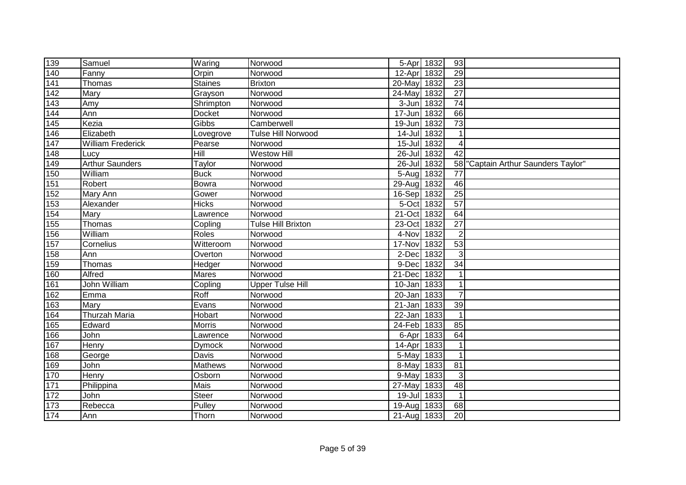| 139              | Samuel                   | Waring        | Norwood                   |             | 5-Apr 1832 | 93              |                                  |
|------------------|--------------------------|---------------|---------------------------|-------------|------------|-----------------|----------------------------------|
| 140              | Fanny                    | Orpin         | Norwood                   | $12-Apr$    | 1832       | 29              |                                  |
| 141              | Thomas                   | Staines       | <b>Brixton</b>            | 20-May      | 1832       | $\overline{23}$ |                                  |
| 142              | Mary                     | Grayson       | Norwood                   | 24-May      | 1832       | $\overline{27}$ |                                  |
| $\overline{143}$ | Amy                      | Shrimpton     | Norwood                   | $3 - Jun$   | 1832       | $\overline{74}$ |                                  |
| 144              | Ann                      | Docket        | Norwood                   | 17-Jun      | 1832       | 66              |                                  |
| 145              | Kezia                    | Gibbs         | Camberwell                | 19-Jun      | 1832       | $\overline{73}$ |                                  |
| 146              | Elizabeth                | Lovegrove     | <b>Tulse Hill Norwood</b> | 14-Jul      | 1832       | $\mathbf 1$     |                                  |
| 147              | <b>William Frederick</b> | Pearse        | Norwood                   | $15 -$ Jul  | 1832       | 4               |                                  |
| 148              | Lucy                     | Hill          | <b>Westow Hill</b>        | $26$ -Jul   | 1832       | $\overline{42}$ |                                  |
| 149              | <b>Arthur Saunders</b>   | Taylor        | Norwood                   | $26 -$ Jul  | 1832       | 58              | "Captain Arthur Saunders Taylor" |
| 150              | William                  | <b>Buck</b>   | Norwood                   | 5-Aug       | 1832       | 77              |                                  |
| 151              | Robert                   | Bowra         | Norwood                   | 29-Aug      | 1832       | 46              |                                  |
| 152              | Mary Ann                 | Gower         | Norwood                   | 16-Sep      | 1832       | 25              |                                  |
| 153              | Alexander                | <b>Hicks</b>  | Norwood                   | 5-Oct       | 1832       | 57              |                                  |
| 154              | Mary                     | Lawrence      | Norwood                   | 21-Oct      | 1832       | 64              |                                  |
| 155              | Thomas                   | Copling       | <b>Tulse Hill Brixton</b> | 23-Oct      | 1832       | 27              |                                  |
| 156              | William                  | Roles         | Norwood                   | 4-Nov       | 1832       | $\overline{2}$  |                                  |
| 157              | Cornelius                | Witteroom     | Norwood                   | 17-Nov      | 1832       | 53              |                                  |
| 158              | Ann                      | Overton       | Norwood                   | 2-Dec       | 1832       | 3               |                                  |
| 159              | Thomas                   | Hedger        | Norwood                   | 9-Dec 1832  |            | 34              |                                  |
| 160              | Alfred                   | Mares         | Norwood                   | 21-Dec      | 1832       |                 |                                  |
| 161              | John William             | Copling       | <b>Upper Tulse Hill</b>   | 10-Jan      | 1833       | 1               |                                  |
| 162              | Emma                     | Roff          | Norwood                   | $20 - Jan$  | 1833       | $\overline{7}$  |                                  |
| 163              | Mary                     | Evans         | Norwood                   | 21-Jan 1833 |            | 39              |                                  |
| 164              | <b>Thurzah Maria</b>     | Hobart        | Norwood                   | 22-Jan 1833 |            | $\overline{1}$  |                                  |
| 165              | Edward                   | <b>Morris</b> | Norwood                   | 24-Feb 1833 |            | 85              |                                  |
| 166              | John                     | Lawrence      | Norwood                   | 6-Apr       | 1833       | 64              |                                  |
| 167              | <b>Henry</b>             | Dymock        | Norwood                   | 14-Apr      | 1833       | $\mathbf 1$     |                                  |
| 168              | George                   | Davis         | Norwood                   | 5-May       | 1833       | $\overline{1}$  |                                  |
| <u>169</u>       | John                     | Mathews       | Norwood                   | 8-May       | 1833       | 81              |                                  |
| 170              | Henry                    | Osborn        | Norwood                   | 9-May       | 1833       | $\mathbf{3}$    |                                  |
| $\overline{171}$ | Philippina               | Mais          | Norwood                   | 27-May      | 1833       | 48              |                                  |
| $172$            | John                     | <b>Steer</b>  | Norwood                   | $19 -$ Jul  | 1833       | $\mathbf 1$     |                                  |
| $\sqrt{173}$     | Rebecca                  | Pulley        | Norwood                   | 19-Aug      | 1833       | 68              |                                  |
| 174              | Ann                      | Thorn         | Norwood                   | 21-Aug 1833 |            | 20              |                                  |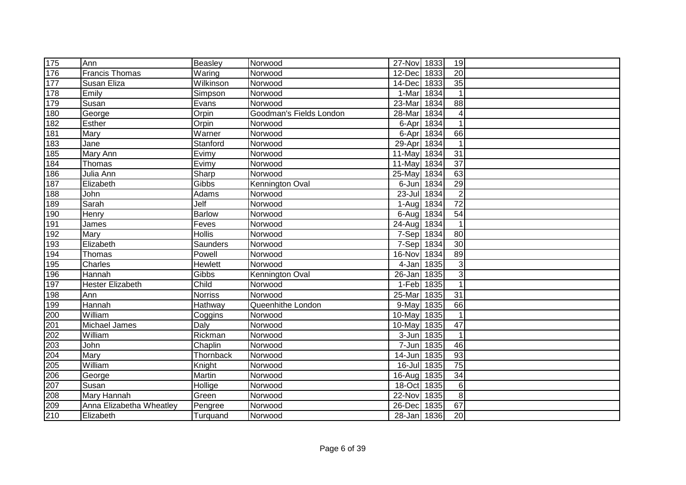| $\overline{175}$ | Ann                      | Beasley        | Norwood                 | 27-Nov 1833        | 19              |  |
|------------------|--------------------------|----------------|-------------------------|--------------------|-----------------|--|
| 176              | <b>Francis Thomas</b>    | Waring         | Norwood                 | 12-Dec<br>1833     | 20              |  |
| 177              | Susan Eliza              | Wilkinson      | Norwood                 | 1833<br>14-Dec     | 35              |  |
| 178              | Emily                    | Simpson        | Norwood                 | 1-Mar<br>1834      | $\mathbf{1}$    |  |
| 179              | Susan                    | Evans          | Norwood                 | 23-Mar<br>1834     | 88              |  |
| 180              | George                   | Orpin          | Goodman's Fields London | 28-Mar<br>1834     | 4               |  |
| 182              | <b>Esther</b>            | Orpin          | Norwood                 | 1834<br>6-Apr      | $\overline{1}$  |  |
| 181              | Mary                     | Warner         | Norwood                 | 1834<br>6-Apr      | 66              |  |
| 183              | Jane                     | Stanford       | Norwood                 | 1834<br>29-Apr     | $\mathbf{1}$    |  |
| 185              | Mary Ann                 | Evimy          | Norwood                 | 1834<br>11-May     | $\overline{31}$ |  |
| 184              | Thomas                   | Evimy          | Norwood                 | 1834<br>11-May     | 37              |  |
| 186              | Julia Ann                | Sharp          | Norwood                 | 1834<br>25-May     | 63              |  |
| 187              | Elizabeth                | Gibbs          | Kennington Oval         | 1834<br>6-Jun      | 29              |  |
| 188              | John                     | Adams          | Norwood                 | 1834<br>$23 -$ Jul | $\overline{2}$  |  |
| 189              | Sarah                    | Jelf           | Norwood                 | 1834<br>1-Aug      | 72              |  |
| 190              | Henry                    | <b>Barlow</b>  | Norwood                 | 1834<br>6-Aug      | 54              |  |
| 191              | James                    | Feves          | Norwood                 | 24-Aug<br>1834     | $\mathbf{1}$    |  |
| 192              | Mary                     | <b>Hollis</b>  | Norwood                 | 7-Sep<br>1834      | 80              |  |
| 193              | Elizabeth                | Saunders       | Norwood                 | 7-Sep<br>1834      | 30              |  |
| 194              | Thomas                   | Powell         | Norwood                 | 16-Nov<br>1834     | 89              |  |
| 195              | Charles                  | Hewlett        | Norwood                 | 4-Jan 1835         | 3               |  |
| 196              | Hannah                   | Gibbs          | Kennington Oval         | 26-Jan 1835        | $\mathbf{3}$    |  |
| 197              | <b>Hester Elizabeth</b>  | Child          | Norwood                 | 1-Feb 1835         | $\mathbf{1}$    |  |
| 198              | Ann                      | <b>Norriss</b> | Norwood                 | 25-Mar<br>1835     | 31              |  |
| 199              | Hannah                   | Hathway        | Queenhithe London       | 1835<br>9-May      | 66              |  |
| $\frac{1}{200}$  | William                  | Coggins        | Norwood                 | 1835<br>10-May     | $\mathbf{1}$    |  |
| 201              | Michael James            | Daly           | Norwood                 | 1835<br>10-May     | $\overline{47}$ |  |
| 202              | William                  | Rickman        | Norwood                 | 1835<br>3-Jun      | 1               |  |
| 203              | John                     | Chaplin        | Norwood                 | 1835<br>7-Jun      | 46              |  |
| 204              | Mary                     | Thornback      | Norwood                 | 1835<br>14-Jun     | 93              |  |
| 205              | William                  | Knight         | Norwood                 | 1835<br>$16 -$ Jul | $\overline{75}$ |  |
| 206              | George                   | Martin         | Norwood                 | 1835<br>16-Aug     | 34              |  |
| 207              | Susan                    | Hollige        | Norwood                 | 18-Oct<br>1835     | 6               |  |
| 208              | Mary Hannah              | Green          | Norwood                 | 22-Nov<br>1835     | 8               |  |
| 209              | Anna Elizabetha Wheatley | Pengree        | Norwood                 | 1835<br>26-Dec     | 67              |  |
| 210              | Elizabeth                | Turquand       | Norwood                 | 28-Jan 1836        | 20              |  |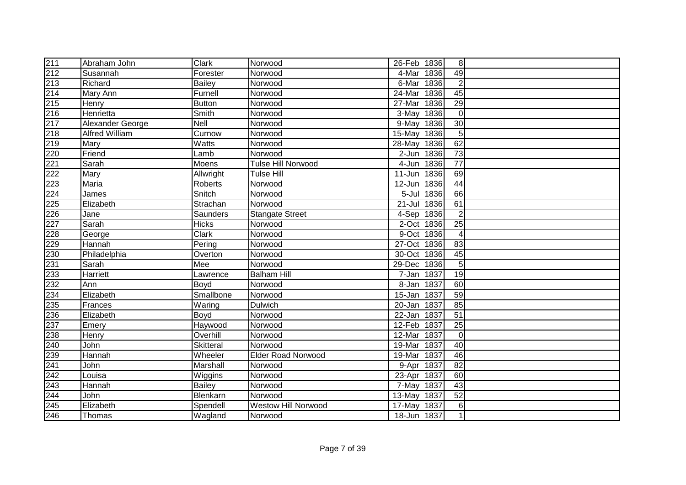| 211              | Abraham John     | <b>Clark</b>  | Norwood                    | 26-Feb 1836 |            | 8               |  |
|------------------|------------------|---------------|----------------------------|-------------|------------|-----------------|--|
| 212              | Susannah         | Forester      | Norwood                    | 4-Mar       | 1836       | 49              |  |
| 213              | Richard          | <b>Bailey</b> | Norwood                    | 6-Mar       | 1836       | $\overline{2}$  |  |
| 214              | Mary Ann         | Furnell       | Norwood                    | 24-Mar      | 1836       | 45              |  |
| 215              | Henry            | <b>Button</b> | Norwood                    | 27-Mar      | 1836       | 29              |  |
| $\overline{216}$ | Henrietta        | Smith         | Norwood                    | 3-May       | 1836       | $\overline{0}$  |  |
| 217              | Alexander George | Nell          | Norwood                    | 9-May       | 1836       | $\overline{30}$ |  |
| 218              | Alfred William   | Curnow        | Norwood                    | 15-May      | 1836       | 5               |  |
| 219              | Mary             | Watts         | Norwood                    | 28-May      | 1836       | 62              |  |
| 220              | Friend           | Lamb          | Norwood                    | 2-Jun 1836  |            | $\overline{73}$ |  |
| 221              | Sarah            | Moens         | <b>Tulse Hill Norwood</b>  | 4-Jun 1836  |            | $\overline{77}$ |  |
| 222              | Mary             | Allwright     | <b>Tulse Hill</b>          | $11 - Jun$  | 1836       | 69              |  |
| 223              | Maria            | Roberts       | Norwood                    | 12-Jun      | 1836       | 44              |  |
| 224              | James            | Snitch        | Norwood                    |             | 5-Jul 1836 | 66              |  |
| 225              | Elizabeth        | Strachan      | Norwood                    | $21 -$ Jul  | 1836       | 61              |  |
| 226              | Jane             | Saunders      | <b>Stangate Street</b>     | 4-Sep 1836  |            | $\overline{2}$  |  |
| $\overline{2}27$ | Sarah            | <b>Hicks</b>  | Norwood                    | 2-Oct       | 1836       | 25              |  |
| $\overline{228}$ | George           | <b>Clark</b>  | Norwood                    | 9-Oct       | 1836       | $\overline{4}$  |  |
| 229              | Hannah           | Pering        | Norwood                    | 27-Oct      | 1836       | 83              |  |
| $\overline{230}$ | Philadelphia     | Overton       | Norwood                    | 30-Oct 1836 |            | 45              |  |
| 231              | Sarah            | Mee           | Norwood                    | 29-Dec 1836 |            | 5               |  |
| 233              | Harriett         | Lawrence      | <b>Balham Hill</b>         | 7-Jan 1837  |            | 19              |  |
| 232              | Ann              | Boyd          | Norwood                    | 8-Jan 1837  |            | 60              |  |
| 234              | Elizabeth        | Smallbone     | Norwood                    | 15-Jan 1837 |            | 59              |  |
| 235              | Frances          | Waring        | Dulwich                    | 20-Jan 1837 |            | 85              |  |
| 236              | Elizabeth        | Boyd          | Norwood                    | 22-Jan 1837 |            | $\overline{51}$ |  |
| 237              | Emery            | Haywood       | Norwood                    | 12-Feb 1837 |            | $\overline{25}$ |  |
| 238              | Henry            | Overhill      | Norwood                    | 12-Mar      | 1837       | $\overline{0}$  |  |
| 240              | John             | Skitteral     | Norwood                    | 19-Mar      | 1837       | 40              |  |
| 239              | Hannah           | Wheeler       | <b>Elder Road Norwood</b>  | 19-Mar      | 1837       | 46              |  |
| 241              | John             | Marshall      | Norwood                    | 9-Apr 1837  |            | $\overline{82}$ |  |
| $\overline{242}$ | Louisa           | Wiggins       | Norwood                    | 23-Apr 1837 |            | 60              |  |
| 243              | Hannah           | <b>Bailey</b> | Norwood                    | 7-May       | 1837       | 43              |  |
| $\overline{244}$ | John             | Blenkarn      | Norwood                    | 13-May      | 1837       | $\overline{52}$ |  |
| 245              | Elizabeth        | Spendell      | <b>Westow Hill Norwood</b> | 17-May      | 1837       | 6               |  |
| 246              | Thomas           | Wagland       | Norwood                    | 18-Jun 1837 |            | $\mathbf 1$     |  |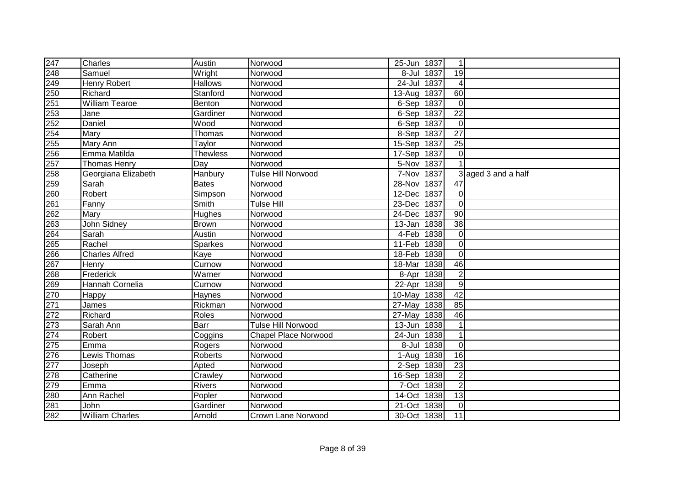| 247              | <b>Charles</b>         | Austin          | Norwood                     | 25-Jun 1837 |            | $\mathbf{1}$    |                     |
|------------------|------------------------|-----------------|-----------------------------|-------------|------------|-----------------|---------------------|
| 248              | Samuel                 | Wright          | Norwood                     |             | 8-Jul 1837 | 19              |                     |
| 249              | Henry Robert           | <b>Hallows</b>  | Norwood                     | 24-Jul 1837 |            | $\overline{4}$  |                     |
| $\overline{250}$ | Richard                | Stanford        | Norwood                     | $13 - Aug$  | 1837       | 60              |                     |
| 251              | <b>William Tearoe</b>  | Benton          | Norwood                     | 6-Sep 1837  |            | $\overline{0}$  |                     |
| 253              | Jane                   | Gardiner        | Norwood                     | 6-Sep 1837  |            | $\overline{22}$ |                     |
| 252              | Daniel                 | Wood            | Norwood                     | $6-Sep$     | 1837       | $\mathbf 0$     |                     |
| 254              | Mary                   | Thomas          | Norwood                     | 8-Sep 1837  |            | $\overline{27}$ |                     |
| 255              | Mary Ann               | Taylor          | Norwood                     | 15-Sep 1837 |            | $\overline{25}$ |                     |
| 256              | Emma Matilda           | <b>Thewless</b> | Norwood                     | 17-Sep      | 1837       | $\overline{0}$  |                     |
| 257              | <b>Thomas Henry</b>    | Day             | Norwood                     | 5-Nov       | 1837       |                 |                     |
| 258              | Georgiana Elizabeth    | Hanbury         | Tulse Hill Norwood          | 7-Nov       | 1837       |                 | 3 aged 3 and a half |
| 259              | Sarah                  | <b>Bates</b>    | Norwood                     | 28-Nov      | 1837       | 47              |                     |
| 260              | Robert                 | Simpson         | Norwood                     | 12-Dec      | 1837       | $\Omega$        |                     |
| 261              | Fanny                  | Smith           | <b>Tulse Hill</b>           | 23-Dec      | 1837       | $\overline{0}$  |                     |
| 262              | Mary                   | Hughes          | Norwood                     | 24-Dec      | 1837       | 90              |                     |
| 263              | John Sidney            | Brown           | Norwood                     | 13-Jan      | 1838       | 38              |                     |
| 264              | Sarah                  | Austin          | Norwood                     | 4-Feb 1838  |            | $\overline{0}$  |                     |
| 265              | Rachel                 | <b>Sparkes</b>  | Norwood                     | 11-Feb      | 1838       | $\overline{0}$  |                     |
| 266              | <b>Charles Alfred</b>  | Kaye            | Norwood                     | $18$ -Feb   | 1838       | $\overline{0}$  |                     |
| 267              | Henry                  | Curnow          | Norwood                     | 18-Mar      | 1838       | 46              |                     |
| 268              | Frederick              | Warner          | Norwood                     |             | 8-Apr 1838 | $\overline{c}$  |                     |
| $\overline{269}$ | Hannah Cornelia        | Curnow          | Norwood                     | 22-Apr 1838 |            | 9               |                     |
| 270              | Happy                  | <b>Haynes</b>   | Norwood                     | 10-May      | 1838       | 42              |                     |
| 271              | James                  | Rickman         | Norwood                     | 27-May      | 1838       | 85              |                     |
| $\overline{272}$ | Richard                | Roles           | Norwood                     | 27-May      | 1838       | 46              |                     |
| 273              | Sarah Ann              | Barr            | <b>Tulse Hill Norwood</b>   | $13 - Jun$  | 1838       | $\mathbf{1}$    |                     |
| 274              | Robert                 | Coggins         | <b>Chapel Place Norwood</b> | 24-Jun 1838 |            | $\mathbf{1}$    |                     |
| 275              | Emma                   | Rogers          | Norwood                     |             | 8-Jul 1838 | $\overline{0}$  |                     |
| 276              | Lewis Thomas           | Roberts         | Norwood                     | 1-Aug       | 1838       | 16              |                     |
| 277              | Joseph                 | Apted           | Norwood                     | 2-Sep       | 1838       | 23              |                     |
| 278              | Catherine              | Crawley         | Norwood                     | 16-Sep      | 1838       | $\overline{2}$  |                     |
| 279              | Emma                   | Rivers          | Norwood                     | 7-Oct       | 1838       | $\overline{2}$  |                     |
| 280              | Ann Rachel             | Popler          | Norwood                     | 14-Oct      | 1838       | 13              |                     |
| 281              | John                   | Gardiner        | Norwood                     | 21-Oct 1838 |            | $\overline{0}$  |                     |
| 282              | <b>William Charles</b> | Arnold          | Crown Lane Norwood          | 30-Oct 1838 |            | 11              |                     |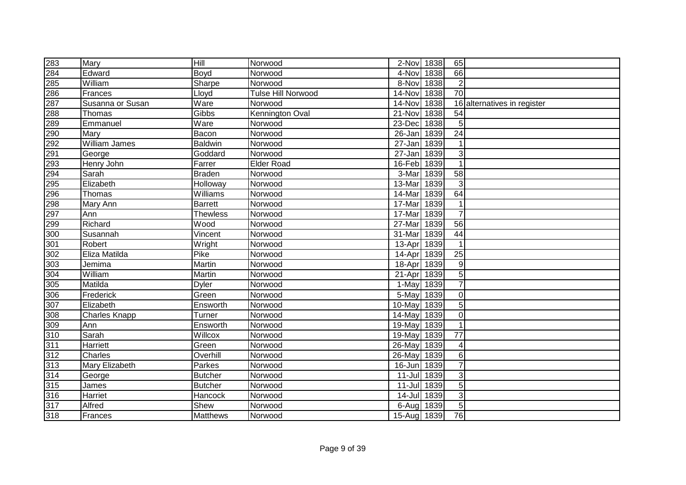| 283        | Mary                 | $\overline{H}$               | Norwood                   | 2-Nov 1838  |      | 65              |                             |
|------------|----------------------|------------------------------|---------------------------|-------------|------|-----------------|-----------------------------|
| 284        | Edward               | Boyd                         | Norwood                   | 4-Nov       | 1838 | 66              |                             |
| 285        | William              | Sharpe                       | Norwood                   | 8-Nov       | 1838 | $\overline{2}$  |                             |
| 286        | Frances              | Lloyd                        | <b>Tulse Hill Norwood</b> | 14-Nov      | 1838 | $\overline{70}$ |                             |
| 287        | Susanna or Susan     | Ware                         | Norwood                   | 14-Nov      | 1838 |                 | 16 alternatives in register |
| 288        | Thomas               | Gibbs                        | Kennington Oval           | 21-Nov      | 1838 | 54              |                             |
| 289<br>290 | Emmanuel             | Ware                         | Norwood                   | $23$ -Dec   | 1838 | 5 <sup>1</sup>  |                             |
|            | Mary                 | Bacon                        | Norwood                   | 26-Jan 1839 |      | $\overline{24}$ |                             |
| 292        | <b>William James</b> | <b>Baldwin</b>               | Norwood                   | $27 - Jan$  | 1839 | 1               |                             |
| 291        | George               | Goddard                      | Norwood                   | $27 - Jan$  | 1839 | $\overline{3}$  |                             |
| 293        | Henry John           | Farrer                       | <b>Elder Road</b>         | 16-Feb 1839 |      | 1               |                             |
| 294        | Sarah                | <b>Braden</b>                | Norwood                   | 3-Mar       | 1839 | 58              |                             |
| 295        | Elizabeth            | Holloway                     | Norwood                   | 13-Mar      | 1839 | 3               |                             |
| 296        | Thomas               | $\overline{\text{Williams}}$ | Norwood                   | 14-Mar      | 1839 | 64              |                             |
| 298        | Mary Ann             | Barrett                      | Norwood                   | 17-Mar      | 1839 | 1               |                             |
| 297        | Ann                  | <b>Thewless</b>              | Norwood                   | 17-Mar      | 1839 | $\overline{7}$  |                             |
| 299        | Richard              | Wood                         | Norwood                   | 27-Mar      | 1839 | 56              |                             |
| 300        | Susannah             | Vincent                      | Norwood                   | 31-Mar      | 1839 | 44              |                             |
| 301        | Robert               | Wright                       | Norwood                   | 13-Apr 1839 |      | 1               |                             |
| 302        | Eliza Matilda        | Pike                         | Norwood                   | 14-Apr 1839 |      | 25              |                             |
| 303        | Jemima               | Martin                       | Norwood                   | 18-Apr 1839 |      | $\overline{9}$  |                             |
| 304        | William              | Martin                       | Norwood                   | 21-Apr      | 1839 | 5 <sup>1</sup>  |                             |
| 305        | Matilda              | <b>Dyler</b>                 | Norwood                   | 1-May 1839  |      | $\overline{7}$  |                             |
| 306        | Frederick            | Green                        | Norwood                   | 5-May       | 1839 | $\overline{0}$  |                             |
| 307        | Elizabeth            | Ensworth                     | Norwood                   | 10-May      | 1839 | 5 <sup>1</sup>  |                             |
| 308        | <b>Charles Knapp</b> | Turner                       | Norwood                   | 14-May      | 1839 | $\Omega$        |                             |
| 309        | Ann                  | Ensworth                     | Norwood                   | 19-May      | 1839 |                 |                             |
| 310        | Sarah                | Willcox                      | Norwood                   | 19-May      | 1839 | 77              |                             |
| 311        | Harriett             | Green                        | Norwood                   | 26-May      | 1839 | 4               |                             |
| 312        | Charles              | Overhill                     | Norwood                   | 26-May      | 1839 | 6               |                             |
| 313        | Mary Elizabeth       | Parkes                       | Norwood                   | 16-Jun      | 1839 | $\overline{7}$  |                             |
| 314        | George               | <b>Butcher</b>               | Norwood                   | $11 -$ Jul  | 1839 | $\overline{3}$  |                             |
| 315        | James                | <b>Butcher</b>               | Norwood                   | $11 -$ Jul  | 1839 | 5 <sup>1</sup>  |                             |
| 316        | Harriet              | Hancock                      | Norwood                   | 14-Jul      | 1839 | 3 <sup>1</sup>  |                             |
| 317        | Alfred               | Shew                         | Norwood                   | 6-Aug 1839  |      | $5\vert$        |                             |
| 318        | Frances              | Matthews                     | Norwood                   | 15-Aug 1839 |      | 76              |                             |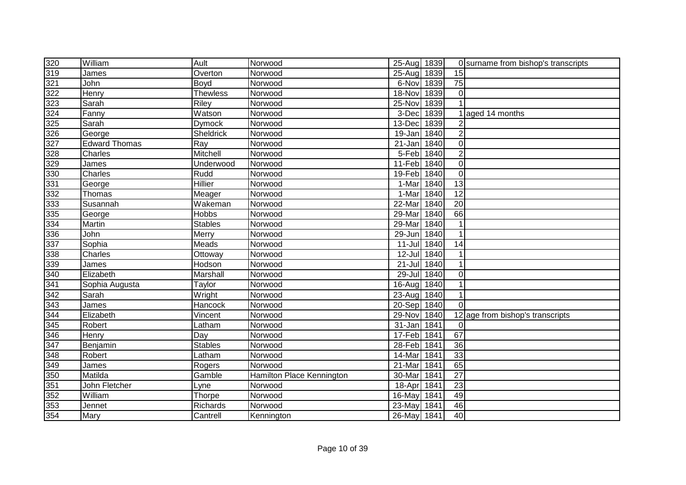| 320 | William              | Ault            | Norwood                   | 25-Aug 1839 |      |                 | 0 surname from bishop's transcripts |
|-----|----------------------|-----------------|---------------------------|-------------|------|-----------------|-------------------------------------|
| 319 | James                | Overton         | Norwood                   | $25 - Aug$  | 1839 | 15              |                                     |
| 321 | John                 | Boyd            | Norwood                   | 6-Nov       | 1839 | $\overline{75}$ |                                     |
| 322 | Henry                | <b>Thewless</b> | Norwood                   | 18-Nov      | 1839 | $\overline{0}$  |                                     |
| 323 | Sarah                | <b>Riley</b>    | Norwood                   | 25-Nov      | 1839 |                 |                                     |
| 324 | Fanny                | Watson          | Norwood                   | 3-Dec       | 1839 |                 | aged 14 months                      |
| 325 | Sarah                | <b>Dymock</b>   | Norwood                   | 13-Dec      | 1839 |                 |                                     |
| 326 | George               | Sheldrick       | Norwood                   | 19-Jan      | 1840 | $\overline{2}$  |                                     |
| 327 | <b>Edward Thomas</b> | Ray             | Norwood                   | 21-Jan      | 1840 | $\mathbf 0$     |                                     |
| 328 | Charles              | Mitchell        | Norwood                   | 5-Feb 1840  |      | $\overline{2}$  |                                     |
| 329 | James                | Underwood       | Norwood                   | 11-Feb      | 1840 | $\mathbf 0$     |                                     |
| 330 | Charles              | Rudd            | Norwood                   | 19-Feb      | 1840 | $\mathbf 0$     |                                     |
| 331 | George               | Hillier         | Norwood                   | 1-Mar       | 1840 | $\overline{13}$ |                                     |
| 332 | Thomas               | Meager          | Norwood                   | 1-Mar       | 1840 | $\overline{12}$ |                                     |
| 333 | Susannah             | Wakeman         | Norwood                   | 22-Mar      | 1840 | 20              |                                     |
| 335 | George               | Hobbs           | Norwood                   | 29-Mar      | 1840 | 66              |                                     |
| 334 | Martin               | <b>Stables</b>  | Norwood                   | 29-Mar      | 1840 |                 |                                     |
| 336 | John                 | Merry           | Norwood                   | 29-Jun      | 1840 |                 |                                     |
| 337 | Sophia               | Meads           | Norwood                   | $11 -$ Jul  | 1840 | 14              |                                     |
| 338 | Charles              | Ottoway         | Norwood                   | 12-Jul 1840 |      |                 |                                     |
| 339 | James                | Hodson          | Norwood                   | 21-Jul 1840 |      |                 |                                     |
| 340 | Elizabeth            | Marshall        | Norwood                   | 29-Jul 1840 |      | $\mathbf 0$     |                                     |
| 341 | Sophia Augusta       | Taylor          | Norwood                   | 16-Aug      | 1840 |                 |                                     |
| 342 | Sarah                | Wright          | Norwood                   | 23-Aug      | 1840 | 1               |                                     |
| 343 | James                | Hancock         | Norwood                   | 20-Sep      | 1840 | $\Omega$        |                                     |
| 344 | Elizabeth            | Vincent         | Norwood                   | 29-Nov      | 1840 | 12              | age from bishop's transcripts       |
| 345 | Robert               | Latham          | Norwood                   | 31-Jan 1841 |      | $\Omega$        |                                     |
| 346 | Henry                | Day             | Norwood                   | 17-Feb 1841 |      | 67              |                                     |
| 347 | Benjamin             | <b>Stables</b>  | Norwood                   | 28-Feb      | 1841 | 36              |                                     |
| 348 | Robert               | Latham          | Norwood                   | 14-Mar      | 1841 | 33              |                                     |
| 349 | James                | Rogers          | Norwood                   | 21-Mar      | 1841 | 65              |                                     |
| 350 | Matilda              | Gamble          | Hamilton Place Kennington | 30-Mar      | 1841 | $\overline{27}$ |                                     |
| 351 | John Fletcher        | Lyne            | Norwood                   | 18-Apr      | 1841 | 23              |                                     |
| 352 | William              | Thorpe          | Norwood                   | 16-May      | 1841 | 49              |                                     |
| 353 | Jennet               | Richards        | Norwood                   | 23-May      | 1841 | 46              |                                     |
| 354 | Mary                 | Cantrell        | Kennington                | 26-May 1841 |      | 40              |                                     |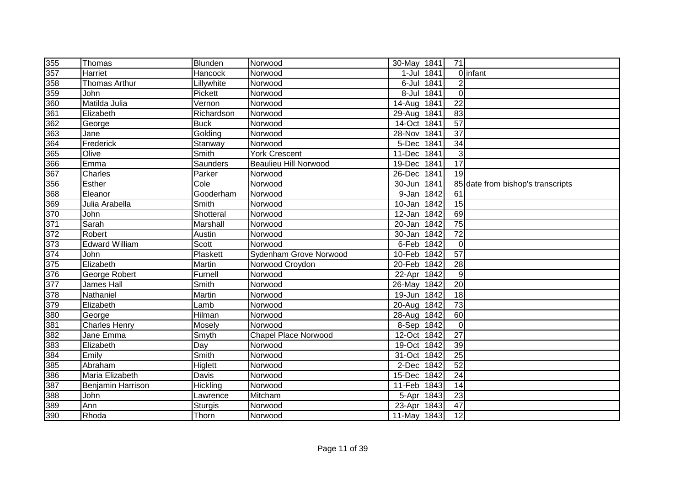| 355                   | Thomas                | Blunden        | Norwood                      | 30-May 1841 |            | 71              |                                   |
|-----------------------|-----------------------|----------------|------------------------------|-------------|------------|-----------------|-----------------------------------|
| 357                   | Harriet               | Hancock        | Norwood                      |             | 1-Jul 1841 |                 | 0 infant                          |
| 358                   | <b>Thomas Arthur</b>  | Lillywhite     | Norwood                      |             | 6-Jul 1841 | $\overline{2}$  |                                   |
| 359                   | John                  | Pickett        | Norwood                      |             | 8-Jul 1841 | $\overline{0}$  |                                   |
| 360                   | Matilda Julia         | Vernon         | Norwood                      | $14 - Aug$  | 1841       | $\overline{22}$ |                                   |
| 361                   | Elizabeth             | Richardson     | Norwood                      | 29-Aug      | 1841       | $\overline{83}$ |                                   |
| 362                   | George                | <b>Buck</b>    | Norwood                      | 14-Oct      | 1841       | $\overline{57}$ |                                   |
| 363                   | Jane                  | Golding        | Norwood                      | 28-Nov      | 1841       | $\overline{37}$ |                                   |
| 364                   | Frederick             | Stanway        | Norwood                      | 5-Dec       | 1841       | $\overline{34}$ |                                   |
| 365                   | Olive                 | Smith          | <b>York Crescent</b>         | 11-Dec      | 1841       | 3               |                                   |
| 366                   | Emma                  | Saunders       | <b>Beaulieu Hill Norwood</b> | 19-Dec 1841 |            | $\overline{17}$ |                                   |
| 367                   | Charles               | Parker         | Norwood                      | 26-Dec      | 1841       | 19              |                                   |
| 356                   | Esther                | Cole           | Norwood                      | 30-Jun      | 1841       |                 | 85 date from bishop's transcripts |
| 368                   | Eleanor               | Gooderham      | Norwood                      | 9-Jan 1842  |            | 61              |                                   |
| 369                   | Julia Arabella        | Smith          | Norwood                      | 10-Jan      | 1842       | 15              |                                   |
| 370                   | John                  | Shotteral      | Norwood                      | 12-Jan      | 1842       | 69              |                                   |
| $\frac{1}{371}$       | Sarah                 | Marshall       | Norwood                      | $20 - Jan$  | 1842       | 75              |                                   |
| 372                   | Robert                | Austin         | Norwood                      | 30-Jan      | 1842       | $\overline{72}$ |                                   |
| 373                   | <b>Edward William</b> | <b>Scott</b>   | Norwood                      | 6-Feb 1842  |            | $\overline{0}$  |                                   |
| 374                   | John                  | Plaskett       | Sydenham Grove Norwood       | 10-Feb 1842 |            | 57              |                                   |
| 375                   | Elizabeth             | Martin         | Norwood Croydon              | 20-Feb 1842 |            | $\overline{28}$ |                                   |
| 376                   | George Robert         | Furnell        | Norwood                      | 22-Apr      | 1842       | 9               |                                   |
| 377                   | James Hall            | Smith          | Norwood                      | 26-May 1842 |            | $\overline{20}$ |                                   |
| 378                   | Nathaniel             | Martin         | Norwood                      | 19-Jun 1842 |            | 18              |                                   |
| 379                   | Elizabeth             | Lamb           | Norwood                      | 20-Aug 1842 |            | 73              |                                   |
| $rac{12}{380}$<br>381 | George                | Hilman         | Norwood                      | 28-Aug 1842 |            | 60              |                                   |
|                       | <b>Charles Henry</b>  | Mosely         | Norwood                      | 8-Sep 1842  |            | $\mathbf 0$     |                                   |
| 382                   | Jane Emma             | Smyth          | <b>Chapel Place Norwood</b>  | 12-Oct 1842 |            | 27              |                                   |
| 383                   | Elizabeth             | Day            | Norwood                      | 19-Oct 1842 |            | 39              |                                   |
| 384                   | Emily                 | Smith          | Norwood                      | 31-Oct 1842 |            | 25              |                                   |
| 385                   | Abraham               | <b>Higlett</b> | Norwood                      | 2-Dec 1842  |            | 52              |                                   |
| 386                   | Maria Elizabeth       | Davis          | Norwood                      | 15-Dec 1842 |            | 24              |                                   |
| 387                   | Benjamin Harrison     | Hickling       | Norwood                      | 11-Feb      | 1843       | 14              |                                   |
| 388                   | John                  | Lawrence       | Mitcham                      | 5-Apr       | 1843       | 23              |                                   |
| 389                   | Ann                   | Sturgis        | Norwood                      | 23-Apr      | 1843       | 47              |                                   |
| 390                   | Rhoda                 | Thorn          | Norwood                      | 11-May 1843 |            | $\overline{12}$ |                                   |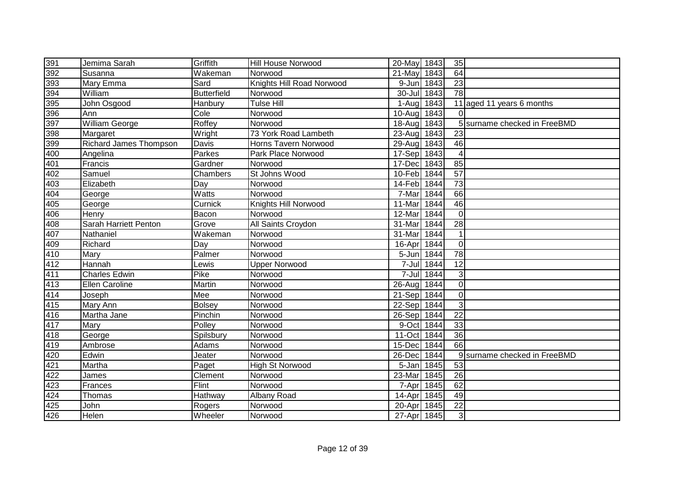| 391               | Jemima Sarah                  | Griffith           | Hill House Norwood        | 20-May 1843 |            | 35              |                              |
|-------------------|-------------------------------|--------------------|---------------------------|-------------|------------|-----------------|------------------------------|
| 392               | Susanna                       | Wakeman            | Norwood                   | 21-May      | 1843       | 64              |                              |
| 393               | Mary Emma                     | Sard               | Knights Hill Road Norwood | 9-Jun 1843  |            | 23              |                              |
| 394               | William                       | <b>Butterfield</b> | Norwood                   | 30-Jul 1843 |            | 78              |                              |
| 395               | John Osgood                   | Hanbury            | <b>Tulse Hill</b>         | $1-Auq$     | 1843       |                 | 11 aged 11 years 6 months    |
| 396               | Ann                           | Cole               | Norwood                   | $10 - Aug$  | 1843       | $\Omega$        |                              |
| 397               | <b>William George</b>         | Roffey             | Norwood                   | 18-Aug 1843 |            |                 | 5 surname checked in FreeBMD |
| 398<br>399        | Margaret                      | Wright             | 73 York Road Lambeth      | 23-Aug 1843 |            | 23              |                              |
|                   | <b>Richard James Thompson</b> | Davis              | Horns Tavern Norwood      | 29-Aug      | 1843       | 46              |                              |
| 400               | Angelina                      | Parkes             | Park Place Norwood        | 17-Sep      | 1843       | 4               |                              |
| 401               | Francis                       | Gardner            | Norwood                   | 17-Dec      | 1843       | 85              |                              |
| 402               | Samuel                        | Chambers           | St Johns Wood             | 10-Feb      | 1844       | 57              |                              |
| 403               | Elizabeth                     | Day                | Norwood                   | 14-Feb      | 1844       | $\overline{73}$ |                              |
| 404               | George                        | Watts              | Norwood                   | 7-Mar       | 1844       | 66              |                              |
| 405               | George                        | Curnick            | Knights Hill Norwood      | 11-Mar      | 1844       | 46              |                              |
| 406               | Henry                         | Bacon              | Norwood                   | 12-Mar      | 1844       | $\Omega$        |                              |
| 408               | Sarah Harriett Penton         | Grove              | All Saints Croydon        | 31-Mar      | 1844       | 28              |                              |
| 407               | Nathaniel                     | Wakeman            | Norwood                   | 31-Mar      | 1844       |                 |                              |
| 409               | Richard                       | Day                | Norwood                   | 16-Apr 1844 |            | $\overline{0}$  |                              |
| 410               | Mary                          | Palmer             | Norwood                   | 5-Jun 1844  |            | 78              |                              |
| 412               | Hannah                        | Lewis              | <b>Upper Norwood</b>      |             | 7-Jul 1844 | 12              |                              |
| $\frac{411}{413}$ | <b>Charles Edwin</b>          | Pike               | Norwood                   |             | 7-Jul 1844 | 3 <sup>1</sup>  |                              |
|                   | Ellen Caroline                | Martin             | Norwood                   | 26-Aug 1844 |            | $\overline{0}$  |                              |
| 414               | Joseph                        | Mee                | Norwood                   | 21-Sep      | 1844       | $\overline{0}$  |                              |
| 415               | <b>Mary Ann</b>               | Bolsey             | Norwood                   | 22-Sep      | 1844       | $\overline{3}$  |                              |
| 416               | Martha Jane                   | Pinchin            | Norwood                   | 26-Sep      | 1844       | $\overline{22}$ |                              |
| 417               | Mary                          | Polley             | Norwood                   | 9-Oct       | 1844       | 33              |                              |
| 418               | George                        | Spilsbury          | Norwood                   | 11-Oct      | 1844       | 36              |                              |
| 419               | Ambrose                       | Adams              | Norwood                   | 15-Dec      | 1844       | 66              |                              |
| 420               | Edwin                         | Jeater             | Norwood                   | 26-Dec      | 1844       |                 | 9 surname checked in FreeBMD |
| 421               | Martha                        | Paget              | <b>High St Norwood</b>    | 5-Jan       | 1845       | 53              |                              |
| 422               | James                         | Clement            | Norwood                   | 23-Mar      | 1845       | 26              |                              |
| 423               | Frances                       | Flint              | Norwood                   |             | 7-Apr 1845 | 62              |                              |
| 424               | Thomas                        | Hathway            | Albany Road               | 14-Apr 1845 |            | 49              |                              |
| 425               | John                          | Rogers             | Norwood                   | 20-Apr 1845 |            | 22              |                              |
| 426               | Helen                         | Wheeler            | Norwood                   | 27-Apr 1845 |            | $\overline{3}$  |                              |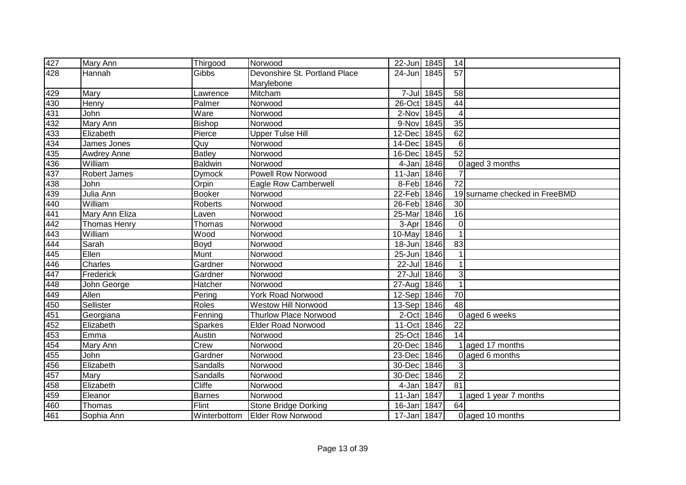| 427                      | Mary Ann            | Thirgood       | Norwood                       | 22-Jun 1845 |            | 14              |                               |
|--------------------------|---------------------|----------------|-------------------------------|-------------|------------|-----------------|-------------------------------|
| 428                      | Hannah              | Gibbs          | Devonshire St. Portland Place | 24-Jun 1845 |            | 57              |                               |
|                          |                     |                | Marylebone                    |             |            |                 |                               |
| 429                      | Mary                | Lawrence       | Mitcham                       |             | 7-Jul 1845 | 58              |                               |
|                          | <b>Henry</b>        | Palmer         | Norwood                       | $26$ -Oct   | 1845       | 44              |                               |
| $\frac{1}{430}$<br>$431$ | John                | Ware           | Norwood                       | 2-Nov 1845  |            | 4               |                               |
| 432                      | Mary Ann            | <b>Bishop</b>  | Norwood                       | 9-Nov       | 1845       | $\overline{35}$ |                               |
| 433                      | Elizabeth           | Pierce         | <b>Upper Tulse Hill</b>       | 12-Dec      | 1845       | 62              |                               |
| 434                      | James Jones         | Quy            | Norwood                       | 14-Dec      | 1845       | 6               |                               |
| 435                      | <b>Awdrey Anne</b>  | <b>Batley</b>  | Norwood                       | 16-Dec      | 1845       | $\overline{52}$ |                               |
| 436                      | William             | <b>Baldwin</b> | Norwood                       | 4-Jan 1846  |            |                 | 0 aged 3 months               |
| 437                      | <b>Robert James</b> | <b>Dymock</b>  | <b>Powell Row Norwood</b>     | 11-Jan      | 1846       |                 |                               |
| 438                      | John                | Orpin          | <b>Eagle Row Camberwell</b>   | 8-Feb 1846  |            | 72              |                               |
| 439                      | Julia Ann           | <b>Booker</b>  | Norwood                       | 22-Feb 1846 |            |                 | 19 surname checked in FreeBMD |
| 440<br>441               | William             | Roberts        | Norwood                       | 26-Feb 1846 |            | 30              |                               |
|                          | Mary Ann Eliza      | Laven          | Norwood                       | 25-Mar      | 1846       | 16              |                               |
| 442                      | <b>Thomas Henry</b> | Thomas         | Norwood                       | 3-Apr       | 1846       | $\mathbf 0$     |                               |
| 443                      | William             | Wood           | Norwood                       | 10-May      | 1846       | $\overline{1}$  |                               |
| 444                      | Sarah               | Boyd           | Norwood                       | 18-Jun 1846 |            | 83              |                               |
| 445                      | Ellen               | Munt           | Norwood                       | 25-Jun 1846 |            |                 |                               |
| 446                      | Charles             | Gardner        | Norwood                       | 22-Jul 1846 |            |                 |                               |
| 447                      | Frederick           | Gardner        | Norwood                       | 27-Jul 1846 |            | 3               |                               |
| 448                      | John George         | Hatcher        | Norwood                       | 27-Aug 1846 |            | $\mathbf{1}$    |                               |
| 449                      | Allen               | Pering         | <b>York Road Norwood</b>      | 12-Sep 1846 |            | 70              |                               |
| 450<br>451               | Sellister           | Roles          | <b>Westow Hill Norwood</b>    | 13-Sep 1846 |            | 48              |                               |
|                          | Georgiana           | Fenning        | <b>Thurlow Place Norwood</b>  | 2-Oct 1846  |            |                 | 0 aged 6 weeks                |
| 452                      | Elizabeth           | <b>Sparkes</b> | <b>Elder Road Norwood</b>     | 11-Oct 1846 |            | 22              |                               |
| 453                      | Emma                | Austin         | Norwood                       | 25-Oct      | 1846       | 14              |                               |
| 454                      | Mary Ann            | Crew           | Norwood                       | 20-Dec      | 1846       |                 | aged 17 months                |
| 455                      | <b>John</b>         | Gardner        | Norwood                       | 23-Dec      | 1846       |                 | 0 aged 6 months               |
| 456                      | Elizabeth           | Sandalls       | Norwood                       | 30-Dec 1846 |            | 3               |                               |
| 457                      | Mary                | Sandalls       | Norwood                       | 30-Dec 1846 |            | $\overline{2}$  |                               |
| 458                      | Elizabeth           | Cliffe         | Norwood                       | 4-Jan       | 1847       | 81              |                               |
| 459                      | Eleanor             | <b>Barnes</b>  | Norwood                       | 11-Jan      | 1847       |                 | aged 1 year 7 months          |
| 460                      | Thomas              | Flint          | Stone Bridge Dorking          | 16-Jan      | 1847       | 64              |                               |
| 461                      | Sophia Ann          | Winterbottom   | <b>Elder Row Norwood</b>      | 17-Jan 1847 |            |                 | 0 aged 10 months              |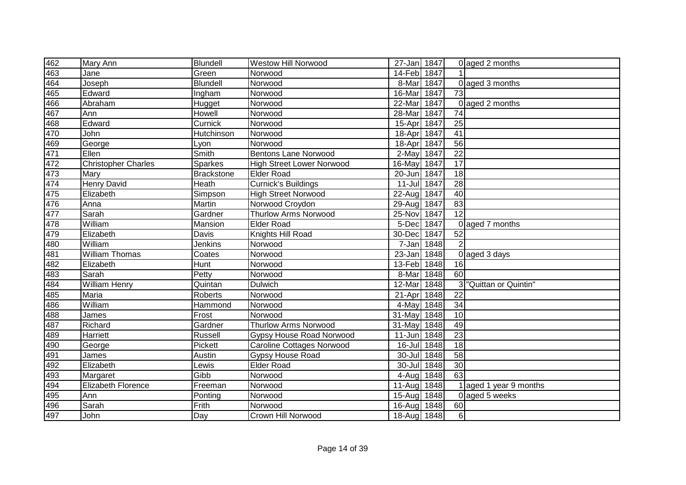| 462               | Mary Ann                   | <b>Blundell</b>   | <b>Westow Hill Norwood</b>       | 27-Jan 1847 |      |                  | 0 aged 2 months      |
|-------------------|----------------------------|-------------------|----------------------------------|-------------|------|------------------|----------------------|
| 463               | Jane                       | Green             | Norwood                          | 14-Feb 1847 |      |                  |                      |
| 464               | Joseph                     | Blundell          | Norwood                          | 8-Mar       | 1847 |                  | 0 aged 3 months      |
| 465               | Edward                     | Ingham            | Norwood                          | 16-Mar      | 1847 | 73               |                      |
| $\frac{126}{466}$ | Abraham                    | Hugget            | Norwood                          | 22-Mar      | 1847 |                  | 0 aged 2 months      |
|                   | Ann                        | Howell            | Norwood                          | 28-Mar      | 1847 | 74               |                      |
| 468               | Edward                     | Curnick           | Norwood                          | 15-Apr      | 1847 | $\overline{25}$  |                      |
| 470               | John                       | Hutchinson        | Norwood                          | 18-Apr      | 1847 | $\overline{41}$  |                      |
| 469               | George                     | Lyon              | Norwood                          | 18-Apr      | 1847 | 56               |                      |
| 471               | Ellen                      | Smith             | <b>Bentons Lane Norwood</b>      | 2-May 1847  |      | $\overline{22}$  |                      |
| 472               | <b>Christopher Charles</b> | Sparkes           | <b>High Street Lower Norwood</b> | 16-May 1847 |      | $\overline{17}$  |                      |
| 473               | Mary                       | <b>Brackstone</b> | <b>Elder Road</b>                | 20-Jun 1847 |      | $\overline{18}$  |                      |
| 474               | <b>Henry David</b>         | Heath             | <b>Curnick's Buildings</b>       | 11-Jul 1847 |      | $\overline{28}$  |                      |
| 475               | Elizabeth                  | Simpson           | <b>High Street Norwood</b>       | 22-Aug      | 1847 | 40               |                      |
| 476               | Anna                       | Martin            | Norwood Croydon                  | 29-Aug      | 1847 | 83               |                      |
| 477               | Sarah                      | Gardner           | Thurlow Arms Norwood             | 25-Nov      | 1847 | $\overline{12}$  |                      |
| 478               | William                    | Mansion           | <b>Elder Road</b>                | 5-Dec 1847  |      |                  | 0 aged 7 months      |
| $\overline{479}$  | Elizabeth                  | Davis             | Knights Hill Road                | 30-Dec      | 1847 | $\overline{52}$  |                      |
| 480               | William                    | Jenkins           | Norwood                          | 7-Jan 1848  |      | $\overline{2}$   |                      |
| 481               | <b>William Thomas</b>      | Coates            | Norwood                          | 23-Jan 1848 |      |                  | 0 aged 3 days        |
| 482               | Elizabeth                  | Hunt              | Norwood                          | 13-Feb 1848 |      | 16               |                      |
| 483               | Sarah                      | Petty             | Norwood                          | 8-Mar       | 1848 | 60               |                      |
| 484               | <b>William Henry</b>       | Quintan           | Dulwich                          | 12-Mar      | 1848 |                  | "Quittan or Quintin" |
| 485               | Maria                      | Roberts           | Norwood                          | 21-Apr      | 1848 | 22               |                      |
|                   | William                    | Hammond           | Norwood                          | 4-May 1848  |      | 34               |                      |
| 486<br>488<br>487 | James                      | Frost             | Norwood                          | 31-May 1848 |      | 10               |                      |
|                   | Richard                    | Gardner           | <b>Thurlow Arms Norwood</b>      | 31-May 1848 |      | 49               |                      |
| 489               | Harriett                   | Russell           | <b>Gypsy House Road Norwood</b>  | 11-Jun      | 1848 | 23               |                      |
| 490               | George                     | Pickett           | <b>Caroline Cottages Norwood</b> | 16-Jul 1848 |      | $\overline{18}$  |                      |
| 491               | James                      | Austin            | <b>Gypsy House Road</b>          | 30-Jul 1848 |      | $\overline{58}$  |                      |
| 492               | Elizabeth                  | Lewis             | <b>Elder Road</b>                | 30-Jul      | 1848 | 30               |                      |
| 493               | Margaret                   | Gibb              | Norwood                          | 4-Aug       | 1848 | 63               |                      |
| 494               | Elizabeth Florence         | Freeman           | Norwood                          | 11-Aug      | 1848 |                  | aged 1 year 9 months |
| 495               | Ann                        | Ponting           | Norwood                          | $15 - Aug$  | 1848 |                  | 0 aged 5 weeks       |
| 496               | Sarah                      | Frith             | Norwood                          | 16-Aug      | 1848 | 60               |                      |
| 497               | John                       | Day               | Crown Hill Norwood               | 18-Aug 1848 |      | $6 \overline{6}$ |                      |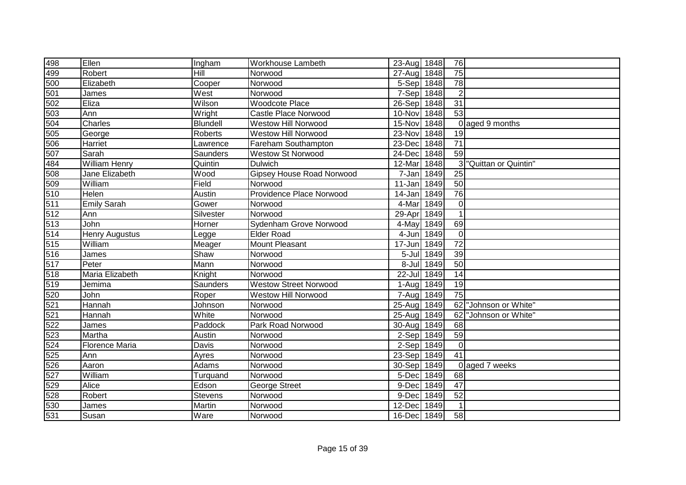| 498               | Ellen                 | Ingham    | Workhouse Lambeth                | 23-Aug 1848 |            | 76              |                      |
|-------------------|-----------------------|-----------|----------------------------------|-------------|------------|-----------------|----------------------|
| 499               | Robert                | Hill      | Norwood                          | $27 - Aug$  | 1848       | 75              |                      |
| 500               | Elizabeth             | Cooper    | Norwood                          | 5-Sep       | 1848       | 78              |                      |
| 501               | James                 | West      | Norwood                          | 7-Sep 1848  |            | $\overline{2}$  |                      |
| 502               | Eliza                 | Wilson    | <b>Woodcote Place</b>            | 26-Sep 1848 |            | 31              |                      |
| 503               | Ann                   | Wright    | Castle Place Norwood             | 10-Nov      | 1848       | $\overline{53}$ |                      |
|                   | Charles               | Blundell  | <b>Westow Hill Norwood</b>       | 15-Nov      | 1848       |                 | 0 aged 9 months      |
| $rac{504}{505}$   | George                | Roberts   | <b>Westow Hill Norwood</b>       | 23-Nov      | 1848       | 19              |                      |
| 506               | Harriet               | Lawrence  | Fareham Southampton              | 23-Dec      | 1848       | 71              |                      |
| 507               | Sarah                 | Saunders  | <b>Westow St Norwood</b>         | 24-Dec      | 1848       | 59              |                      |
| 484               | <b>William Henry</b>  | Quintin   | <b>Dulwich</b>                   | 12-Mar      | 1848       |                 | "Quittan or Quintin" |
| 508               | Jane Elizabeth        | Wood      | <b>Gipsey House Road Norwood</b> | 7-Jan       | 1849       | 25              |                      |
| 509               | William               | Field     | Norwood                          | 11-Jan      | 1849       | 50              |                      |
| 510               | Helen                 | Austin    | Providence Place Norwood         | 14-Jan      | 1849       | 76              |                      |
| 511               | <b>Emily Sarah</b>    | Gower     | Norwood                          | 4-Mar       | 1849       | $\overline{0}$  |                      |
| 512               | Ann                   | Silvester | Norwood                          | 29-Apr 1849 |            | 1               |                      |
| 513               | John                  | Horner    | Sydenham Grove Norwood           | 4-May       | 1849       | 69              |                      |
| 514               | <b>Henry Augustus</b> | Legge     | <b>Elder Road</b>                | 4-Jun 1849  |            | $\Omega$        |                      |
| 515               | William               | Meager    | Mount Pleasant                   | 17-Jun 1849 |            | 72              |                      |
| 516               | James                 | Shaw      | Norwood                          |             | 5-Jul 1849 | 39              |                      |
| 517               | Peter                 | Mann      | Norwood                          |             | 8-Jul 1849 | 50              |                      |
| 518<br>519<br>520 | Maria Elizabeth       | Knight    | Norwood                          | 22-Jul 1849 |            | 14              |                      |
|                   | Jemima                | Saunders  | <b>Westow Street Norwood</b>     | 1-Aug 1849  |            | 19              |                      |
|                   | John                  | Roper     | <b>Westow Hill Norwood</b>       | 7-Aug       | 1849       | 75              |                      |
| 521               | Hannah                | Johnson   | Norwood                          | $25 - Aug$  | 1849       | 62              | "Johnson or White"   |
| 521               | Hannah                | White     | Norwood                          | $25-Au$ g   | 1849       | 62              | "Johnson or White"   |
| 522               | James                 | Paddock   | Park Road Norwood                | 30-Aug      | 1849       | 68              |                      |
| 523               | Martha                | Austin    | Norwood                          | 2-Sep       | 1849       | 59              |                      |
| 524               | <b>Florence Maria</b> | Davis     | Norwood                          | 2-Sep       | 1849       | $\Omega$        |                      |
| 525               | Ann                   | Ayres     | Norwood                          | 23-Sep      | 1849       | 41              |                      |
| 526               | Aaron                 | Adams     | Norwood                          | 30-Sep      | 1849       |                 | 0 aged 7 weeks       |
| 527               | William               | Turquand  | Norwood                          | 5-Dec       | 1849       | 68              |                      |
| 529               | Alice                 | Edson     | George Street                    | 9-Dec       | 1849       | 47              |                      |
| 528               | Robert                | Stevens   | Norwood                          | 9-Dec       | 1849       | 52              |                      |
| 530               | James                 | Martin    | Norwood                          | 12-Dec      | 1849       |                 |                      |
| 531               | Susan                 | Ware      | Norwood                          | 16-Dec 1849 |            | 58              |                      |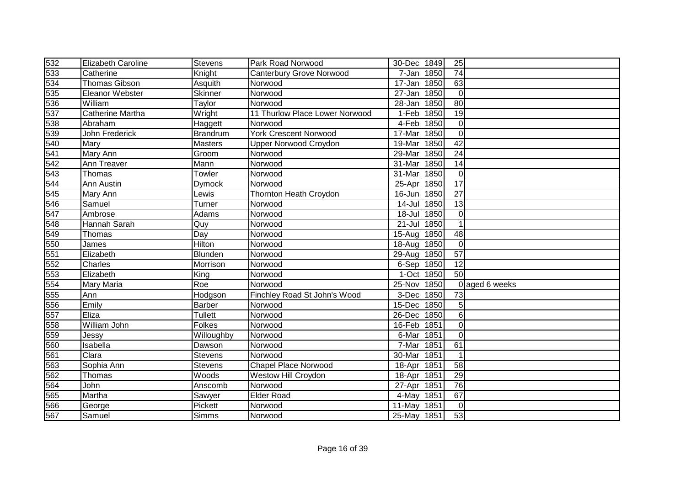| 532               | <b>Elizabeth Caroline</b> | Stevens         | Park Road Norwood               | 30-Dec 1849 |      | 25              |                |
|-------------------|---------------------------|-----------------|---------------------------------|-------------|------|-----------------|----------------|
| 533               | Catherine                 | Knight          | <b>Canterbury Grove Norwood</b> | 7-Jan       | 1850 | $\overline{74}$ |                |
| 534               | <b>Thomas Gibson</b>      | Asquith         | Norwood                         | 17-Jan      | 1850 | 63              |                |
| 535               | Eleanor Webster           | Skinner         | Norwood                         | 27-Jan      | 1850 | $\overline{0}$  |                |
|                   | William                   | Taylor          | Norwood                         | $28 - Jan$  | 1850 | $\overline{80}$ |                |
| $\frac{536}{537}$ | Catherine Martha          | Wright          | 11 Thurlow Place Lower Norwood  | 1-Feb 1850  |      | $\overline{19}$ |                |
| 538               | Abraham                   | Haggett         | Norwood                         | 4-Feb 1850  |      | $\mathbf 0$     |                |
| 539               | John Frederick            | <b>Brandrum</b> | <b>York Crescent Norwood</b>    | 17-Mar      | 1850 | $\mathbf 0$     |                |
| 540               | Mary                      | Masters         | Upper Norwood Croydon           | 19-Mar      | 1850 | $\overline{42}$ |                |
| 541               | Mary Ann                  | Groom           | Norwood                         | 29-Mar      | 1850 | $\overline{24}$ |                |
| 542               | Ann Treaver               | Mann            | Norwood                         | 31-Mar      | 1850 | 14              |                |
| 543               | Thomas                    | Towler          | Norwood                         | 31-Mar      | 1850 | 0               |                |
| 544               | Ann Austin                | <b>Dymock</b>   | Norwood                         | 25-Apr      | 1850 | $\overline{17}$ |                |
| 545               | Mary Ann                  | Lewis           | <b>Thornton Heath Croydon</b>   | $16 - Jun$  | 1850 | $\overline{27}$ |                |
| 546               | Samuel                    | Turner          | Norwood                         | 14-Jul      | 1850 | 13              |                |
| 547               | Ambrose                   | Adams           | Norwood                         | 18-Jul 1850 |      | $\mathbf 0$     |                |
| 548               | Hannah Sarah              | Quy             | Norwood                         | 21-Jul      | 1850 |                 |                |
| 549               | Thomas                    | Day             | Norwood                         | 15-Aug      | 1850 | 48              |                |
| 550               | James                     | Hilton          | Norwood                         | 18-Aug      | 1850 | $\mathbf 0$     |                |
| 551               | Elizabeth                 | Blunden         | Norwood                         | 29-Aug 1850 |      | 57              |                |
| 552               | Charles                   | Morrison        | Norwood                         | 6-Sep 1850  |      | 12              |                |
| 553               | Elizabeth                 | King            | Norwood                         | 1-Oct 1850  |      | 50              |                |
| 554               | <b>Mary Maria</b>         | Roe             | Norwood                         | 25-Nov      | 1850 |                 | 0 aged 6 weeks |
| 555               | Ann                       | Hodgson         | Finchley Road St John's Wood    | 3-Dec       | 1850 | 73              |                |
| 556               | Emily                     | <b>Barber</b>   | Norwood                         | 15-Dec      | 1850 | 5               |                |
|                   | Eliza                     | Tullett         | Norwood                         | 26-Dec      | 1850 | 6               |                |
| $\frac{557}{558}$ | William John              | Folkes          | Norwood                         | 16-Feb 1851 |      | $\mathbf 0$     |                |
| 559               | Jessy                     | Willoughby      | Norwood                         | 6-Mar       | 1851 | 0               |                |
| 560               | Isabella                  | Dawson          | Norwood                         | 7-Mar       | 1851 | 61              |                |
| 561               | Clara                     | Stevens         | Norwood                         | 30-Mar      | 1851 |                 |                |
| 563               | Sophia Ann                | Stevens         | <b>Chapel Place Norwood</b>     | 18-Apr      | 1851 | 58              |                |
| $\overline{562}$  | Thomas                    | Woods           | Westow Hill Croydon             | 18-Apr      | 1851 | $\overline{29}$ |                |
| 564               | John                      | Anscomb         | Norwood                         | 27-Apr      | 1851 | 76              |                |
| 565               | Martha                    | Sawyer          | <b>Elder Road</b>               | 4-May       | 1851 | 67              |                |
| 566               | George                    | Pickett         | Norwood                         | 11-May      | 1851 | $\mathbf 0$     |                |
| 567               | Samuel                    | <b>Simms</b>    | Norwood                         | 25-May 1851 |      | 53              |                |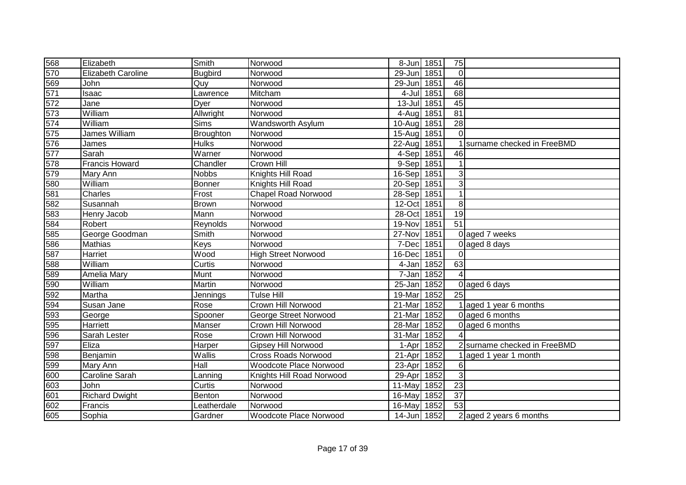| 568                                | Elizabeth                 | Smith        | Norwood                    | 8-Jun 1851  |      | 75              |                              |
|------------------------------------|---------------------------|--------------|----------------------------|-------------|------|-----------------|------------------------------|
| 570                                | <b>Elizabeth Caroline</b> | Bugbird      | Norwood                    | 29-Jun 1851 |      | $\overline{0}$  |                              |
| 569                                | John                      | Quy          | Norwood                    | 29-Jun      | 1851 | 46              |                              |
| 571                                | Isaac                     | Lawrence     | Mitcham                    | 4-Jul       | 1851 | 68              |                              |
| $\overline{572}$                   | Jane                      | Dyer         | Norwood                    | $13$ -Jul   | 1851 | 45              |                              |
| $rac{573}{574}$<br>$rac{574}{575}$ | William                   | Allwright    | Norwood                    | 4-Aug 1851  |      | $\overline{81}$ |                              |
|                                    | William                   | Sims         | Wandsworth Asylum          | 10-Aug      | 1851 | $\overline{28}$ |                              |
|                                    | James William             | Broughton    | Norwood                    | $15 - Aug$  | 1851 | $\Omega$        |                              |
| 576                                | James                     | <b>Hulks</b> | Norwood                    | 22-Aug      | 1851 |                 | surname checked in FreeBMD   |
| 577                                | Sarah                     | Warner       | Norwood                    | 4-Sep       | 1851 | 46              |                              |
| 578                                | <b>Francis Howard</b>     | Chandler     | Crown Hill                 | 9-Sep       | 1851 |                 |                              |
| 579                                | Mary Ann                  | <b>Nobbs</b> | Knights Hill Road          | 16-Sep      | 1851 | 3 <sup>1</sup>  |                              |
| 580                                | William                   | Bonner       | Knights Hill Road          | 20-Sep      | 1851 | $\overline{3}$  |                              |
| 581                                | Charles                   | Frost        | <b>Chapel Road Norwood</b> | 28-Sep      | 1851 | 1               |                              |
| 582                                | Susannah                  | <b>Brown</b> | Norwood                    | 12-Oct 1851 |      | 8 <sup>1</sup>  |                              |
| 583                                | Henry Jacob               | Mann         | Norwood                    | 28-Oct      | 1851 | 19              |                              |
| 584                                | Robert                    | Reynolds     | Norwood                    | 19-Nov      | 1851 | 51              |                              |
| 585                                | George Goodman            | Smith        | Norwood                    | 27-Nov      | 1851 |                 | 0 aged 7 weeks               |
| 586                                | Mathias                   | Keys         | Norwood                    | 7-Dec       | 1851 |                 | 0 aged 8 days                |
| 587                                | Harriet                   | Wood         | <b>High Street Norwood</b> | 16-Dec      | 1851 | $\Omega$        |                              |
| 588                                | William                   | Curtis       | Norwood                    | 4-Jan       | 1852 | 63              |                              |
| 589<br>590                         | Amelia Mary               | Munt         | Norwood                    | $7 - Jan$   | 1852 |                 |                              |
|                                    | William                   | Martin       | Norwood                    | $25 - Jan$  | 1852 |                 | 0 aged 6 days                |
| 592<br>594                         | Martha                    | Jennings     | <b>Tulse Hill</b>          | 19-Mar      | 1852 | 25              |                              |
|                                    | Susan Jane                | Rose         | Crown Hill Norwood         | 21-Mar      | 1852 |                 | 1 aged 1 year 6 months       |
| 593                                | George                    | Spooner      | George Street Norwood      | 21-Mar      | 1852 |                 | 0 aged 6 months              |
| 595                                | Harriett                  | Manser       | Crown Hill Norwood         | 28-Mar      | 1852 |                 | 0 aged 6 months              |
| 596                                | Sarah Lester              | Rose         | Crown Hill Norwood         | 31-Mar      | 1852 |                 |                              |
| 597                                | Eliza                     | Harper       | Gipsey Hill Norwood        | 1-Apr       | 1852 |                 | 2 surname checked in FreeBMD |
| 598                                | Benjamin                  | Wallis       | <b>Cross Roads Norwood</b> | 21-Apr      | 1852 |                 | 1 aged 1 year 1 month        |
| 599                                | Mary Ann                  | Hall         | Woodcote Place Norwood     | 23-Apr 1852 |      | $6 \mid$        |                              |
| $\overline{600}$                   | Caroline Sarah            | Lanning      | Knights Hill Road Norwood  | 29-Apr 1852 |      | $\overline{3}$  |                              |
| 603                                | John                      | Curtis       | Norwood                    | 11-May      | 1852 | 23              |                              |
| 601                                | <b>Richard Dwight</b>     | Benton       | Norwood                    | 16-May      | 1852 | 37              |                              |
| 602                                | Francis                   | Leatherdale  | Norwood                    | 16-May      | 1852 | 53              |                              |
| 605                                | Sophia                    | Gardner      | Woodcote Place Norwood     | 14-Jun 1852 |      |                 | 2 aged 2 years 6 months      |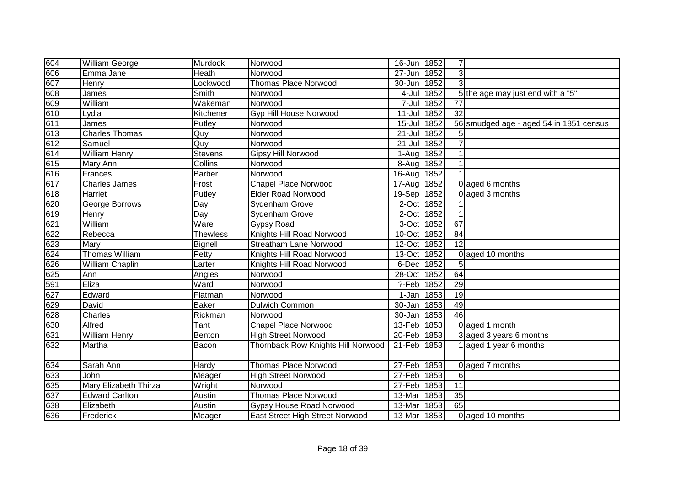| 604                                                   | William George        | Murdock         | Norwood                            | 16-Jun 1852 |            | $\overline{7}$  |                                         |
|-------------------------------------------------------|-----------------------|-----------------|------------------------------------|-------------|------------|-----------------|-----------------------------------------|
| 606                                                   | Emma Jane             | Heath           | Norwood                            | 27-Jun      | 1852       | 3               |                                         |
| 607                                                   | Henry                 | Lockwood        | <b>Thomas Place Norwood</b>        | 30-Jun      | 1852       | 3               |                                         |
|                                                       | James                 | Smith           | Norwood                            |             | 4-Jul 1852 |                 | 5 the age may just end with a "5"       |
|                                                       | William               | Wakeman         | Norwood                            |             | 7-Jul 1852 | 77              |                                         |
|                                                       | Lydia                 | Kitchener       | Gyp Hill House Norwood             | 11-Jul 1852 |            | $\overline{32}$ |                                         |
| 608<br>609<br>610<br>611<br>613                       | James                 | Putley          | Norwood                            | 15-Jul 1852 |            |                 | 56 smudged age - aged 54 in 1851 census |
|                                                       | Charles Thomas        | Quy             | Norwood                            | 21-Jul 1852 |            | 5               |                                         |
| 612                                                   | Samuel                | Quy             | Norwood                            | 21-Jul 1852 |            | $\overline{7}$  |                                         |
| 614                                                   | William Henry         | Stevens         | Gipsy Hill Norwood                 | 1-Aug 1852  |            |                 |                                         |
| 615                                                   | Mary Ann              | Collins         | Norwood                            | 8-Aug 1852  |            |                 |                                         |
| 616                                                   | Frances               | <b>Barber</b>   | Norwood                            | 16-Aug 1852 |            |                 |                                         |
| 617                                                   | <b>Charles James</b>  | Frost           | <b>Chapel Place Norwood</b>        | 17-Aug      | 1852       |                 | 0 aged 6 months                         |
| 618                                                   | Harriet               | Putley          | <b>Elder Road Norwood</b>          | 19-Sep 1852 |            |                 | 0 aged 3 months                         |
| 620                                                   | George Borrows        | Day             | Sydenham Grove                     | 2-Oct 1852  |            |                 |                                         |
| 619                                                   | Henry                 | Day             | Sydenham Grove                     | 2-Oct 1852  |            |                 |                                         |
| 621                                                   | William               | Ware            | <b>Gypsy Road</b>                  | 3-Oct 1852  |            | 67              |                                         |
| 622                                                   | Rebecca               | <b>Thewless</b> | Knights Hill Road Norwood          | 10-Oct      | 1852       | 84              |                                         |
| 623                                                   | Mary                  | Bignell         | Streatham Lane Norwood             | 12-Oct      | 1852       | 12              |                                         |
| 624                                                   | Thomas William        | Petty           | Knights Hill Road Norwood          | 13-Oct 1852 |            |                 | 0 aged 10 months                        |
| 626                                                   | William Chaplin       | Larter          | Knights Hill Road Norwood          | 6-Dec 1852  |            | 5               |                                         |
| 625                                                   | Ann                   | Angles          | Norwood                            | 28-Oct 1852 |            | 64              |                                         |
| 591                                                   | Eliza                 | Ward            | Norwood                            | ?-Feb 1852  |            | $\overline{29}$ |                                         |
| 627                                                   | Edward                | Flatman         | Norwood                            | 1-Jan 1853  |            | 19              |                                         |
|                                                       | David                 | Baker           | <b>Dulwich Common</b>              | 30-Jan 1853 |            | 49              |                                         |
|                                                       | Charles               | Rickman         | Norwood                            | 30-Jan 1853 |            | $\overline{46}$ |                                         |
|                                                       | Alfred                | Tant            | <b>Chapel Place Norwood</b>        | 13-Feb 1853 |            |                 | 0 aged 1 month                          |
| $\frac{629}{628}$ $\frac{628}{630}$ $\frac{630}{631}$ | <b>William Henry</b>  | Benton          | <b>High Street Norwood</b>         | 20-Feb 1853 |            |                 | 3 aged 3 years 6 months                 |
| 632                                                   | Martha                | Bacon           | Thornback Row Knights Hill Norwood | 21-Feb      | 1853       |                 | 1 aged 1 year 6 months                  |
| 634                                                   | Sarah Ann             | Hardy           | <b>Thomas Place Norwood</b>        | 27-Feb 1853 |            |                 | 0 aged 7 months                         |
| 633                                                   | John                  | Meager          | <b>High Street Norwood</b>         | 27-Feb 1853 |            | $\,6$           |                                         |
| 635                                                   | Mary Elizabeth Thirza | Wright          | Norwood                            | 27-Feb 1853 |            | 11              |                                         |
| 637                                                   | <b>Edward Carlton</b> | Austin          | <b>Thomas Place Norwood</b>        | 13-Mar      | 1853       | 35              |                                         |
| 638                                                   | Elizabeth             | Austin          | <b>Gypsy House Road Norwood</b>    | 13-Mar      | 1853       | 65              |                                         |
| 636                                                   | Frederick             | Meager          | East Street High Street Norwood    | 13-Mar      | 1853       |                 | 0 aged 10 months                        |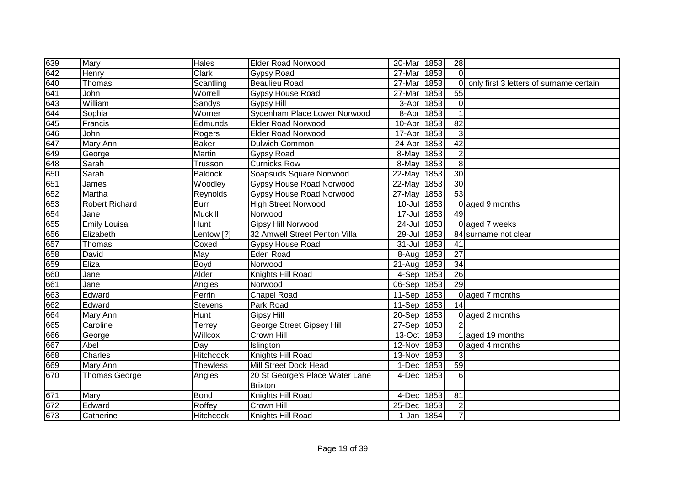| 639 | Mary                  | <b>Hales</b>      | <b>Elder Road Norwood</b>        | 20-Mar 1853 |      | 28              |                                         |
|-----|-----------------------|-------------------|----------------------------------|-------------|------|-----------------|-----------------------------------------|
| 642 | Henry                 | <b>Clark</b>      | Gypsy Road                       | 27-Mar      | 1853 | $\Omega$        |                                         |
| 640 | Thomas                | Scantling         | <b>Beaulieu Road</b>             | 27-Mar      | 1853 | $\Omega$        | only first 3 letters of surname certain |
| 641 | John                  | Worrell           | Gypsy House Road                 | 27-Mar      | 1853 | $\overline{55}$ |                                         |
| 643 | William               | Sandys            | <b>Gypsy Hill</b>                | 3-Apr       | 1853 | 0               |                                         |
| 644 | Sophia                | Worner            | Sydenham Place Lower Norwood     | 8-Apr 1853  |      | 1               |                                         |
| 645 | Francis               | Edmunds           | <b>Elder Road Norwood</b>        | 10-Apr 1853 |      | $\overline{82}$ |                                         |
| 646 | John                  | Rogers            | <b>Elder Road Norwood</b>        | 17-Apr      | 1853 | 3               |                                         |
| 647 | Mary Ann              | <b>Baker</b>      | Dulwich Common                   | 24-Apr 1853 |      | 42              |                                         |
| 649 | George                | Martin            | Gypsy Road                       | 8-May 1853  |      | $\overline{2}$  |                                         |
| 648 | Sarah                 | Trusson           | <b>Curnicks Row</b>              | 8-May 1853  |      | 8               |                                         |
| 650 | Sarah                 | <b>Baldock</b>    | Soapsuds Square Norwood          | 22-May      | 1853 | $\overline{30}$ |                                         |
| 651 | James                 | Woodley           | <b>Gypsy House Road Norwood</b>  | 22-May      | 1853 | 30              |                                         |
| 652 | Martha                | Reynolds          | <b>Gypsy House Road Norwood</b>  | 27-May      | 1853 | 53              |                                         |
| 653 | <b>Robert Richard</b> | <b>Burr</b>       | <b>High Street Norwood</b>       | 10-Jul 1853 |      | $\Omega$        | aged 9 months                           |
| 654 | Jane                  | Muckill           | Norwood                          | 17-Jul 1853 |      | 49              |                                         |
| 655 | <b>Emily Louisa</b>   | Hunt              | <b>Gipsy Hill Norwood</b>        | 24-Jul 1853 |      |                 | 0 aged 7 weeks                          |
| 656 | Elizabeth             | Lentow $\sqrt{?}$ | 32 Amwell Street Penton Villa    | 29-Jul      | 1853 |                 | 84 surname not clear                    |
| 657 | Thomas                | Coxed             | <b>Gypsy House Road</b>          | 31-Jul 1853 |      | 41              |                                         |
| 658 | David                 | May               | Eden Road                        | 8-Aug 1853  |      | 27              |                                         |
| 659 | Eliza                 | Boyd              | Norwood                          | 21-Aug 1853 |      | 34              |                                         |
| 660 | Jane                  | Alder             | Knights Hill Road                | 4-Sep 1853  |      | 26              |                                         |
| 661 | Jane                  | Angles            | Norwood                          | 06-Sep 1853 |      | 29              |                                         |
| 663 | Edward                | Perrin            | <b>Chapel Road</b>               | 11-Sep 1853 |      |                 | 0 aged 7 months                         |
| 662 | Edward                | <b>Stevens</b>    | Park Road                        | 11-Sep 1853 |      | 14              |                                         |
| 664 | Mary Ann              | Hunt              | <b>Gipsy Hill</b>                | 20-Sep 1853 |      | $\Omega$        | aged 2 months                           |
| 665 | Caroline              | Terrey            | <b>George Street Gipsey Hill</b> | 27-Sep 1853 |      |                 |                                         |
| 666 | George                | Willcox           | Crown Hill                       | 13-Oct 1853 |      |                 | aged 19 months                          |
| 667 | Abel                  | Day               | Islington                        | 12-Nov      | 1853 | $\Omega$        | aged 4 months                           |
| 668 | Charles               | <b>Hitchcock</b>  | Knights Hill Road                | 13-Nov 1853 |      | 3               |                                         |
| 669 | Mary Ann              | <b>Thewless</b>   | Mill Street Dock Head            | 1-Dec 1853  |      | 59              |                                         |
| 670 | <b>Thomas George</b>  | Angles            | 20 St George's Place Water Lane  | 4-Dec 1853  |      | 6               |                                         |
|     |                       |                   | <b>Brixton</b>                   |             |      |                 |                                         |
| 671 | Mary                  | <b>Bond</b>       | Knights Hill Road                | 4-Dec       | 1853 | 81              |                                         |
| 672 | Edward                | Roffey            | Crown Hill                       | 25-Dec      | 1853 | $\overline{2}$  |                                         |
| 673 | Catherine             | Hitchcock         | Knights Hill Road                | 1-Jan 1854  |      | $\overline{7}$  |                                         |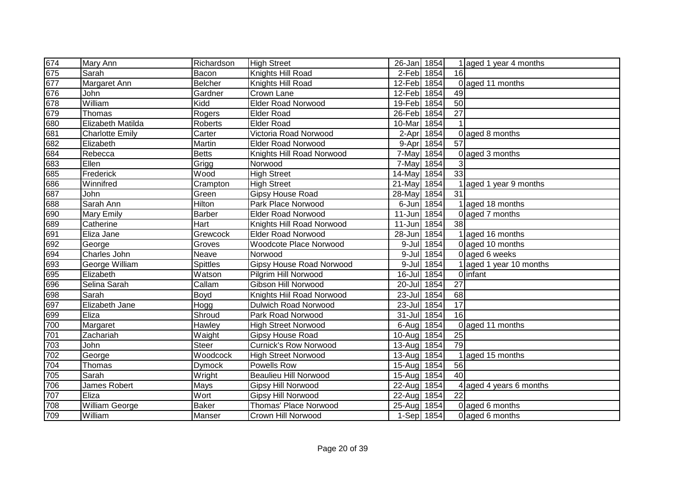| 674              | Mary Ann               | Richardson     | <b>High Street</b>            | 26-Jan 1854 |            |                 | 1 aged 1 year 4 months  |
|------------------|------------------------|----------------|-------------------------------|-------------|------------|-----------------|-------------------------|
| 675              | Sarah                  | Bacon          | Knights Hill Road             | 2-Feb 1854  |            | 16              |                         |
| 677              | Margaret Ann           | Belcher        | Knights Hill Road             | 12-Feb 1854 |            |                 | 0 aged 11 months        |
| 676              | John                   | Gardner        | Crown Lane                    | 12-Feb 1854 |            | 49              |                         |
| 678              | William                | Kidd           | <b>Elder Road Norwood</b>     | 19-Feb 1854 |            | 50              |                         |
| 679              | Thomas                 | Rogers         | <b>Elder Road</b>             | 26-Feb 1854 |            | $\overline{27}$ |                         |
| 680              | Elizabeth Matilda      | <b>Roberts</b> | <b>Elder Road</b>             | 10-Mar      | 1854       |                 |                         |
| 681              | <b>Charlotte Emily</b> | Carter         | Victoria Road Norwood         | 2-Apr       | 1854       |                 | 0 aged 8 months         |
| 682              | Elizabeth              | Martin         | <b>Elder Road Norwood</b>     | 9-Apr       | 1854       | $\overline{57}$ |                         |
| 684              | Rebecca                | <b>Betts</b>   | Knights Hill Road Norwood     | 7-May 1854  |            |                 | 0 aged 3 months         |
| 683              | Ellen                  | Grigg          | Norwood                       | 7-May 1854  |            | 3               |                         |
| 685              | Frederick              | Wood           | <b>High Street</b>            | 14-May      | 1854       | 33              |                         |
| 686              | Winnifred              | Crampton       | <b>High Street</b>            | 21-May      | 1854       |                 | aged 1 year 9 months    |
| 687              | John                   | Green          | <b>Gipsy House Road</b>       | 28-May      | 1854       | $\overline{31}$ |                         |
| 688              | Sarah Ann              | Hilton         | Park Place Norwood            | 6-Jun       | 1854       |                 | 1 aged 18 months        |
| 690              | <b>Mary Emily</b>      | Barber         | <b>Elder Road Norwood</b>     | 11-Jun      | 1854       |                 | 0 aged 7 months         |
| 689              | Catherine              | Hart           | Knights Hill Road Norwood     | 11-Jun      | 1854       | 38              |                         |
| 691              | Eliza Jane             | Grewcock       | <b>Elder Road Norwood</b>     | 28-Jun      | 1854       |                 | 1 aged 16 months        |
| 692              | George                 | Groves         | <b>Woodcote Place Norwood</b> | 9-Jul       | 1854       |                 | 0 aged 10 months        |
| 694              | Charles John           | Neave          | Norwood                       | $9 -$ Jul   | 1854       |                 | 0 aged 6 weeks          |
| 693              | George William         | Spittles       | Gipsy House Road Norwood      |             | 9-Jul 1854 |                 | 1 aged 1 year 10 months |
| 695              | Elizabeth              | Watson         | Pilgrim Hill Norwood          | 16-Jul 1854 |            |                 | 0 infant                |
| 696              | Selina Sarah           | Callam         | Gibson Hill Norwood           | 20-Jul 1854 |            | 27              |                         |
| 698              | Sarah                  | Boyd           | Knights Hiil Road Norwood     | 23-Jul 1854 |            | 68              |                         |
| 697              | Elizabeth Jane         | Hogg           | <b>Dulwich Road Norwood</b>   | 23-Jul 1854 |            | 17              |                         |
| 699              | Eliza                  | Shroud         | Park Road Norwood             | 31-Jul 1854 |            | $\overline{16}$ |                         |
| 700              | Margaret               | Hawley         | <b>High Street Norwood</b>    | 6-Aug 1854  |            |                 | 0 aged 11 months        |
| 701              | Zachariah              | Waight         | Gipsy House Road              | 10-Aug      | 1854       | 25              |                         |
| $\overline{703}$ | John                   | <b>Steer</b>   | <b>Curnick's Row Norwood</b>  | $13 - Aug$  | 1854       | 79              |                         |
| 702              | George                 | Woodcock       | <b>High Street Norwood</b>    | $13 - Aug$  | 1854       |                 | aged 15 months          |
| 704              | Thomas                 | <b>Dymock</b>  | Powells Row                   | $15 - Aug$  | 1854       | 56              |                         |
| $\overline{705}$ | Sarah                  | Wright         | <b>Beaulieu Hill Norwood</b>  | $15-Au$ g   | 1854       | $\overline{40}$ |                         |
| 706              | James Robert           | Mays           | Gipsy Hill Norwood            | 22-Aug      | 1854       |                 | 4 aged 4 years 6 months |
| 707              | Eliza                  | Wort           | Gipsy Hill Norwood            | 22-Aug      | 1854       | 22              |                         |
| 708              | William George         | <b>Baker</b>   | Thomas' Place Norwood         | $25 - Aug$  | 1854       |                 | 0 aged 6 months         |
| 709              | William                | Manser         | Crown Hill Norwood            | 1-Sep 1854  |            |                 | 0 aged 6 months         |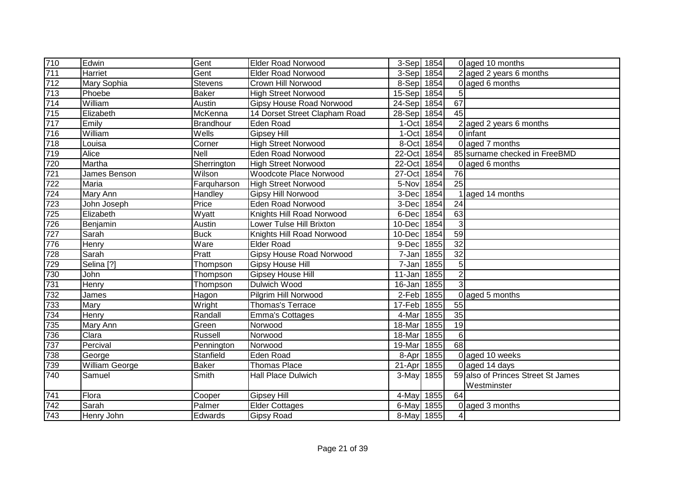| 710 | Edwin                 | Gent                         | Elder Road Norwood              | 3-Sep 1854           |                   |                 | 0 aged 10 months                   |
|-----|-----------------------|------------------------------|---------------------------------|----------------------|-------------------|-----------------|------------------------------------|
| 711 | Harriet               | Gent                         | <b>Elder Road Norwood</b>       | 3-Sep 1854           |                   |                 | 2 aged 2 years 6 months            |
| 712 | Mary Sophia           | Stevens                      | Crown Hill Norwood              | 8-Sep 1854           |                   |                 | 0 aged 6 months                    |
| 713 | Phoebe                | <b>Baker</b>                 | <b>High Street Norwood</b>      | 15-Sep 1854          |                   | 5               |                                    |
| 714 | William               | Austin                       | <b>Gipsy House Road Norwood</b> | 24-Sep 1854          |                   | 67              |                                    |
| 715 | Elizabeth             | McKenna                      | 14 Dorset Street Clapham Road   | 28-Sep               | 1854              | $\overline{45}$ |                                    |
| 717 | Emily                 | Brandhour                    | Eden Road                       | 1-Oct                | 1854              |                 | 2 aged 2 years 6 months            |
| 716 | William               | $\overline{\mathsf{W}}$ ells | <b>Gipsey Hill</b>              | 1-Oct                | 1854              |                 | 0 infant                           |
| 718 | Louisa                | Corner                       | <b>High Street Norwood</b>      | 8-Oct 1854           |                   |                 | 0 aged 7 months                    |
| 719 | Alice                 | <b>Nell</b>                  | Eden Road Norwood               | 22-Oct               | 1854              |                 | 85 surname checked in FreeBMD      |
| 720 | Martha                | Sherrington                  | <b>High Street Norwood</b>      | 22-Oct               | 1854              |                 | aged 6 months                      |
| 721 | James Benson          | Wilson                       | Woodcote Place Norwood          | 27-Oct               | 1854              | $\overline{76}$ |                                    |
| 722 | Maria                 | Farquharson                  | <b>High Street Norwood</b>      | 5-Nov                | 1854              | $\overline{25}$ |                                    |
| 724 | Mary Ann              | Handley                      | Gipsy Hill Norwood              | 3-Dec                | 1854              |                 | aged 14 months                     |
| 723 | John Joseph           | Price                        | Eden Road Norwood               | 3-Dec                | 1854              | 24              |                                    |
| 725 | Elizabeth             | Wyatt                        | Knights Hill Road Norwood       | 6-Dec                | 1854              | 63              |                                    |
| 726 | Benjamin              | Austin                       | Lower Tulse Hill Brixton        | 10-Dec               | 1854              | 3               |                                    |
| 727 | Sarah                 | <b>Buck</b>                  | Knights Hill Road Norwood       | 10-Dec               | 1854              | 59              |                                    |
| 776 | Henry                 | Ware                         | <b>Elder Road</b>               | 9-Dec                | 1855              | 32              |                                    |
| 728 | Sarah                 | Pratt                        | <b>Gipsy House Road Norwood</b> | 7-Jan 1855           |                   | 32              |                                    |
| 729 | Selina <sup>[?]</sup> | Thompson                     | <b>Gipsy House Hill</b>         | 7-Jan 1855           |                   | 5               |                                    |
| 730 | John                  | Thompson                     | <b>Gipsey House Hill</b>        | 11-Jan 1855          |                   | $\overline{2}$  |                                    |
| 731 | Henry                 | Thompson                     | Dulwich Wood                    | $\overline{16}$ -Jan | 1855              | $\overline{3}$  |                                    |
| 732 | James                 | Hagon                        | Pilgrim Hill Norwood            | 2-Feb 1855           |                   | $\Omega$        | aged 5 months                      |
| 733 | Mary                  | Wright                       | Thomas's Terrace                | 17-Feb 1855          |                   | 55              |                                    |
| 734 | Henry                 | Randall                      | <b>Emma's Cottages</b>          | 4-Mar                | $\overline{1855}$ | 35              |                                    |
| 735 | Mary Ann              | Green                        | Norwood                         | 18-Mar               | 1855              | $\overline{19}$ |                                    |
| 736 | Clara                 | Russell                      | Norwood                         | 18-Mar               | 1855              | 6               |                                    |
| 737 | Percival              | Pennington                   | Norwood                         | 19-Mar               | 1855              | 68              |                                    |
| 738 | George                | Stanfield                    | Eden Road                       | 8-Apr                | 1855              |                 | 0 aged 10 weeks                    |
| 739 | William George        | <b>Baker</b>                 | <b>Thomas Place</b>             | 21-Apr               | 1855              |                 | 0 aged 14 days                     |
| 740 | Samuel                | Smith                        | <b>Hall Place Dulwich</b>       | 3-May                | 1855              |                 | 59 also of Princes Street St James |
|     |                       |                              |                                 |                      |                   |                 | Westminster                        |
| 741 | Flora                 | Cooper                       | <b>Gipsey Hill</b>              | 4-May                | 1855              | 64              |                                    |
| 742 | Sarah                 | Palmer                       | <b>Elder Cottages</b>           | 6-May                | 1855              | $\Omega$        | aged 3 months                      |
| 743 | Henry John            | Edwards                      | <b>Gipsy Road</b>               | 8-May 1855           |                   | 4               |                                    |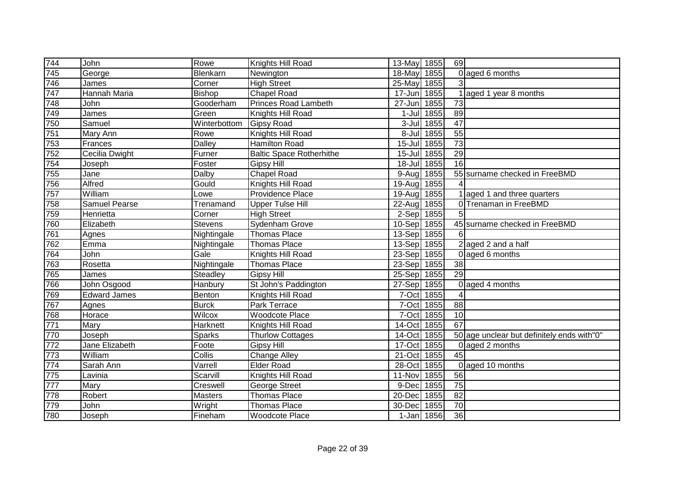| 744              | John                 | Rowe               | Knights Hill Road               | 13-May 1855 |            | 69              |                                            |
|------------------|----------------------|--------------------|---------------------------------|-------------|------------|-----------------|--------------------------------------------|
| 745              | George               | Blenkarn           | Newington                       | 18-May      | 1855       |                 | 0 aged 6 months                            |
| 746              | James                | Corner             | <b>High Street</b>              | 25-May      | 1855       |                 |                                            |
| 747              | <b>Hannah Maria</b>  | Bishop             | <b>Chapel Road</b>              | 17-Jun 1855 |            |                 | 1 aged 1 year 8 months                     |
| $\overline{748}$ | John                 | Gooderham          | <b>Princes Road Lambeth</b>     | $27 - Jun$  | 1855       | 73              |                                            |
| 749              | James                | Green              | Knights Hill Road               |             | 1-Jul 1855 | 89              |                                            |
| 750              | Samuel               | Winterbottom       | <b>Gipsy Road</b>               |             | 3-Jul 1855 | 47              |                                            |
| 751              | Mary Ann             | Rowe               | Knights Hill Road               |             | 8-Jul 1855 | 55              |                                            |
| 753              | Frances              | <b>Dalley</b>      | <b>Hamilton Road</b>            | 15-Jul 1855 |            | 73              |                                            |
| 752              | Cecilia Dwight       | Furner             | <b>Baltic Space Rotherhithe</b> | 15-Jul 1855 |            | 29              |                                            |
| 754              | Joseph               | Foster             | <b>Gipsy Hill</b>               | 18-Jul 1855 |            | 16              |                                            |
| 755              | Jane                 | Dalby              | <b>Chapel Road</b>              | $9-Aug$     | 1855       |                 | 55 surname checked in FreeBMD              |
| 756              | Alfred               | Gould              | Knights Hill Road               | 19-Aug      | 1855       |                 |                                            |
| 757              | William              | Lowe               | Providence Place                | 19-Aug      | 1855       |                 | 1 aged 1 and three quarters                |
| 758              | <b>Samuel Pearse</b> | Trenamand          | <b>Upper Tulse Hill</b>         | 22-Aug      | 1855       |                 | 0 Trenaman in FreeBMD                      |
| 759              | Henrietta            | Corner             | <b>High Street</b>              | 2-Sep 1855  |            | 5               |                                            |
| 760              | Elizabeth            | Stevens            | Sydenham Grove                  | 10-Sep 1855 |            |                 | 45 surname checked in FreeBMD              |
| 761              | Agnes                | Nightingale        | <b>Thomas Place</b>             | 13-Sep 1855 |            | 6               |                                            |
| 762              | Emma                 | Nightingale        | <b>Thomas Place</b>             | 13-Sep 1855 |            |                 | $2$ aged 2 and a half                      |
| 764              | John                 | Gale               | Knights Hill Road               | 23-Sep 1855 |            |                 | 0 aged 6 months                            |
| 763              | Rosetta              | Nightingale        | Thomas Place                    | 23-Sep 1855 |            | 38              |                                            |
| 765              | James                | Steadley           | <b>Gipsy Hill</b>               | 25-Sep 1855 |            | $\overline{29}$ |                                            |
| 766              | John Osgood          | Hanbury            | St John's Paddington            | 27-Sep 1855 |            |                 | 0 aged 4 months                            |
| 769              | <b>Edward James</b>  | Benton             | Knights Hill Road               | 7-Oct 1855  |            |                 |                                            |
| 767              | Agnes                | <b>Burck</b>       | Park Terrace                    | 7-Oct 1855  |            | 88              |                                            |
| 768              | Horace               | Wilcox             | <b>Woodcote Place</b>           | 7-Oct 1855  |            | 10              |                                            |
| 771              | Mary                 | Harknett           | Knights Hill Road               | 14-Oct 1855 |            | 67              |                                            |
| 770              | Joseph               | Sparks             | <b>Thurlow Cottages</b>         | 14-Oct      | 1855       |                 | 50 age unclear but definitely ends with"0" |
| 772              | Jane Elizabeth       | $\overline{Foote}$ | <b>Gipsy Hill</b>               | 17-Oct      | 1855       |                 | 0 aged 2 months                            |
| 773              | William              | Collis             | Change Alley                    | 21-Oct      | 1855       | 45              |                                            |
| 774              | Sarah Ann            | Varrell            | <b>Elder Road</b>               | 28-Oct      | 1855       |                 | 0 aged 10 months                           |
| 775              | Lavinia              | Scarvill           | Knights Hill Road               | 11-Nov      | 1855       | 56              |                                            |
| 777              | Mary                 | Creswell           | George Street                   | 9-Dec       | 1855       | $\overline{75}$ |                                            |
| 778              | Robert               | <b>Masters</b>     | <b>Thomas Place</b>             | 20-Dec      | 1855       | 82              |                                            |
| 779              | John                 | Wright             | <b>Thomas Place</b>             | 30-Dec      | 1855       | 70              |                                            |
| 780              | Joseph               | Fineham            | <b>Woodcote Place</b>           |             | 1-Jan 1856 | 36              |                                            |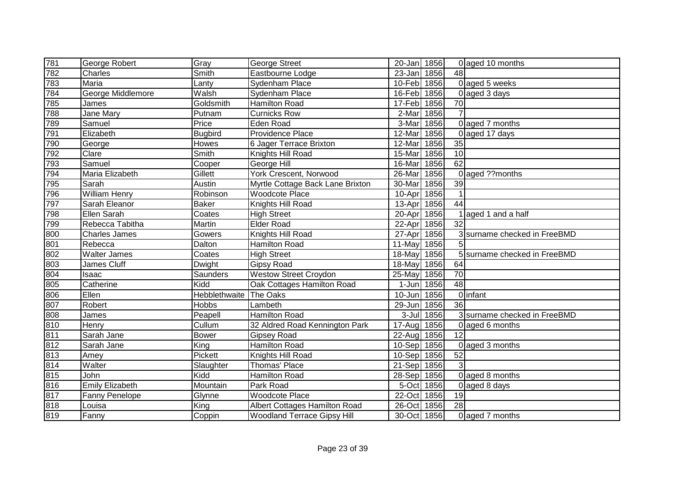| 781                             | George Robert          | Gray                         | <b>George Street</b>               | 20-Jan 1856          |            |                 | 0 aged 10 months             |
|---------------------------------|------------------------|------------------------------|------------------------------------|----------------------|------------|-----------------|------------------------------|
| 782                             | Charles                | Smith                        | Eastbourne Lodge                   | $\overline{2}3$ -Jan | 1856       | 48              |                              |
| 783                             | Maria                  | Lanty                        | Sydenham Place                     | 10-Feb 1856          |            |                 | 0 aged 5 weeks               |
| 784                             | George Middlemore      | Walsh                        | Sydenham Place                     | 16-Feb 1856          |            |                 | 0 aged 3 days                |
| 785                             | James                  | Goldsmith                    | <b>Hamilton Road</b>               | 17-Feb 1856          |            | 70              |                              |
| 788                             | Jane Mary              | Putnam                       | <b>Curnicks Row</b>                | 2-Mar                | 1856       |                 |                              |
| 789                             | Samuel                 | Price                        | Eden Road                          | 3-Mar                | 1856       |                 | 0 aged 7 months              |
| 791                             | Elizabeth              | <b>Bugbird</b>               | <b>Providence Place</b>            | $12-Mar$             | 1856       |                 | 0 aged 17 days               |
| 790                             | George                 | Howes                        | 6 Jager Terrace Brixton            | $12-Mar$             | 1856       | 35              |                              |
| 792                             | Clare                  | $\overline{\mathsf{S}}$ mith | Knights Hill Road                  | 15-Mar               | 1856       | 10              |                              |
| 793                             | Samuel                 | Cooper                       | George Hill                        | 16-Mar               | 1856       | 62              |                              |
| 794                             | Maria Elizabeth        | Gillett                      | <b>York Crescent, Norwood</b>      | 26-Mar               | 1856       |                 | 0 aged ??months              |
| 795                             | Sarah                  | Austin                       | Myrtle Cottage Back Lane Brixton   | 30-Mar               | 1856       | $\overline{39}$ |                              |
| 796                             | <b>William Henry</b>   | Robinson                     | <b>Woodcote Place</b>              | 10-Apr               | 1856       | $\mathbf 1$     |                              |
| 797                             | Sarah Eleanor          | <b>Baker</b>                 | Knights Hill Road                  | 13-Apr               | 1856       | 44              |                              |
| 798                             | Ellen Sarah            | Coates                       | <b>High Street</b>                 | 20-Apr               | 1856       |                 | 1 aged 1 and a half          |
| 799                             | Rebecca Tabitha        | Martin                       | <b>Elder Road</b>                  | 22-Apr               | 1856       | $\overline{32}$ |                              |
| 800                             | <b>Charles James</b>   | Gowers                       | Knights Hill Road                  | 27-Apr               | 1856       |                 | 3 surname checked in FreeBMD |
| 801                             | Rebecca                | Dalton                       | <b>Hamilton Road</b>               | 11-May               | 1856       | 5               |                              |
| 802                             | Walter James           | Coates                       | <b>High Street</b>                 | 18-May 1856          |            |                 | 5 surname checked in FreeBMD |
| 803                             | James Cluff            | Dwight                       | <b>Gipsy Road</b>                  | 18-May 1856          |            | 64              |                              |
| 804                             | Isaac                  | Saunders                     | <b>Westow Street Croydon</b>       | 25-May 1856          |            | 70              |                              |
| 805                             | Catherine              | Kidd                         | Oak Cottages Hamilton Road         | 1-Jun 1856           |            | $\overline{48}$ |                              |
| 806                             | Ellen                  | Hebblethwaite                | The Oaks                           | 10-Jun 1856          |            |                 | 0 infant                     |
|                                 | Robert                 | Hobbs                        | Lambeth                            | 29-Jun               | 1856       | 36              |                              |
|                                 | James                  | Peapell                      | <b>Hamilton Road</b>               |                      | 3-Jul 1856 |                 | 3 surname checked in FreeBMD |
|                                 | Henry                  | Cullum                       | 32 Aldred Road Kennington Park     | 17-Aug 1856          |            |                 | 0 aged 6 months              |
| 807<br>808<br>810<br>811<br>812 | Sarah Jane             | Bower                        | Gipsey Road                        | 22-Aug               | 1856       | 12              |                              |
|                                 | Sarah Jane             | King                         | Hamilton Road                      | 10-Sep 1856          |            |                 | 0 aged 3 months              |
| 813                             | Amey                   | Pickett                      | Knights Hill Road                  | 10-Sep 1856          |            | 52              |                              |
| 814                             | Walter                 | Slaughter                    | Thomas' Place                      | 21-Sep 1856          |            | 3               |                              |
| 815                             | John                   | Kidd                         | Hamilton Road                      | 28-Sep 1856          |            |                 | 0 aged 8 months              |
| 816                             | <b>Emily Elizabeth</b> | Mountain                     | Park Road                          | 5-Oct 1856           |            |                 | 0 aged 8 days                |
| 817                             | Fanny Penelope         | Glynne                       | <b>Woodcote Place</b>              | 22-Oct 1856          |            | 19              |                              |
| 818                             | Louisa                 | King                         | Albert Cottages Hamilton Road      | 26-Oct               | 1856       | 28              |                              |
| 819                             | Fanny                  | Coppin                       | <b>Woodland Terrace Gipsy Hill</b> | 30-Oct 1856          |            |                 | 0 aged 7 months              |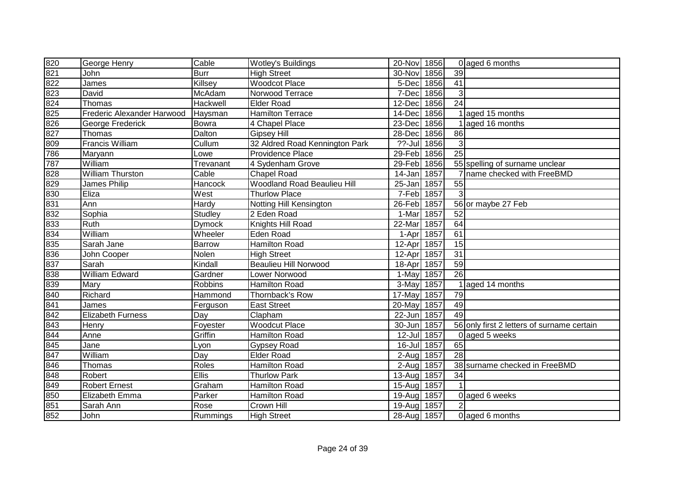| 820                             | George Henry               | Cable          | Wotley's Buildings                 | 20-Nov 1856 |      |                 | 0 aged 6 months                            |
|---------------------------------|----------------------------|----------------|------------------------------------|-------------|------|-----------------|--------------------------------------------|
| 821                             | John                       | <b>Burr</b>    | <b>High Street</b>                 | 30-Nov      | 1856 | 39              |                                            |
| 822                             | James                      | Killsey        | <b>Woodcot Place</b>               | 5-Dec       | 1856 | 41              |                                            |
| 823<br>824                      | David                      | McAdam         | Norwood Terrace                    | 7-Dec       | 1856 | 3               |                                            |
|                                 | Thomas                     | Hackwell       | <b>Elder Road</b>                  | 12-Dec      | 1856 | $\overline{24}$ |                                            |
|                                 | Frederic Alexander Harwood | Haysman        | <b>Hamilton Terrace</b>            | 14-Dec      | 1856 |                 | 1 aged 15 months                           |
| $\frac{125}{826}$               | George Frederick           | Bowra          | 4 Chapel Place                     | 23-Dec      | 1856 |                 | aged 16 months                             |
| 827                             | Thomas                     | Dalton         | <b>Gipsey Hill</b>                 | 28-Dec      | 1856 | 86              |                                            |
| 809                             | <b>Francis William</b>     | Cullum         | 32 Aldred Road Kennington Park     | ??-Jul 1856 |      | $\mathfrak{3}$  |                                            |
| 786                             | Maryann                    | Lowe           | Providence Place                   | 29-Feb      | 1856 | $\overline{25}$ |                                            |
| 787                             | William                    | Trevanant      | 4 Sydenham Grove                   | 29-Feb 1856 |      |                 | 55 spelling of surname unclear             |
| 828                             | <b>William Thurston</b>    | Cable          | <b>Chapel Road</b>                 | 14-Jan 1857 |      |                 | name checked with FreeBMD                  |
| 829                             | James Philip               | Hancock        | <b>Woodland Road Beaulieu Hill</b> | 25-Jan      | 1857 | $\overline{55}$ |                                            |
| 830                             | Eliza                      | West           | <b>Thurlow Place</b>               | 7-Feb 1857  |      | 3               |                                            |
| 831                             | Ann                        | Hardy          | Notting Hill Kensington            | 26-Feb      | 1857 |                 | 56 or maybe 27 Feb                         |
| 832                             | Sophia                     | <b>Studley</b> | 2 Eden Road                        | 1-Mar       | 1857 | 52              |                                            |
| 833                             | Ruth                       | Dymock         | Knights Hill Road                  | 22-Mar      | 1857 | 64              |                                            |
| 834                             | William                    | Wheeler        | Eden Road                          | 1-Apr       | 1857 | 61              |                                            |
| 835                             | Sarah Jane                 | Barrow         | <b>Hamilton Road</b>               | 12-Apr      | 1857 | 15              |                                            |
| 836                             | John Cooper                | Nolen          | <b>High Street</b>                 | 12-Apr      | 1857 | 31              |                                            |
| 837                             | Sarah                      | Kindall        | <b>Beaulieu Hill Norwood</b>       | 18-Apr      | 1857 | 59              |                                            |
| 838                             | <b>William Edward</b>      | Gardner        | Lower Norwood                      | 1-May 1857  |      | $\overline{26}$ |                                            |
| 839                             | Mary                       | <b>Robbins</b> | <b>Hamilton Road</b>               | 3-May 1857  |      |                 | 1 aged 14 months                           |
| 840                             | Richard                    | Hammond        | Thornback's Row                    | 17-May 1857 |      | 79              |                                            |
| 841<br>842<br>843<br>844<br>845 | James                      | Ferguson       | <b>East Street</b>                 | 20-May      | 1857 | 49              |                                            |
|                                 | <b>Elizabeth Furness</b>   | Day            | Clapham                            | 22-Jun 1857 |      | 49              |                                            |
|                                 | Henry                      | Foyester       | <b>Woodcut Place</b>               | 30-Jun      | 1857 |                 | 56 only first 2 letters of surname certain |
|                                 | Anne                       | Griffin        | <b>Hamilton Road</b>               | 12-Jul      | 1857 |                 | 0 aged 5 weeks                             |
|                                 | Jane                       | Lyon           | <b>Gypsey Road</b>                 | 16-Jul 1857 |      | 65              |                                            |
| 847                             | William                    | Day            | <b>Elder Road</b>                  | $2-Auq$     | 1857 | $\overline{28}$ |                                            |
| 846                             | Thomas                     | Roles          | Hamilton Road                      | 2-Aug       | 1857 |                 | 38 surname checked in FreeBMD              |
| 848                             | Robert                     | Ellis          | <b>Thurlow Park</b>                | 13-Aug      | 1857 | 34              |                                            |
| 849                             | <b>Robert Ernest</b>       | Graham         | Hamilton Road                      | 15-Aug      | 1857 |                 |                                            |
| 850                             | Elizabeth Emma             | Parker         | Hamilton Road                      | 19-Aug      | 1857 |                 | 0 aged 6 weeks                             |
| 851                             | Sarah Ann                  | Rose           | Crown Hill                         | 19-Aug 1857 |      | $\overline{2}$  |                                            |
| 852                             | John                       | Rummings       | <b>High Street</b>                 | 28-Aug 1857 |      |                 | 0 aged 6 months                            |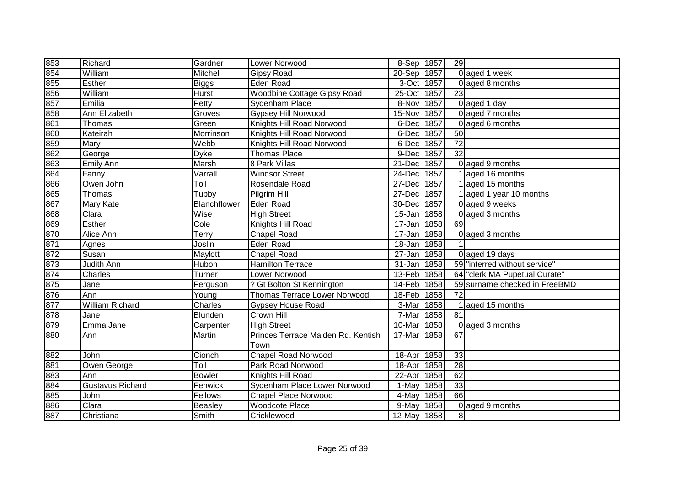| 853                             | Richard                 | Gardner       | Lower Norwood                      | 8-Sep 1857  |      | 29              |                               |
|---------------------------------|-------------------------|---------------|------------------------------------|-------------|------|-----------------|-------------------------------|
| 854                             | William                 | Mitchell      | Gipsy Road                         | 20-Sep 1857 |      |                 | 0 aged 1 week                 |
| 855                             | Esther                  | <b>Biggs</b>  | Eden Road                          | 3-Oct 1857  |      |                 | $0$ aged 8 months             |
|                                 | William                 | Hurst         | <b>Woodbine Cottage Gipsy Road</b> | 25-Oct 1857 |      | 23              |                               |
| 856<br>857<br>858<br>861<br>860 | Emilia                  | Petty         | Sydenham Place                     | 8-Nov 1857  |      |                 | 0 aged 1 day                  |
|                                 | Ann Elizabeth           | Groves        | Gypsey Hill Norwood                | 15-Nov 1857 |      |                 | 0 aged 7 months               |
|                                 | Thomas                  | Green         | Knights Hill Road Norwood          | 6-Dec 1857  |      |                 | 0 aged 6 months               |
|                                 | Kateirah                | Morrinson     | Knights Hill Road Norwood          | 6-Dec 1857  |      | 50              |                               |
| 859                             | Mary                    | Webb          | Knights Hill Road Norwood          | 6-Dec 1857  |      | $\overline{72}$ |                               |
| 862                             | George                  | <b>Dyke</b>   | <b>Thomas Place</b>                | 9-Dec 1857  |      | 32              |                               |
| 863                             | <b>Emily Ann</b>        | Marsh         | 8 Park Villas                      | 21-Dec 1857 |      |                 | 0 aged 9 months               |
| 864                             | Fanny                   | Varrall       | <b>Windsor Street</b>              | 24-Dec 1857 |      |                 | 1aged 16 months               |
| 866                             | Owen John               | <b>Toll</b>   | Rosendale Road                     | 27-Dec 1857 |      |                 | 1 aged 15 months              |
| 865                             | Thomas                  | Tubby         | Pilgrim Hill                       | 27-Dec 1857 |      |                 | 1 aged 1 year 10 months       |
| 867                             | Mary Kate               | Blanchflower  | Eden Road                          | 30-Dec 1857 |      |                 | 0 aged 9 weeks                |
| 868                             | Clara                   | Wise          | <b>High Street</b>                 | 15-Jan 1858 |      |                 | 0 aged 3 months               |
| 869                             | Esther                  | Cole          | Knights Hill Road                  | 17-Jan      | 1858 | 69              |                               |
| 870                             | Alice Ann               | Terry         | <b>Chapel Road</b>                 | 17-Jan 1858 |      |                 | $0$ aged 3 months             |
| 871                             | Agnes                   | Joslin        | Eden Road                          | 18-Jan 1858 |      |                 |                               |
| 872                             | Susan                   | Maylott       | <b>Chapel Road</b>                 | 27-Jan 1858 |      |                 | 0 aged 19 days                |
| 873                             | Judith Ann              | Hubon         | <b>Hamilton Terrace</b>            | 31-Jan 1858 |      |                 | 59 "interred without service" |
| 874                             | Charles                 | Turner        | Lower Norwood                      | 13-Feb 1858 |      |                 | 64 "clerk MA Pupetual Curate" |
| 875                             | Jane                    | Ferguson      | ? Gt Bolton St Kennington          | 14-Feb 1858 |      |                 | 59 surname checked in FreeBMD |
| 876                             | Ann                     | Young         | Thomas Terrace Lower Norwood       | 18-Feb 1858 |      | 72              |                               |
| 877<br>878<br>879               | <b>William Richard</b>  | Charles       | <b>Gypsey House Road</b>           | 3-Mar 1858  |      |                 | 1 aged 15 months              |
|                                 | Jane                    | Blunden       | Crown Hill                         | 7-Mar 1858  |      | $\overline{81}$ |                               |
|                                 | Emma Jane               | Carpenter     | <b>High Street</b>                 | 10-Mar      | 1858 |                 | 0 aged 3 months               |
| 880                             | Ann                     | Martin        | Princes Terrace Malden Rd. Kentish | 17-Mar      | 1858 | 67              |                               |
|                                 |                         |               | Town                               |             |      |                 |                               |
| 882                             | John                    | Cionch        | <b>Chapel Road Norwood</b>         | 18-Apr 1858 |      | 33              |                               |
| 881                             | Owen George             | Toll          | Park Road Norwood                  | 18-Apr 1858 |      | $\overline{28}$ |                               |
| 883                             | Ann                     | <b>Bowler</b> | Knights Hill Road                  | 22-Apr 1858 |      | 62              |                               |
| 884                             | <b>Gustavus Richard</b> | Fenwick       | Sydenham Place Lower Norwood       | 1-May 1858  |      | 33              |                               |
| 885                             | John                    | Fellows       | <b>Chapel Place Norwood</b>        | 4-May 1858  |      | 66              |                               |
| 886                             | Clara                   | Beasley       | <b>Woodcote Place</b>              | 9-May 1858  |      |                 | 0 aged 9 months               |
| 887                             | Christiana              | Smith         | Cricklewood                        | 12-May 1858 |      | 8 <sup>1</sup>  |                               |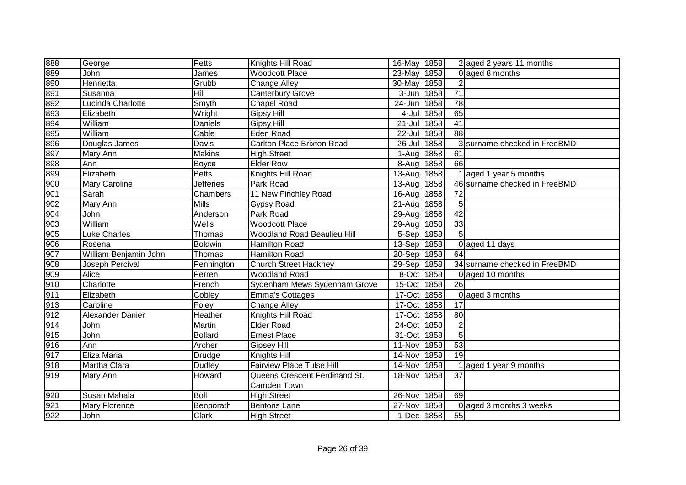| 888                             | George                | Petts                        | Knights Hill Road                | 16-May 1858          |      |                 | 2 aged 2 years 11 months      |
|---------------------------------|-----------------------|------------------------------|----------------------------------|----------------------|------|-----------------|-------------------------------|
| 889                             | John                  | James                        | <b>Woodcott Place</b>            | 23-May 1858          |      |                 | 0 aged 8 months               |
| 890                             | Henrietta             | Grubb                        | <b>Change Alley</b>              | 30-May 1858          |      | $\overline{2}$  |                               |
| 891                             | Susanna               | Hill                         | Canterbury Grove                 | $3 - Jun$            | 1858 | $\overline{71}$ |                               |
| 892                             | Lucinda Charlotte     | $\overline{\mathsf{Sm}}$ yth | <b>Chapel Road</b>               | 24-Jun               | 1858 | 78              |                               |
| 893                             | Elizabeth             | Wright                       | <b>Gipsy Hill</b>                | 4-Jul                | 1858 | 65              |                               |
| 894                             | William               | Daniels                      | <b>Gipsy Hill</b>                | $21 -$ Jul           | 1858 | $\overline{41}$ |                               |
| 895                             | William               | Cable                        | <b>Eden Road</b>                 | 22-Jul               | 1858 | 88              |                               |
| 896                             | Douglas James         | Davis                        | Carlton Place Brixton Road       | $26$ -Jul            | 1858 |                 | 3 surname checked in FreeBMD  |
| 897                             | Mary Ann              | <b>Makins</b>                | <b>High Street</b>               | 1-Aug                | 1858 | 61              |                               |
| 898                             | Ann                   | Boyce                        | <b>Elder Row</b>                 | 8-Aug                | 1858 | 66              |                               |
| 89<br>00<br>00<br>00<br>00      | Elizabeth             | <b>Betts</b>                 | Knights Hill Road                | $13-Aug$             | 1858 |                 | 1 aged 1 year 5 months        |
|                                 | <b>Mary Caroline</b>  | <b>Jefferies</b>             | Park Road                        | $\overline{1}$ 3-Aug | 1858 |                 | 46 surname checked in FreeBMD |
|                                 | Sarah                 | Chambers                     | 11 New Finchley Road             | 16-Aug               | 1858 | $\overline{72}$ |                               |
| 902                             | Mary Ann              | <b>Mills</b>                 | Gypsy Road                       | 21-Aug               | 1858 | 5               |                               |
| 904                             | John                  | Anderson                     | Park Road                        | $29$ -Augl           | 1858 | $\overline{42}$ |                               |
| 903                             | William               | Wells                        | <b>Woodcott Place</b>            | 29-Aug               | 1858 | 33              |                               |
| 905                             | Luke Charles          | Thomas                       | Woodland Road Beaulieu Hill      | 5-Sep                | 1858 | $\overline{5}$  |                               |
| 906                             | Rosena                | Boldwin                      | <b>Hamilton Road</b>             | $13-Sep$             | 1858 |                 | 0 aged 11 days                |
| 907                             | William Benjamin John | Thomas                       | <b>Hamilton Road</b>             | $20-Sep$             | 1858 | 64              |                               |
| 908                             | Joseph Percival       | Pennington                   | <b>Church Street Hackney</b>     | 29-Sep               | 1858 |                 | 34 surname checked in FreeBMD |
| 909                             | Alice                 | Perren                       | <b>Woodland Road</b>             | 8-Oct 1858           |      |                 | 0 aged 10 months              |
| 910                             | Charlotte             | French                       | Sydenham Mews Sydenham Grove     | 15-Oct 1858          |      | $\overline{26}$ |                               |
| 911                             | Elizabeth             | Cobley                       | <b>Emma's Cottages</b>           | 17-Oct               | 1858 |                 | 0 aged 3 months               |
| 913                             | Caroline              | Foley                        | <b>Change Alley</b>              | 17-Oct               | 1858 | $\overline{17}$ |                               |
|                                 | Alexander Danier      | Heather                      | Knights Hill Road                | 17-Oct               | 1858 | 80              |                               |
|                                 | John                  | Martin                       | <b>Elder Road</b>                | 24-Oct               | 1858 | $\overline{2}$  |                               |
| $\frac{912}{914}$<br>914<br>915 | John                  | <b>Bollard</b>               | <b>Ernest Place</b>              | 31-Oct               | 1858 | $\overline{5}$  |                               |
| 916                             | Ann                   | Archer                       | <b>Gipsey Hill</b>               | 11-Nov               | 1858 | 53              |                               |
| 917                             | Eliza Maria           | Drudge                       | Knights Hill                     | 14-Nov               | 1858 | 19              |                               |
| 918                             | Martha Clara          | <b>Dudley</b>                | <b>Fairview Place Tulse Hill</b> | 14-Nov               | 1858 |                 | 1 aged 1 year 9 months        |
| 919                             | Mary Ann              | Howard                       | Queens Crescent Ferdinand St.    | 18-Nov               | 1858 | $\overline{37}$ |                               |
|                                 |                       |                              | Camden Town                      |                      |      |                 |                               |
| 920                             | Susan Mahala          | <b>Boll</b>                  | <b>High Street</b>               | 26-Nov               | 1858 | 69              |                               |
| 921                             | <b>Mary Florence</b>  | Benporath                    | <b>Bentons Lane</b>              | 27-Nov 1858          |      |                 | 0 aged 3 months 3 weeks       |
| 922                             | John                  | Clark                        | <b>High Street</b>               | 1-Dec 1858           |      | 55              |                               |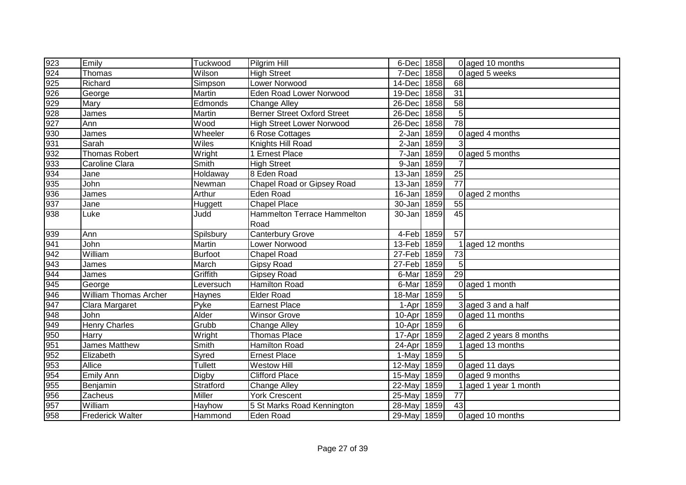| 923 | Emily                        | Tuckwood       | Pilgrim Hill                       | 6-Dec 1858  |      |                 | 0 aged 10 months        |
|-----|------------------------------|----------------|------------------------------------|-------------|------|-----------------|-------------------------|
| 924 | Thomas                       | Wilson         | <b>High Street</b>                 | 7-Dec       | 1858 |                 | 0 aged 5 weeks          |
| 925 | Richard                      | Simpson        | <b>Lower Norwood</b>               | 14-Dec      | 1858 | 68              |                         |
| 926 | George                       | Martin         | <b>Eden Road Lower Norwood</b>     | 19-Dec      | 1858 | $\overline{31}$ |                         |
| 929 | Mary                         | Edmonds        | <b>Change Alley</b>                | 26-Dec      | 1858 | $\overline{58}$ |                         |
| 928 | James                        | Martin         | <b>Berner Street Oxford Street</b> | 26-Dec      | 1858 | $\overline{5}$  |                         |
| 927 | Ann                          | Wood           | <b>High Street Lower Norwood</b>   | 26-Dec      | 1858 | $\overline{78}$ |                         |
| 930 | James                        | Wheeler        | 6 Rose Cottages                    | $2-Jan$     | 1859 |                 | 0 aged 4 months         |
| 931 | Sarah                        | Wiles          | Knights Hill Road                  | $2-Jan$     | 1859 |                 |                         |
| 932 | <b>Thomas Robert</b>         | Wright         | 1 Ernest Place                     | 7-Jan 1859  |      |                 | $0$ aged 5 months       |
| 933 | Caroline Clara               | Smith          | <b>High Street</b>                 | 9-Jan       | 1859 |                 |                         |
| 934 | Jane                         | Holdaway       | 8 Eden Road                        | 13-Jan      | 1859 | 25              |                         |
| 935 | John                         | Newman         | Chapel Road or Gipsey Road         | 13-Jan      | 1859 | $\overline{77}$ |                         |
| 936 | James                        | Arthur         | Eden Road                          | 16-Jan 1859 |      |                 | 0 aged 2 months         |
| 937 | Jane                         | <b>Huggett</b> | <b>Chapel Place</b>                | 30-Jan 1859 |      | 55              |                         |
| 938 | Luke                         | Judd           | Hammelton Terrace Hammelton        | 30-Jan 1859 |      | 45              |                         |
|     |                              |                | Road                               |             |      |                 |                         |
| 939 | Ann                          | Spilsbury      | <b>Canterbury Grove</b>            | 4-Feb 1859  |      | 57              |                         |
| 941 | John                         | Martin         | Lower Norwood                      | 13-Feb 1859 |      |                 | 1 aged 12 months        |
| 942 | William                      | Burfoot        | <b>Chapel Road</b>                 | 27-Feb 1859 |      | 73              |                         |
| 943 | James                        | March          | <b>Gipsy Road</b>                  | 27-Feb 1859 |      | 5 <sup>1</sup>  |                         |
| 944 | James                        | Griffith       | <b>Gipsey Road</b>                 | 6-Mar 1859  |      | $\overline{29}$ |                         |
| 945 | George                       | Leversuch      | Hamilton Road                      | 6-Mar       | 1859 |                 | 0 aged 1 month          |
| 946 | <b>William Thomas Archer</b> | <b>Haynes</b>  | <b>Elder Road</b>                  | 18-Mar      | 1859 |                 |                         |
| 947 | Clara Margaret               | Pyke           | <b>Earnest Place</b>               | 1-Apr       | 1859 |                 | 3 aged 3 and a half     |
| 948 | <b>John</b>                  | Alder          | <b>Winsor Grove</b>                | 10-Apr      | 1859 |                 | 0 aged 11 months        |
| 949 | <b>Henry Charles</b>         | Grubb          | <b>Change Alley</b>                | 10-Apr      | 1859 | 61              |                         |
| 950 | Harry                        | Wright         | <b>Thomas Place</b>                | 17-Apr      | 1859 |                 | 2 aged 2 years 8 months |
| 951 | James Matthew                | Smith          | <b>Hamilton Road</b>               | 24-Apr      | 1859 |                 | 1 aged 13 months        |
| 952 | Elizabeth                    | Syred          | <b>Ernest Place</b>                | 1-May       | 1859 |                 |                         |
| 953 | Allice                       | Tullett        | <b>Westow Hill</b>                 | 12-May      | 1859 |                 | 0 aged 11 days          |
| 954 | Emily Ann                    | Digby          | <b>Clifford Place</b>              | 15-May      | 1859 |                 | 0 aged 9 months         |
| 955 | Benjamin                     | Stratford      | <b>Change Alley</b>                | 22-May      | 1859 |                 | 1 aged 1 year 1 month   |
| 956 | Zacheus                      | Miller         | <b>York Crescent</b>               | 25-May      | 1859 | 77              |                         |
| 957 | William                      | Hayhow         | 5 St Marks Road Kennington         | 28-May      | 1859 | 43              |                         |
| 958 | <b>Frederick Walter</b>      | Hammond        | <b>Eden Road</b>                   | 29-May 1859 |      |                 | 0 aged 10 months        |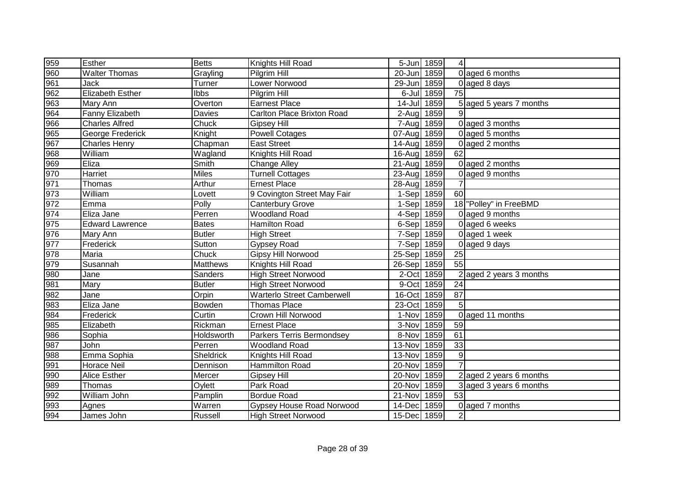| 959 | Esther                  | <b>Betts</b>     | Knights Hill Road                 | 5-Jun 1859  |            | 4                |                           |
|-----|-------------------------|------------------|-----------------------------------|-------------|------------|------------------|---------------------------|
| 960 | <b>Walter Thomas</b>    | Grayling         | Pilgrim Hill                      | 20-Jun      | 1859       |                  | 0 aged 6 months           |
| 961 | Jack                    | Turner           | Lower Norwood                     | 29-Jun      | 1859       |                  | 0 aged 8 days             |
| 962 | <b>Elizabeth Esther</b> | <b>Ibbs</b>      | Pilgrim Hill                      |             | 6-Jul 1859 | 75               |                           |
| 963 | Mary Ann                | Overton          | <b>Earnest Place</b>              | 14-Jul 1859 |            |                  | 5 aged 5 years 7 months   |
| 964 | Fanny Elizabeth         | Davies           | Carlton Place Brixton Road        | 2-Aug 1859  |            | 9                |                           |
| 966 | <b>Charles Alfred</b>   | Chuck            | <b>Gipsey Hill</b>                | 7-Aug       | 1859       |                  | 0 aged 3 months           |
| 965 | George Frederick        | Knight           | <b>Powell Cotages</b>             | 07-Aug      | 1859       |                  | 0 aged 5 months           |
| 967 | <b>Charles Henry</b>    | Chapman          | <b>East Street</b>                | 14-Aug      | 1859       |                  | 0 aged 2 months           |
| 968 | William                 | Wagland          | Knights Hill Road                 | $16$ -Aug   | 1859       | 62               |                           |
| 969 | Eliza                   | Smith            | <b>Change Alley</b>               | 21-Aug 1859 |            |                  | 0 aged 2 months           |
| 970 | Harriet                 | <b>Miles</b>     | Turnell Cottages                  | 23-Aug      | 1859       |                  | 0 aged 9 months           |
| 971 | Thomas                  | Arthur           | <b>Ernest Place</b>               | 28-Aug      | 1859       | $\overline{7}$   |                           |
| 973 | William                 | Lovett           | 9 Covington Street May Fair       | $1-Sep$     | 1859       | 60               |                           |
| 972 | Emma                    | Polly            | <b>Canterbury Grove</b>           | 1-Sep 1859  |            |                  | 18 "Polley" in FreeBMD    |
| 974 | Eliza Jane              | Perren           | <b>Woodland Road</b>              | 4-Sep 1859  |            |                  | 0 aged 9 months           |
| 975 | <b>Edward Lawrence</b>  | <b>Bates</b>     | Hamilton Road                     | 6-Sep       | 1859       |                  | 0 aged 6 weeks            |
| 976 | Mary Ann                | <b>Butler</b>    | <b>High Street</b>                | 7-Sep       | 1859       |                  | 0 aged 1 week             |
| 977 | Frederick               | Sutton           | <b>Gypsey Road</b>                | 7-Sep       | 1859       |                  | 0 aged 9 days             |
| 978 | Maria                   | Chuck            | Gipsy Hill Norwood                | 25-Sep 1859 |            | 25               |                           |
| 979 | Susannah                | <b>Matthews</b>  | Knights Hill Road                 | 26-Sep 1859 |            | $\overline{55}$  |                           |
| 980 | Jane                    | Sanders          | <b>High Street Norwood</b>        | 2-Oct 1859  |            |                  | $2$ aged 2 years 3 months |
| 981 | Mary                    | <b>Butler</b>    | <b>High Street Norwood</b>        | 9-Oct 1859  |            | 24               |                           |
| 982 | Jane                    | Orpin            | <b>Warterlo Street Camberwell</b> | 16-Oct 1859 |            | $\overline{87}$  |                           |
| 983 | Eliza Jane              | Bowden           | <b>Thomas Place</b>               | 23-Oct 1859 |            | 5                |                           |
| 984 | Frederick               | Curtin           | Crown Hill Norwood                | 1-Nov 1859  |            |                  | 0 aged 11 months          |
| 985 | Elizabeth               | Rickman          | <b>Ernest Place</b>               | 3-Nov 1859  |            | 59               |                           |
| 986 | Sophia                  | Holdsworth       | Parkers Terris Bermondsey         | 8-Nov       | 1859       | 61               |                           |
| 987 | John                    | Perren           | <b>Woodland Road</b>              | 13-Nov      | 1859       | 33               |                           |
| 988 | Emma Sophia             | <b>Sheldrick</b> | Knights Hill Road                 | 13-Nov      | 1859       | $\boldsymbol{9}$ |                           |
| 991 | Horace Neil             | Dennison         | Hammilton Road                    | 20-Nov      | 1859       | $\overline{7}$   |                           |
| 990 | Alice Esther            | Mercer           | <b>Gipsey Hill</b>                | 20-Nov 1859 |            |                  | 2 aged 2 years 6 months   |
| 989 | Thomas                  | Oylett           | Park Road                         | 20-Nov      | 1859       |                  | 3 aged 3 years 6 months   |
| 992 | William John            | Pamplin          | <b>Bordue Road</b>                | 21-Nov      | 1859       | 53               |                           |
| 993 | Agnes                   | Warren           | <b>Gypsey House Road Norwood</b>  | 14-Dec      | 1859       |                  | 0 aged 7 months           |
| 994 | James John              | Russell          | <b>High Street Norwood</b>        | 15-Dec 1859 |            | $\overline{2}$   |                           |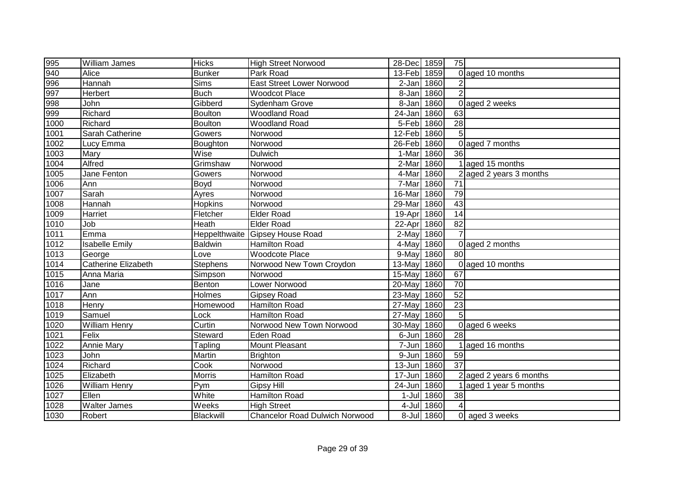| 995                 | <b>William James</b>       | <b>Hicks</b>    | <b>High Street Norwood</b>            | 28-Dec 1859 |            | 75              |                         |
|---------------------|----------------------------|-----------------|---------------------------------------|-------------|------------|-----------------|-------------------------|
| 940                 | Alice                      | <b>Bunker</b>   | Park Road                             | 13-Feb      | 1859       |                 | 0 aged 10 months        |
| 996                 | Hannah                     | <b>Sims</b>     | <b>East Street Lower Norwood</b>      | 2-Jan 1860  |            |                 |                         |
| 997                 | Herbert                    | <b>Buch</b>     | <b>Woodcot Place</b>                  | 8-Jan 1860  |            | $\overline{2}$  |                         |
| 998                 | John                       | Gibberd         | Sydenham Grove                        | 8-Jan 1860  |            |                 | 0 aged 2 weeks          |
|                     | Richard                    | Boulton         | <b>Woodland Road</b>                  | 24-Jan      | 1860       | 63              |                         |
| 999<br>1000         | Richard                    | Boulton         | <b>Woodland Road</b>                  | 5-Feb 1860  |            | $\overline{28}$ |                         |
| 1001                | Sarah Catherine            | Gowers          | Norwood                               | 12-Feb 1860 |            | 5 <sup>1</sup>  |                         |
| 1002                | Lucy Emma                  | Boughton        | Norwood                               | 26-Feb      | 1860       |                 | 0 aged 7 months         |
| 1003                | <b>Mary</b>                | Wise            | <b>Dulwich</b>                        | 1-Mar       | 1860       | 36              |                         |
| 1004                | Alfred                     | Grimshaw        | Norwood                               | 2-Mar       | 1860       |                 | 1 aged 15 months        |
| 1005                | Jane Fenton                | Gowers          | Norwood                               | 4-Mar       | 1860       |                 | 2 aged 2 years 3 months |
| 1006                | Ann                        | <b>Boyd</b>     | Norwood                               | 7-Mar       | 1860       | $\overline{71}$ |                         |
| 1007                | Sarah                      | Ayres           | Norwood                               | 16-Mar      | 1860       | 79              |                         |
| 1008                | Hannah                     | Hopkins         | Norwood                               | 29-Mar      | 1860       | 43              |                         |
| 1009                | Harriet                    | Fletcher        | <b>Elder Road</b>                     | 19-Apr 1860 |            | 14              |                         |
| 1010                | Job                        | Heath           | <b>Elder Road</b>                     | 22-Apr 1860 |            | 82              |                         |
| 1011                | Emma                       |                 | Heppelthwaite Gipsey House Road       | 2-May       | 1860       | $\overline{7}$  |                         |
| 1012                | <b>Isabelle Emily</b>      | Baldwin         | <b>Hamilton Road</b>                  | 4-May 1860  |            |                 | 0 aged 2 months         |
| 1013                | George                     | Love            | <b>Woodcote Place</b>                 | 9-May       | 1860       | 80              |                         |
| 1014                | <b>Catherine Elizabeth</b> | <b>Stephens</b> | Norwood New Town Croydon              | 13-May      | 1860       |                 | 0 aged 10 months        |
| $\frac{1015}{1016}$ | Anna Maria                 | <b>Simpson</b>  | Norwood                               | 15-May      | 1860       | 67              |                         |
|                     | Jane                       | Benton          | Lower Norwood                         | 20-May      | 1860       | 70              |                         |
| $\frac{1017}{10}$   | Ann                        | Holmes          | <b>Gipsey Road</b>                    | 23-May      | 1860       | 52              |                         |
| 1018                | Henry                      | Homewood        | <b>Hamilton Road</b>                  | 27-May      | 1860       | $\overline{23}$ |                         |
| 1019                | Samuel                     | Lock            | <b>Hamilton Road</b>                  | 27-May      | 1860       | 5 <sup>1</sup>  |                         |
| 1020                | <b>William Henry</b>       | Curtin          | Norwood New Town Norwood              | 30-May      | 1860       |                 | 0 aged 6 weeks          |
| 1021                | Felix                      | Steward         | <b>Eden Road</b>                      | 6-Jun       | 1860       | 28              |                         |
| 1022                | Annie Mary                 | Tapling         | Mount Pleasant                        | 7-Jun       | 1860       |                 | 1 aged 16 months        |
| 1023                | John                       | Martin          | <b>Brighton</b>                       | 9-Jun       | 1860       | 59              |                         |
| $\frac{1024}{10}$   | Richard                    | Cook            | Norwood                               | $13 - Jun$  | 1860       | $\overline{37}$ |                         |
| 1025                | Elizabeth                  | <b>Morris</b>   | <b>Hamilton Road</b>                  | 17-Jun      | 1860       |                 | 2 aged 2 years 6 months |
| 1026                | <b>William Henry</b>       | Pym             | Gipsy Hill                            | 24-Jun 1860 |            |                 | 1 aged 1 year 5 months  |
| 1027                | Ellen                      | White           | <b>Hamilton Road</b>                  |             | 1-Jul 1860 | 38              |                         |
| 1028                | <b>Walter James</b>        | Weeks           | <b>High Street</b>                    |             | 4-Jul 1860 |                 |                         |
| 1030                | Robert                     | Blackwill       | <b>Chancelor Road Dulwich Norwood</b> |             | 8-Jul 1860 |                 | 0 aged 3 weeks          |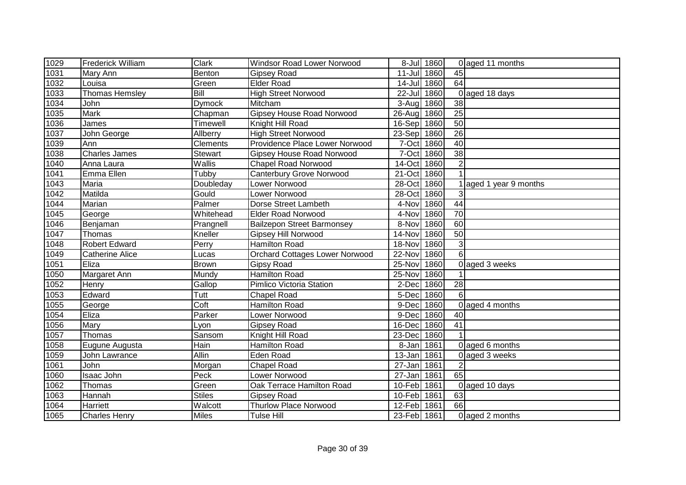| 1029   | <b>Frederick William</b> | <b>Clark</b>  | Windsor Road Lower Norwood            |             | 8-Jul 1860 |                 | 0 aged 11 months     |
|--------|--------------------------|---------------|---------------------------------------|-------------|------------|-----------------|----------------------|
| 1031   | Mary Ann                 | Benton        | <b>Gipsey Road</b>                    | $11 -$ Jul  | 1860       | 45              |                      |
| 1032   | Louisa                   | Green         | <b>Elder Road</b>                     | $14 -$ Jul  | 1860       | 64              |                      |
| 1033   | <b>Thomas Hemsley</b>    | Bill          | <b>High Street Norwood</b>            | 22-Jul 1860 |            |                 | 0 aged 18 days       |
| 1034   | John                     | <b>Dymock</b> | Mitcham                               | 3-Aug 1860  |            | $\overline{38}$ |                      |
| 1035   | <b>Mark</b>              | Chapman       | <b>Gipsey House Road Norwood</b>      | 26-Aug 1860 |            | $\overline{25}$ |                      |
| 1036   | James                    | Timewell      | Knight Hill Road                      | 16-Sep 1860 |            | 50              |                      |
| 1037   | John George              | Allberry      | <b>High Street Norwood</b>            | 23-Sep 1860 |            | 26              |                      |
| 1039   | Ann                      | Clements      | Providence Place Lower Norwood        | 7-Oct       | 1860       | $\overline{40}$ |                      |
| 1038   | <b>Charles James</b>     | Stewart       | <b>Gipsey House Road Norwood</b>      | 7-Oct       | 1860       | 38              |                      |
| 1040   | Anna Laura               | Wallis        | <b>Chapel Road Norwood</b>            | 14-Oct      | 1860       | $\overline{2}$  |                      |
| 1041   | Emma Ellen               | Tubby         | <b>Canterbury Grove Norwood</b>       | 21-Oct      | 1860       |                 |                      |
| 1043   | Maria                    | Doubleday     | Lower Norwood                         | 28-Oct      | 1860       |                 | aged 1 year 9 months |
| $1042$ | Matilda                  | Gould         | Lower Norwood                         | 28-Oct      | 1860       | 3               |                      |
| 1044   | Marian                   | Palmer        | Dorse Street Lambeth                  | 4-Nov       | 1860       | 44              |                      |
| 1045   | George                   | Whitehead     | <b>Elder Road Norwood</b>             | 4-Nov       | 1860       | 70              |                      |
| 1046   | Benjaman                 | Prangnell     | <b>Bailzepon Street Barmonsey</b>     | 8-Nov       | 1860       | 60              |                      |
| 1047   | Thomas                   | Kneller       | Gipsey Hill Norwood                   | 14-Nov      | 1860       | 50              |                      |
| 1048   | <b>Robert Edward</b>     | Perry         | Hamilton Road                         | 18-Nov      | 1860       | 3               |                      |
| 1049   | <b>Catherine Alice</b>   | Lucas         | <b>Orchard Cottages Lower Norwood</b> | 22-Nov      | 1860       | 6               |                      |
| 1051   | Eliza                    | Brown         | <b>Gipsy Road</b>                     | 25-Nov 1860 |            |                 | 0 aged 3 weeks       |
| 1050   | Margaret Ann             | Mundy         | <b>Hamilton Road</b>                  | 25-Nov      | 1860       |                 |                      |
| 1052   | Henry                    | Gallop        | Pimlico Victoria Station              | 2-Dec       | 1860       | $\overline{28}$ |                      |
| 1053   | Edward                   | Tutt          | <b>Chapel Road</b>                    | 5-Dec       | 1860       | 6               |                      |
| 1055   | George                   | Coft          | <b>Hamilton Road</b>                  | 9-Dec       | 1860       |                 | 0 aged 4 months      |
| 1054   | Eliza                    | Parker        | Lower Norwood                         | 9-Dec       | 1860       | 40              |                      |
| 1056   | Mary                     | Lyon          | <b>Gipsey Road</b>                    | 16-Dec      | 1860       | $\overline{41}$ |                      |
| 1057   | Thomas                   | Sansom        | Knight Hill Road                      | 23-Dec      | 1860       |                 |                      |
| 1058   | Eugune Augusta           | Hain          | <b>Hamilton Road</b>                  | 8-Jan       | 1861       |                 | 0 aged 6 months      |
| 1059   | John Lawrance            | <b>Allin</b>  | Eden Road                             | 13-Jan      | 1861       |                 | 0 aged 3 weeks       |
| 1061   | <b>John</b>              | Morgan        | <b>Chapel Road</b>                    | 27-Jan      | 1861       | $\overline{2}$  |                      |
| 1060   | Isaac John               | Peck          | Lower Norwood                         | 27-Jan      | 1861       | 65              |                      |
| 1062   | Thomas                   | Green         | Oak Terrace Hamilton Road             | 10-Feb 1861 |            |                 | 0 aged 10 days       |
| 1063   | Hannah                   | Stiles        | <b>Gipsey Road</b>                    | 10-Feb      | 1861       | 63              |                      |
| 1064   | Harriett                 | Walcott       | <b>Thurlow Place Norwood</b>          | 12-Feb      | 1861       | 66              |                      |
| 1065   | <b>Charles Henry</b>     | Miles         | <b>Tulse Hill</b>                     | 23-Feb 1861 |            |                 | 0 aged 2 months      |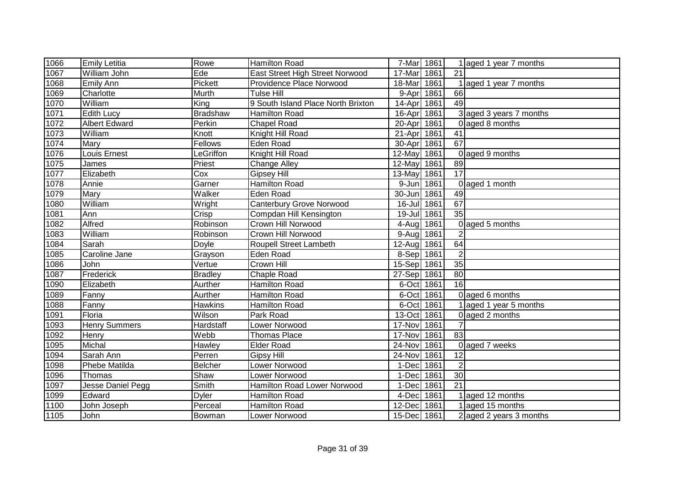| 1066              | <b>Emily Letitia</b> | Rowe            | <b>Hamilton Road</b>               | 7-Mar 1861  |      |                 | 1 aged 1 year 7 months    |
|-------------------|----------------------|-----------------|------------------------------------|-------------|------|-----------------|---------------------------|
| 1067              | William John         | Ede             | East Street High Street Norwood    | 17-Mar      | 1861 | 21              |                           |
| 1068              | <b>Emily Ann</b>     | Pickett         | Providence Place Norwood           | 18-Mar      | 1861 |                 | 1 aged 1 year 7 months    |
| 1069              | Charlotte            | Murth           | <b>Tulse Hill</b>                  | 9-Apr       | 1861 | 66              |                           |
| 1070              | William              | King            | 9 South Island Place North Brixton | $14$ -Apr   | 1861 | 49              |                           |
| 1071              | <b>Edith Lucy</b>    | <b>Bradshaw</b> | <b>Hamilton Road</b>               | 16-Apr      | 1861 |                 | 3 aged 3 years 7 months   |
| 1072              | <b>Albert Edward</b> | Perkin          | <b>Chapel Road</b>                 | 20-Apr      | 1861 |                 | 0 aged 8 months           |
| 1073              | William              | Knott           | Knight Hill Road                   | 21-Apr      | 1861 | 41              |                           |
| 1074              | Mary                 | Fellows         | Eden Road                          | 30-Apr      | 1861 | 67              |                           |
| 1076              | Louis Ernest         | LeGriffon       | Knight Hill Road                   | 12-May 1861 |      |                 | 0 aged 9 months           |
| 1075              | James                | Priest          | <b>Change Alley</b>                | 12-May 1861 |      | 89              |                           |
| 1077              | Elizabeth            | Cox             | <b>Gipsey Hill</b>                 | 13-May 1861 |      | $\overline{17}$ |                           |
| 1078              | Annie                | Garner          | Hamilton Road                      | 9-Jun 1861  |      |                 | 0 aged 1 month            |
| 1079              | Mary                 | Walker          | Eden Road                          | 30-Jun      | 1861 | 49              |                           |
| 1080              | William              | Wright          | <b>Canterbury Grove Norwood</b>    | 16-Jul 1861 |      | 67              |                           |
| 1081              | Ann                  | Crisp           | Compdan Hill Kensington            | 19-Jul 1861 |      | $\overline{35}$ |                           |
| 1082              | Alfred               | Robinson        | Crown Hill Norwood                 | 4-Aug 1861  |      |                 | 0 aged 5 months           |
| 1083              | William              | Robinson        | Crown Hill Norwood                 | 9-Aug       | 1861 | $\overline{2}$  |                           |
| 1084              | Sarah                | Doyle           | Roupell Street Lambeth             | 12-Aug 1861 |      | 64              |                           |
| 1085              | Caroline Jane        | Grayson         | Eden Road                          | 8-Sep 1861  |      | $\overline{2}$  |                           |
| 1086              | John                 | Vertue          | Crown Hill                         | 15-Sep 1861 |      | 35              |                           |
| 1087              | Frederick            | <b>Bradley</b>  | <b>Chaple Road</b>                 | 27-Sep 1861 |      | 80              |                           |
| 1090              | Elizabeth            | Aurther         | Hamilton Road                      | 6-Oct 1861  |      | 16              |                           |
| 1089              | Fanny                | Aurther         | Hamilton Road                      | 6-Oct 1861  |      |                 | 0 aged 6 months           |
| 1088              | Fanny                | Hawkins         | Hamilton Road                      | 6-Oct 1861  |      |                 | 1 aged 1 year 5 months    |
| $\overline{1091}$ | Floria               | Wilson          | Park Road                          | 13-Oct 1861 |      |                 | 0 aged 2 months           |
| 1093              | <b>Henry Summers</b> | Hardstaff       | Lower Norwood                      | 17-Nov 1861 |      | $\overline{7}$  |                           |
| 1092              | Henry                | Webb            | <b>Thomas Place</b>                | 17-Nov      | 1861 | 83              |                           |
| 1095              | Michal               | Hawley          | <b>Elder Road</b>                  | 24-Nov      | 1861 |                 | 0 aged 7 weeks            |
| 1094              | Sarah Ann            | Perren          | <b>Gipsy Hill</b>                  | 24-Nov      | 1861 | 12              |                           |
| 1098              | Phebe Matilda        | Belcher         | Lower Norwood                      | 1-Dec 1861  |      | $\overline{2}$  |                           |
| 1096              | Thomas               | Shaw            | Lower Norwood                      | 1-Dec 1861  |      | 30              |                           |
| 1097              | Jesse Daniel Pegg    | Smith           | Hamilton Road Lower Norwood        | 1-Dec       | 1861 | 21              |                           |
| 1099              | Edward               | <b>Dyler</b>    | Hamilton Road                      | 4-Dec 1861  |      |                 | 1 aged 12 months          |
| 1100              | John Joseph          | Perceal         | Hamilton Road                      | 12-Dec      | 1861 |                 | 1 aged 15 months          |
| 1105              | John                 | Bowman          | Lower Norwood                      | 15-Dec 1861 |      |                 | $2$ aged 2 years 3 months |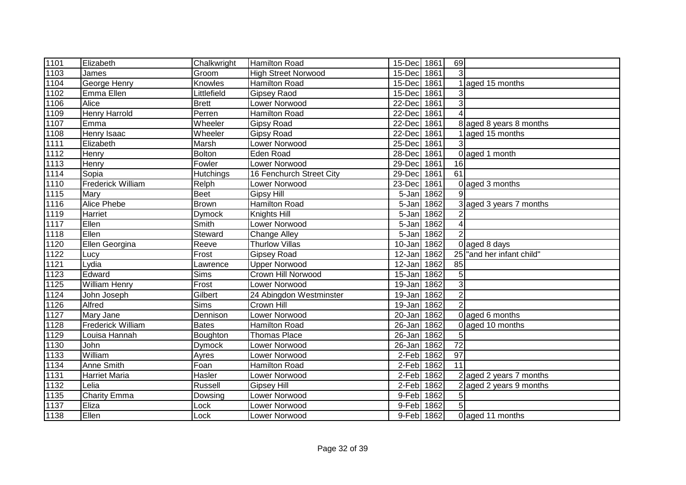| 1101             | Elizabeth                | Chalkwright      | Hamilton Road              | 15-Dec 1861 |      | 69              |                           |
|------------------|--------------------------|------------------|----------------------------|-------------|------|-----------------|---------------------------|
| 1103             | James                    | Groom            | <b>High Street Norwood</b> | 15-Dec      | 1861 | 3               |                           |
| 1104             | George Henry             | Knowles          | Hamilton Road              | 15-Dec      | 1861 |                 | aged 15 months            |
| $\frac{1}{1102}$ | Emma Ellen               | Littlefield      | <b>Gipsey Raod</b>         | 15-Dec      | 1861 | 3               |                           |
| 1106             | Alice                    | <b>Brett</b>     | <b>Lower Norwood</b>       | 22-Dec      | 1861 | $\mathbf{3}$    |                           |
| 1109             | <b>Henry Harrold</b>     | Perren           | Hamilton Road              | 22-Dec      | 1861 |                 |                           |
| 1107             | Emma                     | Wheeler          | <b>Gipsy Road</b>          | 22-Dec      | 1861 |                 | 8 aged 8 years 8 months   |
| 1108             | Henry Isaac              | Wheeler          | <b>Gipsy Road</b>          | 22-Dec      | 1861 |                 | aged 15 months            |
| 1111             | Elizabeth                | Marsh            | Lower Norwood              | 25-Dec      | 1861 | 3               |                           |
| 1112             | Henry                    | Bolton           | Eden Road                  | 28-Dec      | 1861 |                 | 0 aged 1 month            |
| 1113             | Henry                    | Fowler           | Lower Norwood              | 29-Dec      | 1861 | 16              |                           |
| 1114             | Sopia                    | <b>Hutchings</b> | 16 Fenchurch Street City   | 29-Dec      | 1861 | $\overline{61}$ |                           |
| 1110             | <b>Frederick William</b> | Relph            | Lower Norwood              | 23-Dec      | 1861 |                 | 0 aged 3 months           |
| 1115             | Mary                     | <b>Beet</b>      | <b>Gipsy Hill</b>          | 5-Jan       | 1862 | 9               |                           |
| 1116             | Alice Phebe              | <b>Brown</b>     | <b>Hamilton Road</b>       | 5-Jan       | 1862 |                 | 3 aged 3 years 7 months   |
| 1119             | Harriet                  | Dymock           | Knights Hill               | 5-Jan       | 1862 |                 |                           |
| 1117             | Ellen                    | Smith            | Lower Norwood              | 5-Jan       | 1862 | $\overline{4}$  |                           |
| 1118             | Ellen                    | Steward          | <b>Change Alley</b>        | 5-Jan       | 1862 | $\overline{2}$  |                           |
| 1120             | Ellen Georgina           | Reeve            | <b>Thurlow Villas</b>      | 10-Jan      | 1862 |                 | 0 aged 8 days             |
| 1122             | Lucy                     | Frost            | <b>Gipsey Road</b>         | 12-Jan      | 1862 |                 | 25 and her infant child"  |
| 1121             | Lydia                    | Lawrence         | <b>Upper Norwood</b>       | 12-Jan 1862 |      | 85              |                           |
| 1123             | Edward                   | <b>Sims</b>      | Crown Hill Norwood         | 15-Jan 1862 |      | 5               |                           |
| 1125             | William Henry            | Frost            | Lower Norwood              | 19-Jan      | 1862 | 3               |                           |
| 1124             | John Joseph              | Gilbert          | 24 Abingdon Westminster    | 19-Jan      | 1862 | $\overline{2}$  |                           |
| 1126             | Alfred                   | Sims             | Crown Hill                 | 19-Jan      | 1862 | $\overline{2}$  |                           |
| 1127             | Mary Jane                | Dennison         | Lower Norwood              | 20-Jan      | 1862 |                 | 0 aged 6 months           |
| 1128             | <b>Frederick William</b> | <b>Bates</b>     | <b>Hamilton Road</b>       | 26-Jan      | 1862 |                 | 0 aged 10 months          |
| 1129             | Louisa Hannah            | Boughton         | <b>Thomas Place</b>        | 26-Jan      | 1862 | 5               |                           |
| 1130             | John                     | Dymock           | Lower Norwood              | 26-Jan      | 1862 | $\overline{72}$ |                           |
| 1133             | William                  | Ayres            | Lower Norwood              | 2-Feb 1862  |      | $\overline{97}$ |                           |
| 1134             | Anne Smith               | Foan             | <b>Hamilton Road</b>       | 2-Feb 1862  |      | 11              |                           |
| 1131             | <b>Harriet Maria</b>     | Hasler           | Lower Norwood              | 2-Feb 1862  |      |                 | 2 aged 2 years 7 months   |
| 1132             | Lelia                    | Russell          | <b>Gipsey Hill</b>         | 2-Feb 1862  |      |                 | $2$ aged 2 years 9 months |
| 1135             | <b>Charity Emma</b>      | Dowsing          | Lower Norwood              | 9-Feb       | 1862 | 5 <sub>l</sub>  |                           |
| 1137             | Eliza                    | Lock             | Lower Norwood              | 9-Feb       | 1862 | $5\overline{5}$ |                           |
| 1138             | Ellen                    | Lock             | Lower Norwood              | 9-Feb 1862  |      |                 | 0 aged 11 months          |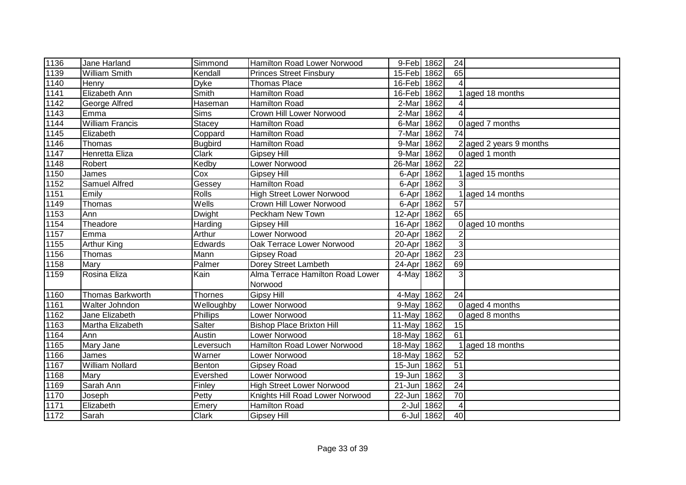| 1136 | Jane Harland           | Simmond        | Hamilton Road Lower Norwood      | 9-Feb 1862  |            | 24              |                           |
|------|------------------------|----------------|----------------------------------|-------------|------------|-----------------|---------------------------|
| 1139 | <b>William Smith</b>   | Kendall        | <b>Princes Street Finsbury</b>   | 15-Feb 1862 |            | 65              |                           |
| 1140 | Henry                  | <b>Dyke</b>    | <b>Thomas Place</b>              | 16-Feb 1862 |            |                 |                           |
| 1141 | <b>Elizabeth Ann</b>   | Smith          | Hamilton Road                    | 16-Feb      | 1862       |                 | aged 18 months            |
| 1142 | George Alfred          | Haseman        | <b>Hamilton Road</b>             | 2-Mar       | 1862       |                 |                           |
| 1143 | Emma                   | Sims           | Crown Hill Lower Norwood         | 2-Mar       | 1862       |                 |                           |
| 1144 | <b>William Francis</b> | Stacey         | Hamilton Road                    | 6-Mar       | 1862       |                 | 0 aged 7 months           |
| 1145 | Elizabeth              | Coppard        | <b>Hamilton Road</b>             | 7-Mar       | 1862       | $\overline{74}$ |                           |
| 1146 | Thomas                 | <b>Bugbird</b> | <b>Hamilton Road</b>             | 9-Mar       | 1862       |                 | $2$ aged 2 years 9 months |
| 1147 | Henretta Eliza         | Clark          | Gipsey Hill                      | 9-Mar       | 1862       |                 | 0 aged 1 month            |
| 1148 | Robert                 | Kedby          | Lower Norwood                    | 26-Mar      | 1862       | 22              |                           |
| 1150 | James                  | Cox            | <b>Gipsey Hill</b>               | 6-Apr       | 1862       |                 | aged 15 months            |
| 1152 | <b>Samuel Alfred</b>   | Gessey         | <b>Hamilton Road</b>             | 6-Apr       | 1862       | 3               |                           |
| 1151 | Emily                  | <b>Rolls</b>   | <b>High Street Lower Norwood</b> | 6-Apr       | 1862       |                 | aged 14 months            |
| 1149 | Thomas                 | Wells          | <b>Crown Hill Lower Norwood</b>  | 6-Apr       | 1862       | 57              |                           |
| 1153 | Ann                    | <b>Dwight</b>  | Peckham New Town                 | 12-Apr      | 1862       | 65              |                           |
| 1154 | Theadore               | Harding        | <b>Gipsey Hill</b>               | 16-Apr      | 1862       |                 | 0 aged 10 months          |
| 1157 | Emma                   | Arthur         | Lower Norwood                    | 20-Apr      | 1862       | $\overline{2}$  |                           |
| 1155 | <b>Arthur King</b>     | Edwards        | Oak Terrace Lower Norwood        | 20-Apr      | 1862       | 3               |                           |
| 1156 | Thomas                 | Mann           | <b>Gipsey Road</b>               | 20-Apr      | 1862       | 23              |                           |
| 1158 | Mary                   | Palmer         | Dorey Street Lambeth             | 24-Apr 1862 |            | 69              |                           |
| 1159 | Rosina Eliza           | Kain           | Alma Terrace Hamilton Road Lower | 4-May 1862  |            | 3               |                           |
|      |                        |                | Norwood                          |             |            |                 |                           |
| 1160 | Thomas Barkworth       | <b>Thornes</b> | <b>Gipsy Hill</b>                | 4-May       | 1862       | 24              |                           |
| 1161 | Walter Johndon         | Welloughby     | <b>Lower Norwood</b>             | 9-May       | 1862       |                 | 0 aged 4 months           |
| 1162 | Jane Elizabeth         | Phillips       | Lower Norwood                    | 11-May      | 1862       |                 | 0 aged 8 months           |
| 1163 | Martha Elizabeth       | Salter         | <b>Bishop Place Brixton Hill</b> | 11-May      | 1862       | 15              |                           |
| 1164 | Ann                    | Austin         | Lower Norwood                    | 18-May      | 1862       | 61              |                           |
| 1165 | Mary Jane              | Leversuch      | Hamilton Road Lower Norwood      | 18-May      | 1862       |                 | aged 18 months            |
| 1166 | James                  | Warner         | Lower Norwood                    | 18-May      | 1862       | 52              |                           |
| 1167 | William Nollard        | Benton         | <b>Gipsey Road</b>               | 15-Jun 1862 |            | $\overline{51}$ |                           |
| 1168 | Mary                   | Evershed       | Lower Norwood                    | 19-Jun 1862 |            | 3               |                           |
| 1169 | Sarah Ann              | Finley         | <b>High Street Lower Norwood</b> | 21-Jun      | 1862       | 24              |                           |
| 1170 | Joseph                 | Petty          | Knights Hill Road Lower Norwood  | 22-Jun      | 1862       | 70              |                           |
| 1171 | Elizabeth              | Emery          | Hamilton Road                    | $2$ -Jul    | 1862       | $\overline{4}$  |                           |
| 1172 | Sarah                  | Clark          | <b>Gipsey Hill</b>               |             | 6-Jul 1862 | 40              |                           |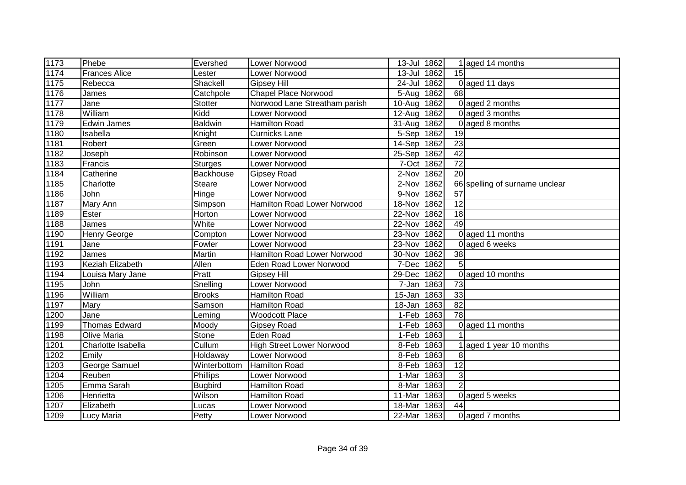| 1173 | Phebe                | Evershed       | Lower Norwood                    | 13-Jul 1862 |      |                 | 1 aged 14 months               |
|------|----------------------|----------------|----------------------------------|-------------|------|-----------------|--------------------------------|
| 1174 | <b>Frances Alice</b> | Lester         | Lower Norwood                    | 13-Jul 1862 |      | 15              |                                |
| 1175 | Rebecca              | Shackell       | <b>Gipsey Hill</b>               | 24-Jul 1862 |      |                 | 0 aged 11 days                 |
| 1176 | James                | Catchpole      | <b>Chapel Place Norwood</b>      | 5-Aug 1862  |      | 68              |                                |
| 1177 | Jane                 | Stotter        | Norwood Lane Streatham parish    | $10-Auq$    | 1862 |                 | 0 aged 2 months                |
| 1178 | William              | Kidd           | Lower Norwood                    | 12-Aug      | 1862 |                 | 0 aged 3 months                |
| 1179 | <b>Edwin James</b>   | <b>Baldwin</b> | Hamilton Road                    | 31-Aug      | 1862 |                 | 0 aged 8 months                |
| 1180 | Isabella             | Knight         | <b>Curnicks Lane</b>             | 5-Sep 1862  |      | 19              |                                |
| 1181 | Robert               | Green          | Lower Norwood                    | 14-Sep 1862 |      | 23              |                                |
| 1182 | Joseph               | Robinson       | Lower Norwood                    | 25-Sep 1862 |      | 42              |                                |
| 1183 | Francis              | Sturges        | Lower Norwood                    | 7-Oct 1862  |      | $\overline{72}$ |                                |
| 1184 | Catherine            | Backhouse      | <b>Gipsey Road</b>               | 2-Nov       | 1862 | $\overline{20}$ |                                |
| 1185 | Charlotte            | Steare         | Lower Norwood                    | 2-Nov       | 1862 |                 | 66 spelling of surname unclear |
| 1186 | John                 | Hinge          | Lower Norwood                    | 9-Nov       | 1862 | 57              |                                |
| 1187 | Mary Ann             | Simpson        | Hamilton Road Lower Norwood      | 18-Nov      | 1862 | 12              |                                |
| 1189 | Ester                | Horton         | Lower Norwood                    | 22-Nov      | 1862 | 18              |                                |
| 1188 | James                | White          | Lower Norwood                    | 22-Nov      | 1862 | 49              |                                |
| 1190 | Henry George         | Compton        | Lower Norwood                    | 23-Nov      | 1862 |                 | 0 aged 11 months               |
| 1191 | Jane                 | Fowler         | Lower Norwood                    | 23-Nov      | 1862 |                 | 0 aged 6 weeks                 |
| 1192 | James                | Martin         | Hamilton Road Lower Norwood      | 30-Nov      | 1862 | 38              |                                |
| 1193 | Keziah Elizabeth     | Allen          | Eden Road Lower Norwood          | 7-Dec       | 1862 | $\overline{5}$  |                                |
| 1194 | Louisa Mary Jane     | Pratt          | <b>Gipsey Hill</b>               | 29-Dec      | 1862 |                 | 0 aged 10 months               |
| 1195 | John                 | Snelling       | Lower Norwood                    | 7-Jan       | 1863 | 73              |                                |
| 1196 | William              | <b>Brooks</b>  | Hamilton Road                    | 15-Jan      | 1863 | 33              |                                |
| 1197 | Mary                 | Samson         | Hamilton Road                    | 18-Jan      | 1863 | 82              |                                |
| 1200 | Jane                 | Leming         | <b>Woodcott Place</b>            | 1-Feb 1863  |      | $\overline{78}$ |                                |
| 1199 | <b>Thomas Edward</b> | Moody          | <b>Gipsey Road</b>               | 1-Feb       | 1863 |                 | 0 aged 11 months               |
| 1198 | Olive Maria          | Stone          | Eden Road                        | 1-Feb       | 1863 |                 |                                |
| 1201 | Charlotte Isabella   | Cullum         | <b>High Street Lower Norwood</b> | 8-Feb       | 1863 |                 | aged 1 year 10 months          |
| 1202 | Emily                | Holdaway       | Lower Norwood                    | 8-Feb 1863  |      | 8               |                                |
| 1203 | George Samuel        | Winterbottom   | <b>Hamilton Road</b>             | 8-Feb 1863  |      | $\overline{12}$ |                                |
| 1204 | Reuben               | Phillips       | Lower Norwood                    | 1-Mar       | 1863 | $\mathbf{3}$    |                                |
| 1205 | Emma Sarah           | <b>Bugbird</b> | Hamilton Road                    | 8-Mar       | 1863 | $\overline{2}$  |                                |
| 1206 | Henrietta            | Wilson         | Hamilton Road                    | 11-Mar      | 1863 |                 | 0 aged 5 weeks                 |
| 1207 | Elizabeth            | Lucas          | Lower Norwood                    | 18-Mar      | 1863 | 44              |                                |
| 1209 | Lucy Maria           | Petty          | Lower Norwood                    | 22-Mar      | 1863 |                 | 0 aged 7 months                |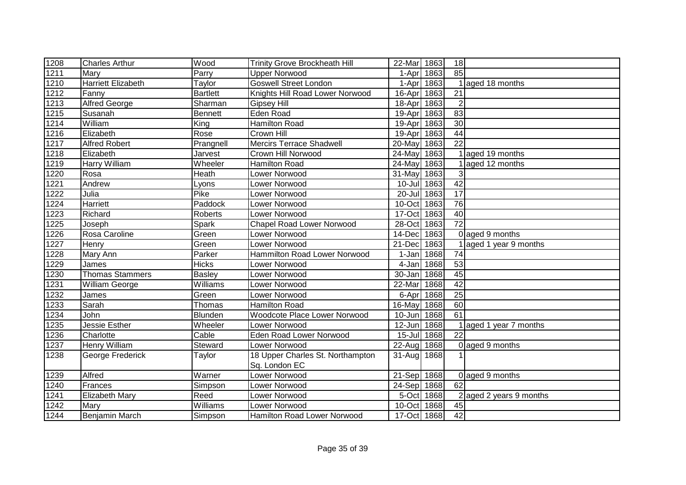| 1208              | <b>Charles Arthur</b>     | Wood            | <b>Trinity Grove Brockheath Hill</b> | 22-Mar               | 1863       | 18              |                         |
|-------------------|---------------------------|-----------------|--------------------------------------|----------------------|------------|-----------------|-------------------------|
| 1211              | Mary                      | Parry           | <b>Upper Norwood</b>                 | 1-Apr                | 1863       | 85              |                         |
| $\overline{12}10$ | <b>Harriett Elizabeth</b> | Taylor          | <b>Goswell Street London</b>         | 1-Apr                | 1863       |                 | 1 aged 18 months        |
| 1212              | Fanny                     | <b>Bartlett</b> | Knights Hill Road Lower Norwood      | $16$ -Apr            | 1863       | 21              |                         |
| 1213              | <b>Alfred George</b>      | Sharman         | Gipsey Hill                          | $18-Apr$             | 1863       | $\overline{2}$  |                         |
| 1215              | Susanah                   | <b>Bennett</b>  | Eden Road                            | 19-Apr               | 1863       | $\overline{83}$ |                         |
| 1214              | William                   | King            | Hamilton Road                        | 19-Apr               | 1863       | $\overline{30}$ |                         |
| 1216              | Elizabeth                 | Rose            | Crown Hill                           | 19-Apr               | 1863       | $\overline{44}$ |                         |
| 1217              | <b>Alfred Robert</b>      | Prangnell       | <b>Mercirs Terrace Shadwell</b>      | 20-May               | 1863       | $\overline{22}$ |                         |
| 1218              | Elizabeth                 | Jarvest         | Crown Hill Norwood                   | 24-May 1863          |            |                 | aged 19 months          |
| 1219              | Harry William             | Wheeler         | <b>Hamilton Road</b>                 | 24-May 1863          |            |                 | aged 12 months          |
| 1220              | Rosa                      | Heath           | Lower Norwood                        | 31-May               | 1863       | 3               |                         |
| 1221              | Andrew                    | Lyons           | Lower Norwood                        | $10 -$ Jul           | 1863       | $\overline{42}$ |                         |
| 1222              | Julia                     | Pike            | Lower Norwood                        | $20 -$ Jul           | 1863       | $\overline{17}$ |                         |
| 1224              | <b>Harriett</b>           | Paddock         | Lower Norwood                        | 10-Oct               | 1863       | 76              |                         |
| 1223              | Richard                   | Roberts         | Lower Norwood                        | $\overline{17}$ -Oct | 1863       | 40              |                         |
| 1225              | Joseph                    | Spark           | <b>Chapel Road Lower Norwood</b>     | 28-Oct               | 1863       | $\overline{72}$ |                         |
| 1226              | Rosa Caroline             | Green           | Lower Norwood                        | 14-Dec               | 1863       |                 | 0 aged 9 months         |
| 1227              | Henry                     | Green           | Lower Norwood                        | 21-Dec               | 1863       |                 | 1 aged 1 year 9 months  |
| 1228              | Mary Ann                  | Parker          | Hammilton Road Lower Norwood         |                      | 1-Jan 1868 | 74              |                         |
| 1229              | James                     | <b>Hicks</b>    | Lower Norwood                        | 4-Jan 1868           |            | 53              |                         |
| 1230              | Thomas Stammers           | <b>Basley</b>   | Lower Norwood                        | 30-Jan 1868          |            | 45              |                         |
| 1231              | William George            | Williams        | Lower Norwood                        | 22-Mar               | 1868       | $\overline{42}$ |                         |
| 1232              | James                     | Green           | Lower Norwood                        | 6-Apr                | 1868       | 25              |                         |
| 1233              | Sarah                     | Thomas          | <b>Hamilton Road</b>                 | 16-May               | 1868       | 60              |                         |
| 1234              | John                      | Blunden         | Woodcote Place Lower Norwood         | 10-Jun               | 1868       | $\overline{61}$ |                         |
| 1235              | Jessie Esther             | Wheeler         | Lower Norwood                        | 12-Jun               | 1868       |                 | aged 1 year 7 months    |
| 1236              | Charlotte                 | Cable           | <b>Eden Road Lower Norwood</b>       | $15 -$ Jul           | 1868       | 22              |                         |
| 1237              | Henry William             | Steward         | Lower Norwood                        | 22-Aug               | 1868       |                 | 0 aged 9 months         |
| 1238              | George Frederick          | Taylor          | 18 Upper Charles St. Northampton     | 31-Aug               | 1868       |                 |                         |
|                   |                           |                 | Sq. London EC                        |                      |            |                 |                         |
| 1239              | Alfred                    | Warner          | Lower Norwood                        | 21-Sep 1868          |            |                 | 0 aged 9 months         |
| 1240              | Frances                   | Simpson         | Lower Norwood                        | 24-Sep 1868          |            | 62              |                         |
| 1241              | Elizabeth Mary            | Reed            | Lower Norwood                        | 5-Oct                | 1868       |                 | 2 aged 2 years 9 months |
| 1242              | Mary                      | Williams        | Lower Norwood                        | 10-Oct               | 1868       | 45              |                         |
| 1244              | Benjamin March            | Simpson         | Hamilton Road Lower Norwood          | $\overline{17}$ -Oct | 1868       | $\overline{42}$ |                         |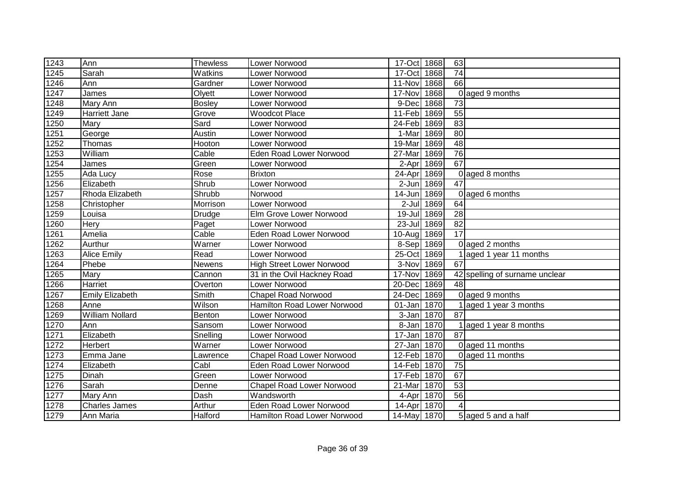| 1243              | Ann                    | Thewless                       | Lower Norwood                      | 17-Oct 1868 | 63                      |                                |
|-------------------|------------------------|--------------------------------|------------------------------------|-------------|-------------------------|--------------------------------|
| 1245              | Sarah                  | $\overline{\mathsf{W}}$ atkins | Lower Norwood                      | 17-Oct 1868 | 74                      |                                |
| $\overline{1}246$ | Ann                    | Gardner                        | Lower Norwood                      | 11-Nov      | 66<br>1868              |                                |
| 1247              | James                  | Olyett                         | Lower Norwood                      | 17-Nov      | 1868                    | 0 aged 9 months                |
| 1248              | Mary Ann               | <b>Bosley</b>                  | Lower Norwood                      | 9-Dec       | 1868<br>73              |                                |
| 1249              | Harriett Jane          | Grove                          | <b>Woodcot Place</b>               | 11-Feb      | 55<br>1869              |                                |
| 1250              | Mary                   | Sard                           | Lower Norwood                      | 24-Feb      | 83<br>1869              |                                |
| 1251              | George                 | Austin                         | Lower Norwood                      | 1-Mar 1869  | 80                      |                                |
| 1252              | Thomas                 | Hooton                         | Lower Norwood                      | 19-Mar      | $\overline{48}$<br>1869 |                                |
| 1253              | William                | Cable                          | <b>Eden Road Lower Norwood</b>     | 27-Mar      | 76<br>1869              |                                |
| 1254              | James                  | Green                          | Lower Norwood                      | $2-Apr$     | 67<br>1869              |                                |
| 1255              | Ada Lucy               | Rose                           | <b>Brixton</b>                     | 24-Apr      | 1869                    | 0 aged 8 months                |
| 1256              | Elizabeth              | Shrub                          | Lower Norwood                      | $2-Jun$     | 47<br>1869              |                                |
| 1257              | Rhoda Elizabeth        | Shrubb                         | Norwood                            | 14-Jun      | 1869                    | 0 aged 6 months                |
| 1258              | Christopher            | Morrison                       | Lower Norwood                      | $2$ -Jul    | 1869<br>64              |                                |
| 1259              | Louisa                 | Drudge                         | Elm Grove Lower Norwood            | 19-Jul      | 28<br>1869              |                                |
| 1260              | Hery                   | Paget                          | Lower Norwood                      | $23 -$ Jul  | 82<br>1869              |                                |
| 1261              | Amelia                 | Cable                          | <b>Eden Road Lower Norwood</b>     | 10-Aug 1869 | 17                      |                                |
| 1262              | Aurthur                | Warner                         | Lower Norwood                      | 8-Sep 1869  |                         | $0$ aged 2 months              |
| 1263              | <b>Alice Emily</b>     | Read                           | Lower Norwood                      | 25-Oct 1869 |                         | 1 aged 1 year 11 months        |
| 1264              | Phebe                  | Newens                         | <b>High Street Lower Norwood</b>   | 3-Nov       | 67<br>1869              |                                |
| 1265              | Mary                   | Cannon                         | 31 in the Ovil Hackney Road        | 17-Nov      | 1869                    | 42 spelling of surname unclear |
| 1266              | Harriet                | Overton                        | Lower Norwood                      | 20-Dec      | 1869<br>48              |                                |
| 1267              | <b>Emily Elizabeth</b> | $\overline{\mathsf{Smith}}$    | <b>Chapel Road Norwood</b>         | 24-Dec 1869 |                         | 0 aged 9 months                |
| 1268              | Anne                   | Wilson                         | <b>Hamilton Road Lower Norwood</b> | 01-Jan 1870 |                         | 1 aged 1 year 3 months         |
| 1269              | <b>William Nollard</b> | Benton                         | Lower Norwood                      | 3-Jan 1870  | 87                      |                                |
| 1270              | Ann                    | Sansom                         | Lower Norwood                      | 8-Jan 1870  |                         | aged 1 year 8 months           |
| 1271              | Elizabeth              | Snelling                       | Lower Norwood                      | 17-Jan 1870 | 87                      |                                |
| 1272              | Herbert                | Warner                         | Lower Norwood                      | $27 - Jan$  | 1870                    | 0 aged 11 months               |
| 1273              | Emma Jane              | Lawrence                       | <b>Chapel Road Lower Norwood</b>   | 12-Feb      | 1870                    | 0 aged 11 months               |
| 1274              | Elizabeth              | Cabl                           | Eden Road Lower Norwood            | 14-Feb 1870 | 75                      |                                |
| 1275              | Dinah                  | Green                          | Lower Norwood                      | 17-Feb 1870 | 67                      |                                |
| 1276              | Sarah                  | Denne                          | <b>Chapel Road Lower Norwood</b>   | 21-Mar      | 53<br>1870              |                                |
| 1277              | Mary Ann               | Dash                           | Wandsworth                         | 4-Apr 1870  | 56                      |                                |
| 1278              | <b>Charles James</b>   | Arthur                         | <b>Eden Road Lower Norwood</b>     | 14-Apr 1870 |                         |                                |
| 1279              | Ann Maria              | Halford                        | Hamilton Road Lower Norwood        | 14-May 1870 |                         | 5 aged 5 and a half            |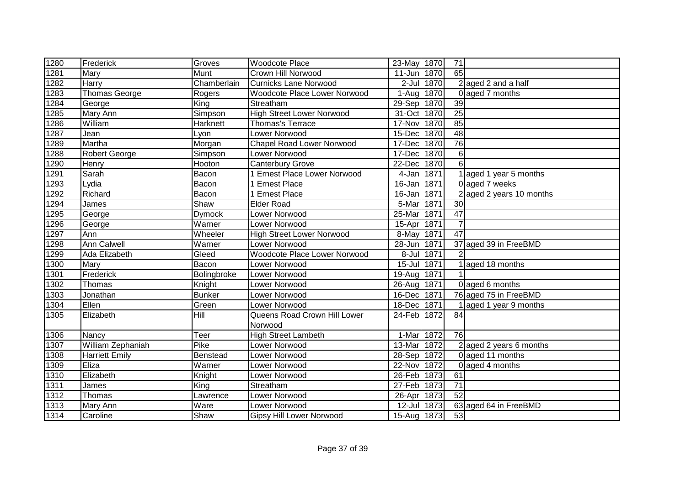| 1280              | Frederick             | Groves        | <b>Woodcote Place</b>                   | 23-May 1870 |      | 71              |                          |
|-------------------|-----------------------|---------------|-----------------------------------------|-------------|------|-----------------|--------------------------|
| 1281              | Mary                  | <b>Munt</b>   | Crown Hill Norwood                      | 11-Jun 1870 |      | 65              |                          |
| 1282              | Harry                 | Chamberlain   | <b>Curnicks Lane Norwood</b>            | 2-Jul 1870  |      |                 | 2 aged 2 and a half      |
| $\overline{1283}$ | <b>Thomas George</b>  | Rogers        | Woodcote Place Lower Norwood            | 1-Aug 1870  |      |                 | 0 aged 7 months          |
| 1284              | George                | King          | Streatham                               | 29-Sep 1870 |      | 39              |                          |
| 1285              | <b>Mary Ann</b>       | Simpson       | <b>High Street Lower Norwood</b>        | 31-Oct 1870 |      | $\overline{25}$ |                          |
| 1286              | William               | Harknett      | Thomas's Terrace                        | 17-Nov 1870 |      | 85              |                          |
| 1287              | Jean                  | Lyon          | <b>Lower Norwood</b>                    | 15-Dec      | 1870 | 48              |                          |
| 1289              | Martha                | Morgan        | <b>Chapel Road Lower Norwood</b>        | 17-Dec      | 1870 | 76              |                          |
| 1288              | Robert George         | Simpson       | Lower Norwood                           | 17-Dec 1870 |      | $6 \mid$        |                          |
| 1290              | Henry                 | Hooton        | <b>Canterbury Grove</b>                 | 22-Dec      | 1870 | 6 <sup>1</sup>  |                          |
| 1291              | Sarah                 | Bacon         | 1 Ernest Place Lower Norwood            | 4-Jan       | 1871 |                 | 1 aged 1 year 5 months   |
| 1293              | Lydia                 | Bacon         | 1 Ernest Place                          | $16$ -Jan   | 1871 |                 | 0 aged 7 weeks           |
| 1292              | Richard               | Bacon         | 1 Ernest Place                          | 16-Jan 1871 |      |                 | 2 aged 2 years 10 months |
| 1294              | James                 | Shaw          | <b>Elder Road</b>                       | 5-Mar 1871  |      | 30              |                          |
| 1295              | George                | <b>Dymock</b> | Lower Norwood                           | 25-Mar 1871 |      | 47              |                          |
| 1296              | George                | Warner        | Lower Norwood                           | 15-Apr 1871 |      | $\overline{7}$  |                          |
| 1297              | Ann                   | Wheeler       | <b>High Street Lower Norwood</b>        | 8-May 1871  |      | $\overline{47}$ |                          |
| 1298              | <b>Ann Calwell</b>    | Warner        | Lower Norwood                           | 28-Jun 1871 |      |                 | 37 aged 39 in FreeBMD    |
| 1299              | Ada Elizabeth         | Gleed         | Woodcote Place Lower Norwood            | 8-Jul 1871  |      |                 |                          |
| 1300              | Mary                  | Bacon         | Lower Norwood                           | 15-Jul 1871 |      |                 | 1 aged 18 months         |
| 1301              | Frederick             | Bolingbroke   | Lower Norwood                           | 19-Aug 1871 |      |                 |                          |
| 1302              | Thomas                | Knight        | Lower Norwood                           | 26-Aug 1871 |      |                 | 0 aged 6 months          |
| 1303              | Jonathan              | <b>Bunker</b> | Lower Norwood                           | 16-Dec      | 1871 |                 | 76 aged 75 in FreeBMD    |
| 1304              | Ellen                 | Green         | Lower Norwood                           | 18-Dec 1871 |      |                 | aged 1 year 9 months     |
| 1305              | Elizabeth             | Hill          | Queens Road Crown Hill Lower<br>Norwood | 24-Feb 1872 |      | 84              |                          |
| 1306              | Nancy                 | Teer          | <b>High Street Lambeth</b>              | 1-Mar       | 1872 | 76              |                          |
| 1307              | William Zephaniah     | Pike          | Lower Norwood                           | 13-Mar      | 1872 |                 | 2 aged 2 years 6 months  |
| 1308              | <b>Harriett Emily</b> | Benstead      | Lower Norwood                           | 28-Sep 1872 |      |                 | 0 aged 11 months         |
| 1309              | Eliza                 | Warner        | Lower Norwood                           | 22-Nov 1872 |      |                 | 0 aged 4 months          |
| 1310              | Elizabeth             | Knight        | Lower Norwood                           | 26-Feb 1873 |      | 61              |                          |
| 1311              | James                 | King          | Streatham                               | 27-Feb 1873 |      | 71              |                          |
| 1312              | Thomas                | Lawrence      | Lower Norwood                           | 26-Apr 1873 |      | 52              |                          |
| 1313              | Mary Ann              | Ware          | Lower Norwood                           | 12-Jul 1873 |      |                 | 63 aged 64 in FreeBMD    |
| 1314              | Caroline              | Shaw          | <b>Gipsy Hill Lower Norwood</b>         | 15-Aug 1873 |      | 53              |                          |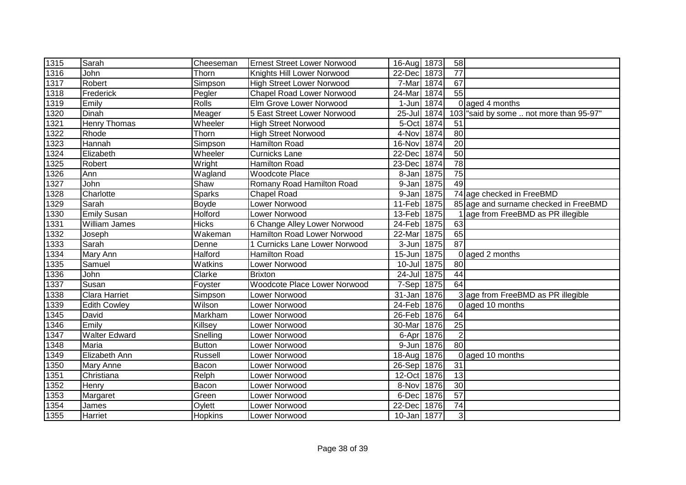| 1315 | Sarah                | Cheeseman     | <b>Ernest Street Lower Norwood</b> | 16-Aug 1873 |      | 58              |                                       |
|------|----------------------|---------------|------------------------------------|-------------|------|-----------------|---------------------------------------|
| 1316 | John                 | Thorn         | Knights Hill Lower Norwood         | 22-Dec      | 1873 | $\overline{77}$ |                                       |
| 1317 | Robert               | Simpson       | <b>High Street Lower Norwood</b>   | 7-Mar 1874  |      | 67              |                                       |
| 1318 | Frederick            | Pegler        | <b>Chapel Road Lower Norwood</b>   | 24-Mar 1874 |      | 55              |                                       |
| 1319 | Emily                | <b>Rolls</b>  | Elm Grove Lower Norwood            | 1-Jun       | 1874 |                 | 0 aged 4 months                       |
| 1320 | Dinah                | Meager        | 5 East Street Lower Norwood        | 25-Jul 1874 |      | 103             | "said by some  not more than 95-97"   |
| 1321 | <b>Henry Thomas</b>  | Wheeler       | <b>High Street Norwood</b>         | 5-Oct 1874  |      | 51              |                                       |
| 1322 | Rhode                | Thorn         | <b>High Street Norwood</b>         | 4-Nov 1874  |      | $\overline{80}$ |                                       |
| 1323 | Hannah               | Simpson       | <b>Hamilton Road</b>               | 16-Nov      | 1874 | $\overline{20}$ |                                       |
| 1324 | Elizabeth            | Wheeler       | <b>Curnicks Lane</b>               | 22-Dec      | 1874 | 50              |                                       |
| 1325 | Robert               | Wright        | <b>Hamilton Road</b>               | 23-Dec      | 1874 | 78              |                                       |
| 1326 | Ann                  | Wagland       | <b>Woodcote Place</b>              | 8-Jan       | 1875 | 75              |                                       |
| 1327 | John                 | Shaw          | Romany Road Hamilton Road          | 9-Jan       | 1875 | 49              |                                       |
| 1328 | Charlotte            | <b>Sparks</b> | <b>Chapel Road</b>                 | $9 - Jan$   | 1875 |                 | 74 age checked in FreeBMD             |
| 1329 | Sarah                | Boyde         | Lower Norwood                      | 11-Feb      | 1875 |                 | 85 age and surname checked in FreeBMD |
| 1330 | <b>Emily Susan</b>   | Holford       | Lower Norwood                      | 13-Feb 1875 |      |                 | 1 age from FreeBMD as PR illegible    |
| 1331 | <b>William James</b> | <b>Hicks</b>  | 6 Change Alley Lower Norwood       | 24-Feb 1875 |      | 63              |                                       |
| 1332 | Joseph               | Wakeman       | Hamilton Road Lower Norwood        | 22-Mar 1875 |      | 65              |                                       |
| 1333 | Sarah                | Denne         | 1 Curnicks Lane Lower Norwood      | 3-Jun 1875  |      | $\overline{87}$ |                                       |
| 1334 | Mary Ann             | Halford       | <b>Hamilton Road</b>               | 15-Jun 1875 |      |                 | $0$ aged 2 months                     |
| 1335 | Samuel               | Watkins       | Lower Norwood                      | 10-Jul 1875 |      | 80              |                                       |
| 1336 | John                 | Clarke        | <b>Brixton</b>                     | 24-Jul 1875 |      | 44              |                                       |
| 1337 | Susan                | Foyster       | Woodcote Place Lower Norwood       | 7-Sep 1875  |      | 64              |                                       |
| 1338 | <b>Clara Harriet</b> | Simpson       | Lower Norwood                      | 31-Jan 1876 |      |                 | 3 age from FreeBMD as PR illegible    |
| 1339 | Edith Cowley         | Wilson        | Lower Norwood                      | 24-Feb 1876 |      |                 | 0 aged 10 months                      |
| 1345 | David                | Markham       | Lower Norwood                      | 26-Feb 1876 |      | 64              |                                       |
| 1346 | Emily                | Killsey       | Lower Norwood                      | 30-Mar      | 1876 | 25              |                                       |
| 1347 | Walter Edward        | Snelling      | Lower Norwood                      | 6-Apr       | 1876 | $\overline{2}$  |                                       |
| 1348 | Maria                | Button        | Lower Norwood                      | $9 - Jun$   | 1876 | 80              |                                       |
| 1349 | Elizabeth Ann        | Russell       | Lower Norwood                      | 18-Aug 1876 |      |                 | 0 aged 10 months                      |
| 1350 | <b>Mary Anne</b>     | Bacon         | Lower Norwood                      | 26-Sep 1876 |      | 31              |                                       |
| 1351 | Christiana           | Relph         | Lower Norwood                      | 12-Oct 1876 |      | 13              |                                       |
| 1352 | Henry                | Bacon         | Lower Norwood                      | 8-Nov       | 1876 | 30              |                                       |
| 1353 | Margaret             | Green         | Lower Norwood                      | 6-Dec       | 1876 | $\overline{57}$ |                                       |
| 1354 | James                | Oylett        | Lower Norwood                      | 22-Dec      | 1876 | 74              |                                       |
| 1355 | Harriet              | Hopkins       | Lower Norwood                      | 10-Jan 1877 |      | $\overline{3}$  |                                       |